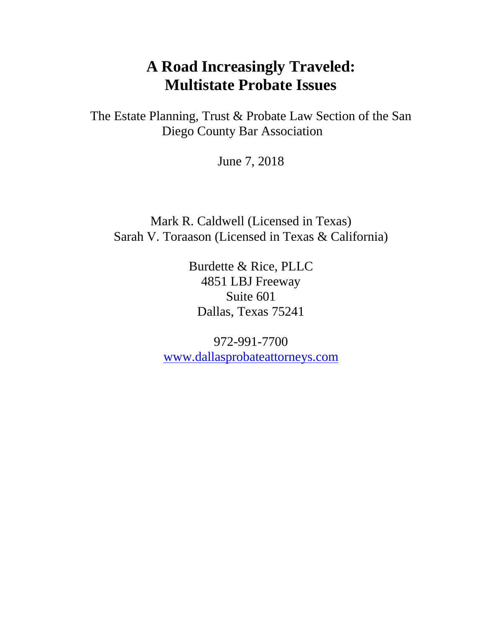## **A Road Increasingly Traveled: Multistate Probate Issues**

The Estate Planning, Trust & Probate Law Section of the San Diego County Bar Association

June 7, 2018

Mark R. Caldwell (Licensed in Texas) Sarah V. Toraason (Licensed in Texas & California)

> Burdette & Rice, PLLC 4851 LBJ Freeway Suite 601 Dallas, Texas 75241

972-991-7700 [www.dallasprobateattorneys.com](http://www.dallasprobateattorneys.com/)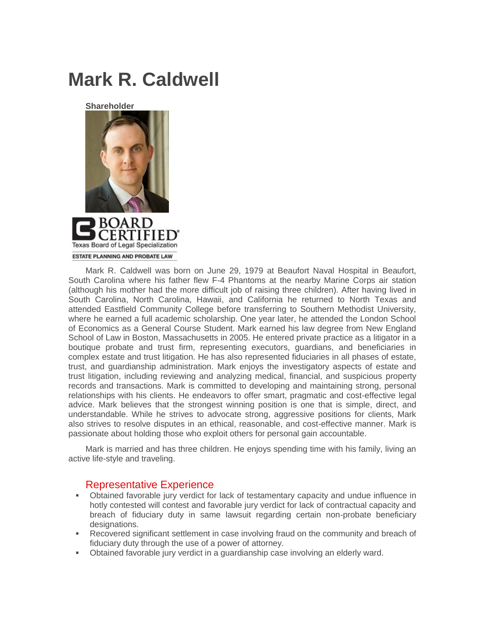## **Mark R. Caldwell**





Mark R. Caldwell was born on June 29, 1979 at Beaufort Naval Hospital in Beaufort, South Carolina where his father flew F-4 Phantoms at the nearby Marine Corps air station (although his mother had the more difficult job of raising three children). After having lived in South Carolina, North Carolina, Hawaii, and California he returned to North Texas and attended Eastfield Community College before transferring to Southern Methodist University, where he earned a full academic scholarship. One year later, he attended the London School of Economics as a General Course Student. Mark earned his law degree from New England School of Law in Boston, Massachusetts in 2005. He entered private practice as a litigator in a boutique probate and trust firm, representing executors, guardians, and beneficiaries in complex estate and trust litigation. He has also represented fiduciaries in all phases of estate, trust, and guardianship administration. Mark enjoys the investigatory aspects of estate and trust litigation, including reviewing and analyzing medical, financial, and suspicious property records and transactions. Mark is committed to developing and maintaining strong, personal relationships with his clients. He endeavors to offer smart, pragmatic and cost-effective legal advice. Mark believes that the strongest winning position is one that is simple, direct, and understandable. While he strives to advocate strong, aggressive positions for clients, Mark also strives to resolve disputes in an ethical, reasonable, and cost-effective manner. Mark is passionate about holding those who exploit others for personal gain accountable.

Mark is married and has three children. He enjoys spending time with his family, living an active life-style and traveling.

## Representative Experience

- Obtained favorable jury verdict for lack of testamentary capacity and undue influence in hotly contested will contest and favorable jury verdict for lack of contractual capacity and breach of fiduciary duty in same lawsuit regarding certain non-probate beneficiary designations.
- Recovered significant settlement in case involving fraud on the community and breach of fiduciary duty through the use of a power of attorney.
- Obtained favorable jury verdict in a guardianship case involving an elderly ward.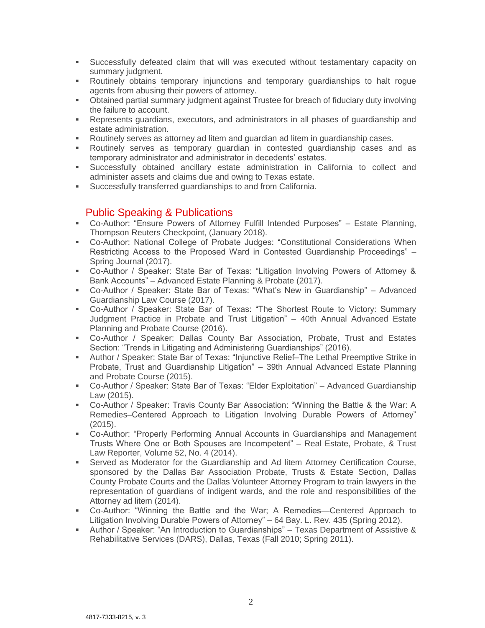- Successfully defeated claim that will was executed without testamentary capacity on summary judgment.
- Routinely obtains temporary injunctions and temporary guardianships to halt rogue agents from abusing their powers of attorney.
- Obtained partial summary judgment against Trustee for breach of fiduciary duty involving the failure to account.
- **•** Represents guardians, executors, and administrators in all phases of guardianship and estate administration.
- Routinely serves as attorney ad litem and guardian ad litem in guardianship cases.
- Routinely serves as temporary quardian in contested quardianship cases and as temporary administrator and administrator in decedents' estates.
- Successfully obtained ancillary estate administration in California to collect and administer assets and claims due and owing to Texas estate.
- Successfully transferred guardianships to and from California.

## Public Speaking & Publications

- Co-Author: "Ensure Powers of Attorney Fulfill Intended Purposes" Estate Planning, Thompson Reuters Checkpoint, (January 2018).
- Co-Author: National College of Probate Judges: "Constitutional Considerations When Restricting Access to the Proposed Ward in Contested Guardianship Proceedings" – Spring Journal (2017).
- Co-Author / Speaker: State Bar of Texas: "Litigation Involving Powers of Attorney & Bank Accounts" – Advanced Estate Planning & Probate (2017).
- Co-Author / Speaker: State Bar of Texas: "What's New in Guardianship" Advanced Guardianship Law Course (2017).
- Co-Author / Speaker: State Bar of Texas: "The Shortest Route to Victory: Summary Judgment Practice in Probate and Trust Litigation" – 40th Annual Advanced Estate Planning and Probate Course (2016).
- Co-Author / Speaker: Dallas County Bar Association, Probate, Trust and Estates Section: "Trends in Litigating and Administering Guardianships" (2016).
- Author / Speaker: State Bar of Texas: "Injunctive Relief–The Lethal Preemptive Strike in Probate, Trust and Guardianship Litigation" – 39th Annual Advanced Estate Planning and Probate Course (2015).
- Co-Author / Speaker: State Bar of Texas: "Elder Exploitation" Advanced Guardianship Law (2015).
- Co-Author / Speaker: Travis County Bar Association: "Winning the Battle & the War: A Remedies–Centered Approach to Litigation Involving Durable Powers of Attorney" (2015).
- Co-Author: "Properly Performing Annual Accounts in Guardianships and Management Trusts Where One or Both Spouses are Incompetent" – Real Estate, Probate, & Trust Law Reporter, Volume 52, No. 4 (2014).
- **•** Served as Moderator for the Guardianship and Ad litem Attorney Certification Course, sponsored by the Dallas Bar Association Probate, Trusts & Estate Section, Dallas County Probate Courts and the Dallas Volunteer Attorney Program to train lawyers in the representation of guardians of indigent wards, and the role and responsibilities of the Attorney ad litem (2014).
- Co-Author: "Winning the Battle and the War; A Remedies—Centered Approach to Litigation Involving Durable Powers of Attorney" – 64 Bay. L. Rev. 435 (Spring 2012).
- Author / Speaker: "An Introduction to Guardianships" Texas Department of Assistive & Rehabilitative Services (DARS), Dallas, Texas (Fall 2010; Spring 2011).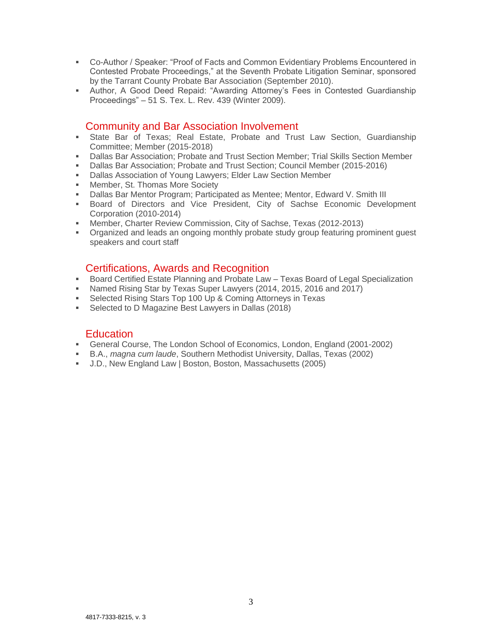- Co-Author / Speaker: "Proof of Facts and Common Evidentiary Problems Encountered in Contested Probate Proceedings," at the Seventh Probate Litigation Seminar, sponsored by the Tarrant County Probate Bar Association (September 2010).
- Author, A Good Deed Repaid: "Awarding Attorney's Fees in Contested Guardianship Proceedings" – 51 S. Tex. L. Rev. 439 (Winter 2009).

## Community and Bar Association Involvement

- State Bar of Texas; Real Estate, Probate and Trust Law Section, Guardianship Committee; Member (2015-2018)
- **Dallas Bar Association; Probate and Trust Section Member; Trial Skills Section Member**
- Dallas Bar Association; Probate and Trust Section; Council Member (2015-2016)
- Dallas Association of Young Lawyers; Elder Law Section Member
- **■** Member, St. Thomas More Society
- Dallas Bar Mentor Program; Participated as Mentee; Mentor, Edward V. Smith III
- Board of Directors and Vice President, City of Sachse Economic Development Corporation (2010-2014)
- Member, Charter Review Commission, City of Sachse, Texas (2012-2013)
- Organized and leads an ongoing monthly probate study group featuring prominent guest speakers and court staff

## Certifications, Awards and Recognition

- Board Certified Estate Planning and Probate Law Texas Board of Legal Specialization
- Named Rising Star by Texas Super Lawyers (2014, 2015, 2016 and 2017)
- Selected Rising Stars Top 100 Up & Coming Attorneys in Texas
- Selected to D Magazine Best Lawyers in Dallas (2018)

## **Education**

- General Course, The London School of Economics, London, England (2001-2002)
- B.A., *magna cum laude*, Southern Methodist University, Dallas, Texas (2002)
- J.D., New England Law | Boston, Boston, Massachusetts (2005)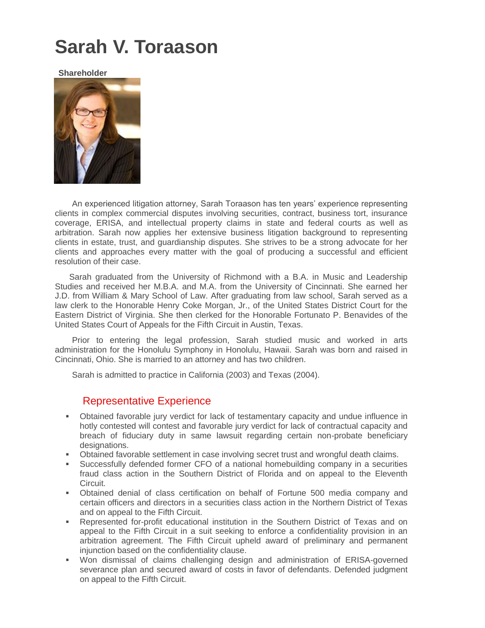# **Sarah V. Toraason**

**Shareholder**



An experienced litigation attorney, Sarah Toraason has ten years' experience representing clients in complex commercial disputes involving securities, contract, business tort, insurance coverage, ERISA, and intellectual property claims in state and federal courts as well as arbitration. Sarah now applies her extensive business litigation background to representing clients in estate, trust, and guardianship disputes. She strives to be a strong advocate for her clients and approaches every matter with the goal of producing a successful and efficient resolution of their case.

Sarah graduated from the University of Richmond with a B.A. in Music and Leadership Studies and received her M.B.A. and M.A. from the University of Cincinnati. She earned her J.D. from William & Mary School of Law. After graduating from law school, Sarah served as a law clerk to the Honorable Henry Coke Morgan, Jr., of the United States District Court for the Eastern District of Virginia. She then clerked for the Honorable Fortunato P. Benavides of the United States Court of Appeals for the Fifth Circuit in Austin, Texas.

Prior to entering the legal profession, Sarah studied music and worked in arts administration for the Honolulu Symphony in Honolulu, Hawaii. Sarah was born and raised in Cincinnati, Ohio. She is married to an attorney and has two children.

Sarah is admitted to practice in California (2003) and Texas (2004).

## Representative Experience

- Obtained favorable jury verdict for lack of testamentary capacity and undue influence in hotly contested will contest and favorable jury verdict for lack of contractual capacity and breach of fiduciary duty in same lawsuit regarding certain non-probate beneficiary designations.
- **•** Obtained favorable settlement in case involving secret trust and wrongful death claims.
- Successfully defended former CFO of a national homebuilding company in a securities fraud class action in the Southern District of Florida and on appeal to the Eleventh Circuit.
- Obtained denial of class certification on behalf of Fortune 500 media company and certain officers and directors in a securities class action in the Northern District of Texas and on appeal to the Fifth Circuit.
- Represented for-profit educational institution in the Southern District of Texas and on appeal to the Fifth Circuit in a suit seeking to enforce a confidentiality provision in an arbitration agreement. The Fifth Circuit upheld award of preliminary and permanent injunction based on the confidentiality clause.
- Won dismissal of claims challenging design and administration of ERISA-governed severance plan and secured award of costs in favor of defendants. Defended judgment on appeal to the Fifth Circuit.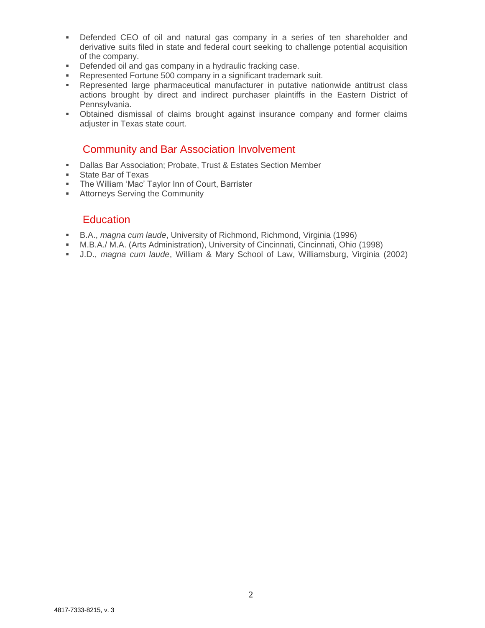- Defended CEO of oil and natural gas company in a series of ten shareholder and derivative suits filed in state and federal court seeking to challenge potential acquisition of the company.
- Defended oil and gas company in a hydraulic fracking case.
- Represented Fortune 500 company in a significant trademark suit.
- Represented large pharmaceutical manufacturer in putative nationwide antitrust class actions brought by direct and indirect purchaser plaintiffs in the Eastern District of Pennsylvania.
- Obtained dismissal of claims brought against insurance company and former claims adjuster in Texas state court.

## Community and Bar Association Involvement

- Dallas Bar Association; Probate, Trust & Estates Section Member
- State Bar of Texas
- The William 'Mac' Taylor Inn of Court, Barrister
- **EXECUTE:** Attorneys Serving the Community

## **Education**

- B.A., *magna cum laude*, University of Richmond, Richmond, Virginia (1996)
- M.B.A./ M.A. (Arts Administration), University of Cincinnati, Cincinnati, Ohio (1998)
- J.D., *magna cum laude*, William & Mary School of Law, Williamsburg, Virginia (2002)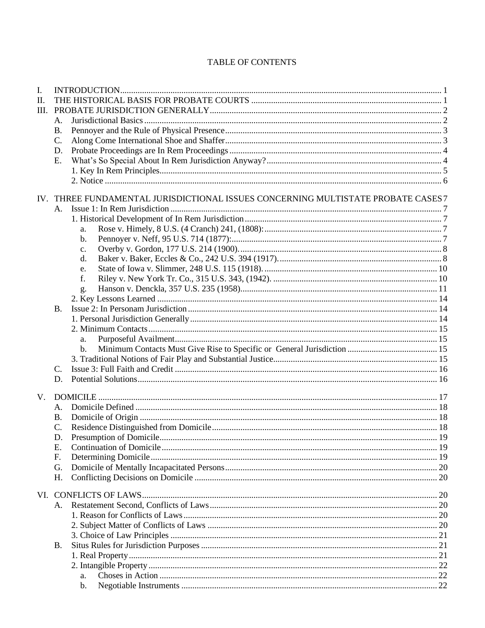## TABLE OF CONTENTS

| I.          |           |                                                                                   |  |  |  |  |
|-------------|-----------|-----------------------------------------------------------------------------------|--|--|--|--|
| II.         |           |                                                                                   |  |  |  |  |
| Ш.          |           |                                                                                   |  |  |  |  |
|             | Α.        |                                                                                   |  |  |  |  |
|             | <b>B.</b> |                                                                                   |  |  |  |  |
|             | C.        |                                                                                   |  |  |  |  |
|             | D.        |                                                                                   |  |  |  |  |
|             | E.        |                                                                                   |  |  |  |  |
|             |           |                                                                                   |  |  |  |  |
|             |           |                                                                                   |  |  |  |  |
|             |           | IV. THREE FUNDAMENTAL JURISDICTIONAL ISSUES CONCERNING MULTISTATE PROBATE CASES 7 |  |  |  |  |
|             |           |                                                                                   |  |  |  |  |
|             |           |                                                                                   |  |  |  |  |
|             |           | a.                                                                                |  |  |  |  |
|             |           | b.                                                                                |  |  |  |  |
|             |           | c.                                                                                |  |  |  |  |
|             |           | d.                                                                                |  |  |  |  |
|             |           | e.                                                                                |  |  |  |  |
|             |           | f.                                                                                |  |  |  |  |
|             |           | g.                                                                                |  |  |  |  |
|             |           |                                                                                   |  |  |  |  |
|             | B.        |                                                                                   |  |  |  |  |
|             |           |                                                                                   |  |  |  |  |
|             |           |                                                                                   |  |  |  |  |
|             |           | a.                                                                                |  |  |  |  |
|             |           | b.                                                                                |  |  |  |  |
|             |           |                                                                                   |  |  |  |  |
|             | C.        |                                                                                   |  |  |  |  |
|             | D.        |                                                                                   |  |  |  |  |
| $V_{\cdot}$ |           |                                                                                   |  |  |  |  |
|             | А.        |                                                                                   |  |  |  |  |
|             | <b>B.</b> |                                                                                   |  |  |  |  |
|             | C.        |                                                                                   |  |  |  |  |
|             | D.        |                                                                                   |  |  |  |  |
|             | Ε.        |                                                                                   |  |  |  |  |
|             | F.        |                                                                                   |  |  |  |  |
|             | G.        |                                                                                   |  |  |  |  |
|             | Η.        |                                                                                   |  |  |  |  |
|             |           |                                                                                   |  |  |  |  |
|             |           |                                                                                   |  |  |  |  |
|             | А.        |                                                                                   |  |  |  |  |
|             |           |                                                                                   |  |  |  |  |
|             |           |                                                                                   |  |  |  |  |
|             |           |                                                                                   |  |  |  |  |
|             | В.        |                                                                                   |  |  |  |  |
|             |           |                                                                                   |  |  |  |  |
|             |           |                                                                                   |  |  |  |  |
|             |           | a.                                                                                |  |  |  |  |
|             |           | b.                                                                                |  |  |  |  |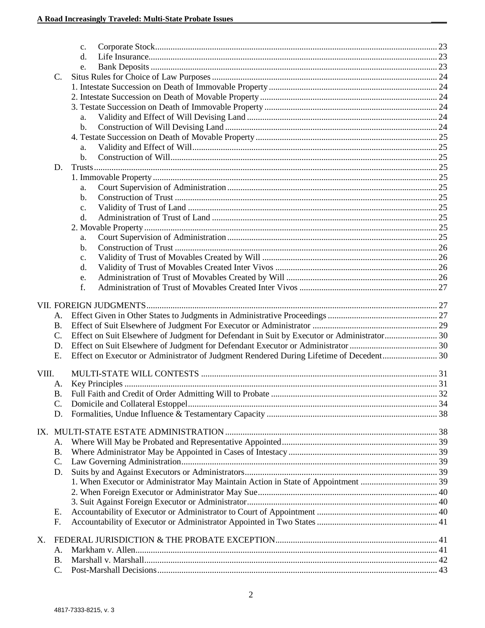|       |                 | $\mathbf{c}$ .                                                                             |  |
|-------|-----------------|--------------------------------------------------------------------------------------------|--|
|       |                 | d.                                                                                         |  |
|       |                 | e.                                                                                         |  |
|       | C.              |                                                                                            |  |
|       |                 |                                                                                            |  |
|       |                 |                                                                                            |  |
|       |                 |                                                                                            |  |
|       |                 | a.                                                                                         |  |
|       |                 | b.                                                                                         |  |
|       |                 |                                                                                            |  |
|       | a.              |                                                                                            |  |
|       |                 | b.                                                                                         |  |
|       | D.              |                                                                                            |  |
|       |                 |                                                                                            |  |
|       |                 | a.                                                                                         |  |
|       |                 | b.                                                                                         |  |
|       | c.              |                                                                                            |  |
|       |                 | d.                                                                                         |  |
|       |                 |                                                                                            |  |
|       |                 | a.                                                                                         |  |
|       |                 | b.                                                                                         |  |
|       | c.              |                                                                                            |  |
|       |                 | d.                                                                                         |  |
|       | e.              |                                                                                            |  |
|       | f.              |                                                                                            |  |
|       |                 |                                                                                            |  |
|       |                 |                                                                                            |  |
|       | A.              |                                                                                            |  |
|       | <b>B.</b>       |                                                                                            |  |
|       | $\mathcal{C}$ . | Effect on Suit Elsewhere of Judgment for Defendant in Suit by Executor or Administrator 30 |  |
|       | D.              |                                                                                            |  |
|       | Ε.              | Effect on Executor or Administrator of Judgment Rendered During Lifetime of Decedent 30    |  |
|       |                 |                                                                                            |  |
| VIII. |                 |                                                                                            |  |
|       | A.              |                                                                                            |  |
|       | $B$ .           |                                                                                            |  |
|       | C.              |                                                                                            |  |
|       | D.              |                                                                                            |  |
|       |                 |                                                                                            |  |
|       | А.              |                                                                                            |  |
|       | <b>B.</b>       |                                                                                            |  |
|       | C.              |                                                                                            |  |
|       | D.              |                                                                                            |  |
|       |                 |                                                                                            |  |
|       |                 |                                                                                            |  |
|       |                 |                                                                                            |  |
|       |                 |                                                                                            |  |
|       | Е.<br>F.        |                                                                                            |  |
|       |                 |                                                                                            |  |
| Х.    |                 |                                                                                            |  |
|       | Α.              |                                                                                            |  |
|       | <b>B.</b>       |                                                                                            |  |
|       | $\mathcal{C}$ . |                                                                                            |  |
|       |                 |                                                                                            |  |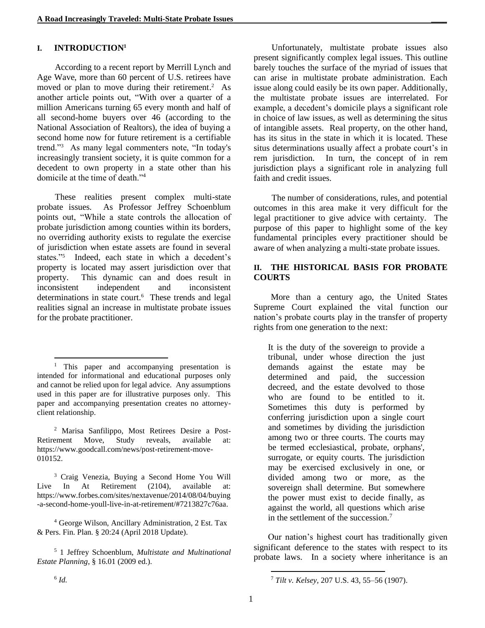### **I. INTRODUCTION<sup>1</sup>**

According to a recent report by Merrill Lynch and Age Wave, more than 60 percent of U.S. retirees have moved or plan to move during their retirement. <sup>2</sup> As another article points out, "With over a quarter of a million Americans turning 65 every month and half of all second-home buyers over 46 (according to the National Association of Realtors), the idea of buying a second home now for future retirement is a certifiable trend."<sup>3</sup> As many legal commenters note, "In today's increasingly transient society, it is quite common for a decedent to own property in a state other than his domicile at the time of death."<sup>4</sup>

These realities present complex multi-state probate issues. As Professor Jeffrey Schoenblum points out, "While a state controls the allocation of probate jurisdiction among counties within its borders, no overriding authority exists to regulate the exercise of jurisdiction when estate assets are found in several states."<sup>5</sup> Indeed, each state in which a decedent's property is located may assert jurisdiction over that property. This dynamic can and does result in inconsistent independent and inconsistent determinations in state court.<sup>6</sup> These trends and legal realities signal an increase in multistate probate issues for the probate practitioner.

<sup>4</sup> George Wilson, Ancillary Administration, 2 Est. Tax & Pers. Fin. Plan. § 20:24 (April 2018 Update).

<sup>5</sup> 1 Jeffrey Schoenblum, *Multistate and Multinational Estate Planning*, § 16.01 (2009 ed.).

Unfortunately, multistate probate issues also present significantly complex legal issues. This outline barely touches the surface of the myriad of issues that can arise in multistate probate administration. Each issue along could easily be its own paper. Additionally, the multistate probate issues are interrelated. For example, a decedent's domicile plays a significant role in choice of law issues, as well as determining the situs of intangible assets. Real property, on the other hand, has its situs in the state in which it is located. These situs determinations usually affect a probate court's in rem jurisdiction. In turn, the concept of in rem jurisdiction plays a significant role in analyzing full faith and credit issues.

The number of considerations, rules, and potential outcomes in this area make it very difficult for the legal practitioner to give advice with certainty. The purpose of this paper to highlight some of the key fundamental principles every practitioner should be aware of when analyzing a multi-state probate issues.

### **II. THE HISTORICAL BASIS FOR PROBATE COURTS**

More than a century ago, the United States Supreme Court explained the vital function our nation's probate courts play in the transfer of property rights from one generation to the next:

It is the duty of the sovereign to provide a tribunal, under whose direction the just demands against the estate may be determined and paid, the succession decreed, and the estate devolved to those who are found to be entitled to it. Sometimes this duty is performed by conferring jurisdiction upon a single court and sometimes by dividing the jurisdiction among two or three courts. The courts may be termed ecclesiastical, probate, orphans', surrogate, or equity courts. The jurisdiction may be exercised exclusively in one, or divided among two or more, as the sovereign shall determine. But somewhere the power must exist to decide finally, as against the world, all questions which arise in the settlement of the succession.<sup>7</sup>

Our nation's highest court has traditionally given significant deference to the states with respect to its probate laws. In a society where inheritance is an

<sup>&</sup>lt;sup>1</sup> This paper and accompanying presentation is intended for informational and educational purposes only and cannot be relied upon for legal advice. Any assumptions used in this paper are for illustrative purposes only. This paper and accompanying presentation creates no attorneyclient relationship.

<sup>2</sup> Marisa Sanfilippo, Most Retirees Desire a Post-Retirement Move, Study reveals, available at: https://www.goodcall.com/news/post-retirement-move-010152.

<sup>3</sup> Craig Venezia, Buying a Second Home You Will Live In At Retirement (2104), available at: https://www.forbes.com/sites/nextavenue/2014/08/04/buying -a-second-home-youll-live-in-at-retirement/#7213827c76aa.

l <sup>7</sup> *Tilt v. Kelsey*, 207 U.S. 43, 55–56 (1907).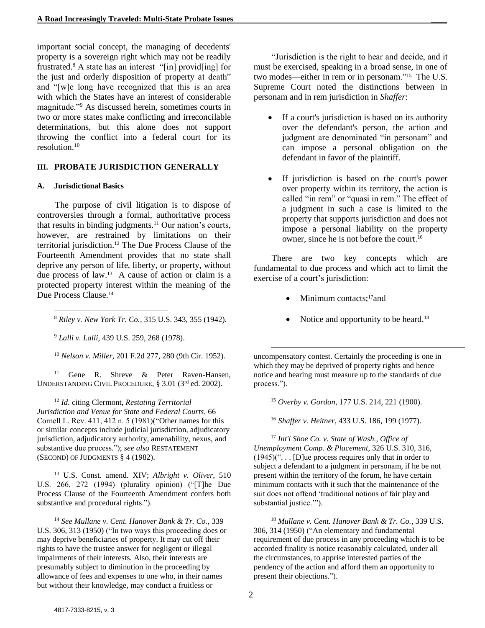important social concept, the managing of decedents' property is a sovereign right which may not be readily frustrated.<sup>8</sup> A state has an interest "[in] provid[ing] for the just and orderly disposition of property at death" and "[w]e long have recognized that this is an area with which the States have an interest of considerable magnitude."<sup>9</sup> As discussed herein, sometimes courts in two or more states make conflicting and irreconcilable determinations, but this alone does not support throwing the conflict into a federal court for its resolution. $10$ 

#### **III. PROBATE JURISDICTION GENERALLY**

#### **A. Jurisdictional Basics**

The purpose of civil litigation is to dispose of controversies through a formal, authoritative process that results in binding judgments.<sup>11</sup> Our nation's courts, however, are restrained by limitations on their territorial jurisdiction.<sup>12</sup> The Due Process Clause of the Fourteenth Amendment provides that no state shall deprive any person of life, liberty, or property, without due process of law. 13 A cause of action or claim is a protected property interest within the meaning of the Due Process Clause.<sup>14</sup>

l <sup>8</sup> *Riley v. New York Tr. Co.*, 315 U.S. 343, 355 (1942).

<sup>9</sup> *Lalli v. Lalli*, 439 U.S. 259, 268 (1978).

<sup>10</sup> *Nelson v. Miller*, 201 F.2d 277, 280 (9th Cir. 1952).

<sup>11</sup> Gene R. Shreve & Peter Raven-Hansen, UNDERSTANDING CIVIL PROCEDURE, § 3.01 (3rd ed. 2002).

<sup>12</sup> *Id.* citing Clermont, *Restating Territorial Jurisdiction and Venue for State and Federal Courts*, 66 Cornell L. Rev. 411, 412 n. 5 (1981)("Other names for this or similar concepts include judicial jurisdiction, adjudicatory jurisdiction, adjudicatory authority, amenability, nexus, and substantive due process."); *see also* RESTATEMENT (SECOND) OF JUDGMENTS § 4 (1982).

<sup>13</sup> U.S. Const. amend. XIV; *Albright v. Oliver,* 510 U.S. 266, 272 (1994) (plurality opinion) ("[T]he Due Process Clause of the Fourteenth Amendment confers both substantive and procedural rights.").

<sup>14</sup> *See Mullane v. Cent. Hanover Bank & Tr. Co.*, 339 U.S. 306, 313 (1950) ("In two ways this proceeding does or may deprive beneficiaries of property. It may cut off their rights to have the trustee answer for negligent or illegal impairments of their interests. Also, their interests are presumably subject to diminution in the proceeding by allowance of fees and expenses to one who, in their names but without their knowledge, may conduct a fruitless or

"Jurisdiction is the right to hear and decide, and it must be exercised, speaking in a broad sense, in one of two modes—either in rem or in personam."<sup>15</sup> The U.S. Supreme Court noted the distinctions between in personam and in rem jurisdiction in *Shaffer*:

- If a court's jurisdiction is based on its authority over the defendant's person, the action and judgment are denominated "in personam" and can impose a personal obligation on the defendant in favor of the plaintiff.
- If jurisdiction is based on the court's power over property within its territory, the action is called "in rem" or "quasi in rem." The effect of a judgment in such a case is limited to the property that supports jurisdiction and does not impose a personal liability on the property owner, since he is not before the court.<sup>16</sup>

There are two key concepts which are fundamental to due process and which act to limit the exercise of a court's jurisdiction:

- Minimum contacts;<sup>17</sup> and
- Notice and opportunity to be heard.<sup>18</sup>

uncompensatory contest. Certainly the proceeding is one in which they may be deprived of property rights and hence notice and hearing must measure up to the standards of due process.").

<sup>15</sup> *Overby v. Gordon*, 177 U.S. 214, 221 (1900).

<sup>16</sup> *Shaffer v. Heitner*, 433 U.S. 186, 199 (1977).

<sup>17</sup> *Int'l Shoe Co. v. State of Wash., Office of Unemployment Comp. & Placement*, 326 U.S. 310, 316,  $(1945)$ ("... [D] ue process requires only that in order to subject a defendant to a judgment in personam, if he be not present within the territory of the forum, he have certain minimum contacts with it such that the maintenance of the suit does not offend 'traditional notions of fair play and substantial justice."").

<sup>18</sup> *Mullane v. Cent. Hanover Bank & Tr. Co.*, 339 U.S. 306, 314 (1950) ("An elementary and fundamental requirement of due process in any proceeding which is to be accorded finality is notice reasonably calculated, under all the circumstances, to apprise interested parties of the pendency of the action and afford them an opportunity to present their objections.").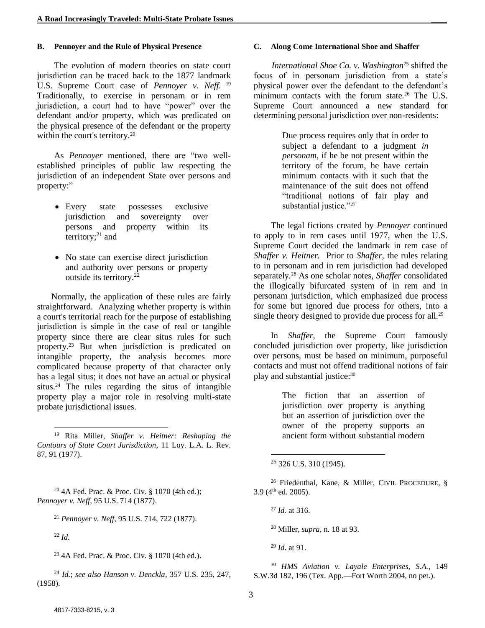#### **B. Pennoyer and the Rule of Physical Presence**

The evolution of modern theories on state court jurisdiction can be traced back to the 1877 landmark U.S. Supreme Court case of *Pennoyer v. Neff.* <sup>19</sup> Traditionally, to exercise in personam or in rem jurisdiction, a court had to have "power" over the defendant and/or property, which was predicated on the physical presence of the defendant or the property within the court's territory.<sup>20</sup>

As *Pennoyer* mentioned, there are "two wellestablished principles of public law respecting the jurisdiction of an independent State over persons and property:"

- Every state possesses exclusive jurisdiction and sovereignty over persons and property within its territory; $^{21}$  and
- No state can exercise direct jurisdiction and authority over persons or property outside its territory.<sup>22</sup>

Normally, the application of these rules are fairly straightforward. Analyzing whether property is within a court's territorial reach for the purpose of establishing jurisdiction is simple in the case of real or tangible property since there are clear situs rules for such property. <sup>23</sup> But when jurisdiction is predicated on intangible property, the analysis becomes more complicated because property of that character only has a legal situs; it does not have an actual or physical situs.<sup>24</sup> The rules regarding the situs of intangible property play a major role in resolving multi-state probate jurisdictional issues.

<sup>20</sup> 4A Fed. Prac. & Proc. Civ. § 1070 (4th ed.); *Pennoyer v. Neff*, 95 U.S. 714 (1877).

<sup>21</sup> *Pennoyer v. Neff*, 95 U.S. 714, 722 (1877).

<sup>22</sup> *Id.*

l

<sup>23</sup> 4A Fed. Prac. & Proc. Civ. § 1070 (4th ed.).

<sup>24</sup> *Id.*; *see also Hanson v. Denckla*, 357 U.S. 235, 247, (1958).

#### **C. Along Come International Shoe and Shaffer**

*International Shoe Co. v. Washington*<sup>25</sup> shifted the focus of in personam jurisdiction from a state's physical power over the defendant to the defendant's minimum contacts with the forum state.<sup>26</sup> The U.S. Supreme Court announced a new standard for determining personal jurisdiction over non-residents:

> Due process requires only that in order to subject a defendant to a judgment *in personam*, if he be not present within the territory of the forum, he have certain minimum contacts with it such that the maintenance of the suit does not offend "traditional notions of fair play and substantial justice."<sup>27</sup>

The legal fictions created by *Pennoyer* continued to apply to in rem cases until 1977, when the U.S. Supreme Court decided the landmark in rem case of *Shaffer v. Heitner.* Prior to *Shaffer*, the rules relating to in personam and in rem jurisdiction had developed separately*.* <sup>28</sup> As one scholar notes, *Shaffer* consolidated the illogically bifurcated system of in rem and in personam jurisdiction, which emphasized due process for some but ignored due process for others, into a single theory designed to provide due process for all.<sup>29</sup>

In *Shaffer*, the Supreme Court famously concluded jurisdiction over property, like jurisdiction over persons, must be based on minimum, purposeful contacts and must not offend traditional notions of fair play and substantial justice:<sup>30</sup>

> The fiction that an assertion of jurisdiction over property is anything but an assertion of jurisdiction over the owner of the property supports an ancient form without substantial modern

<sup>26</sup> Friedenthal, Kane, & Miller, CIVIL PROCEDURE, §  $3.9$  (4<sup>th</sup> ed. 2005).

l

<sup>28</sup> Miller*, supra*, n. 18 at 93.

<sup>29</sup> *Id.* at 91.

<sup>19</sup> Rita Miller, *Shaffer v. Heitner: Reshaping the Contours of State Court Jurisdiction*, 11 Loy. L.A. L. Rev. 87, 91 (1977).

 $25$  326 U.S. 310 (1945).

<sup>27</sup> *Id.* at 316.

<sup>30</sup> *HMS Aviation v. Layale Enterprises, S.A.*, 149 S.W.3d 182, 196 (Tex. App.—Fort Worth 2004, no pet.).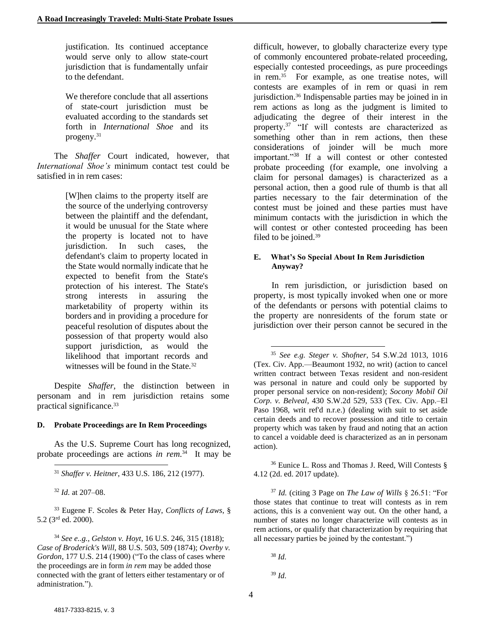justification. Its continued acceptance would serve only to allow state-court jurisdiction that is fundamentally unfair to the defendant.

We therefore conclude that all assertions of state-court jurisdiction must be evaluated according to the standards set forth in *International Shoe* and its progeny.<sup>31</sup>

The *Shaffer* Court indicated, however, that *International Shoe's* minimum contact test could be satisfied in in rem cases:

> [W]hen claims to the property itself are the source of the underlying controversy between the plaintiff and the defendant, it would be unusual for the State where the property is located not to have jurisdiction. In such cases, the defendant's claim to property located in the State would normally indicate that he expected to benefit from the State's protection of his interest. The State's strong interests in assuring the marketability of property within its borders and in providing a procedure for peaceful resolution of disputes about the possession of that property would also support jurisdiction, as would the likelihood that important records and witnesses will be found in the State.<sup>32</sup>

Despite *Shaffer*, the distinction between in personam and in rem jurisdiction retains some practical significance.<sup>33</sup>

#### **D. Probate Proceedings are In Rem Proceedings**

As the U.S. Supreme Court has long recognized, probate proceedings are actions *in rem*<sup>34</sup> It may be

<sup>33</sup> Eugene F. Scoles & Peter Hay, *Conflicts of Laws*, § 5.2 (3rd ed. 2000).

<sup>34</sup> *See e..g., Gelston v. Hoyt*, 16 U.S. 246, 315 (1818); *Case of Broderick's Will*, 88 U.S. 503, 509 (1874); *Overby v. Gordon*, 177 U.S. 214 (1900) ("To the class of cases where the proceedings are in form *in rem* may be added those connected with the grant of letters either testamentary or of administration.").

difficult, however, to globally characterize every type of commonly encountered probate-related proceeding, especially contested proceedings, as pure proceedings in rem.<sup>35</sup> For example, as one treatise notes, will contests are examples of in rem or quasi in rem jurisdiction.<sup>36</sup> Indispensable parties may be joined in in rem actions as long as the judgment is limited to adjudicating the degree of their interest in the property.<sup>37</sup> "If will contests are characterized as something other than in rem actions, then these considerations of joinder will be much more important."<sup>38</sup> If a will contest or other contested probate proceeding (for example, one involving a claim for personal damages) is characterized as a personal action, then a good rule of thumb is that all parties necessary to the fair determination of the contest must be joined and these parties must have minimum contacts with the jurisdiction in which the will contest or other contested proceeding has been filed to be joined.<sup>39</sup>

#### **E. What's So Special About In Rem Jurisdiction Anyway?**

In rem jurisdiction, or jurisdiction based on property, is most typically invoked when one or more of the defendants or persons with potential claims to the property are nonresidents of the forum state or jurisdiction over their person cannot be secured in the

<sup>36</sup> Eunice L. Ross and Thomas J. Reed, Will Contests § 4.12 (2d. ed. 2017 update).

<sup>37</sup> *Id.* (citing 3 Page on *The Law of Wills* § 26.51: "For those states that continue to treat will contests as in rem actions, this is a convenient way out. On the other hand, a number of states no longer characterize will contests as in rem actions, or qualify that characterization by requiring that all necessary parties be joined by the contestant.")

<sup>38</sup> *Id.*

l

<sup>39</sup> *Id.*

l <sup>31</sup> *Shaffer v. Heitner*, 433 U.S. 186, 212 (1977).

<sup>32</sup> *Id.* at 207–08.

<sup>35</sup> *See e.g. Steger v. Shofner*, 54 S.W.2d 1013, 1016 (Tex. Civ. App.—Beaumont 1932, no writ) (action to cancel written contract between Texas resident and non-resident was personal in nature and could only be supported by proper personal service on non-resident); *Socony Mobil Oil Corp. v. Belveal*, 430 S.W.2d 529, 533 (Tex. Civ. App.–El Paso 1968, writ ref'd n.r.e.) (dealing with suit to set aside certain deeds and to recover possession and title to certain property which was taken by fraud and noting that an action to cancel a voidable deed is characterized as an in personam action).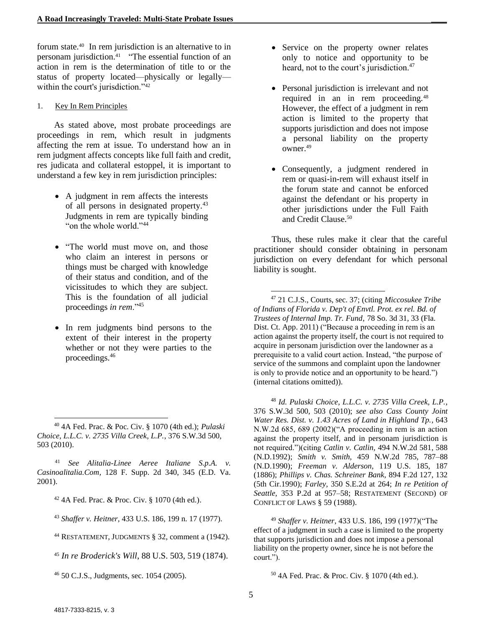forum state.<sup>40</sup> In rem jurisdiction is an alternative to in personam jurisdiction.<sup>41</sup> "The essential function of an action in rem is the determination of title to or the status of property located—physically or legally within the court's jurisdiction."<sup>42</sup>

#### 1. Key In Rem Principles

As stated above, most probate proceedings are proceedings in rem, which result in judgments affecting the rem at issue. To understand how an in rem judgment affects concepts like full faith and credit, res judicata and collateral estoppel, it is important to understand a few key in rem jurisdiction principles:

- A judgment in rem affects the interests of all persons in designated property.<sup>43</sup> Judgments in rem are typically binding "on the whole world."<sup>44</sup>
- "The world must move on, and those who claim an interest in persons or things must be charged with knowledge of their status and condition, and of the vicissitudes to which they are subject. This is the foundation of all judicial proceedings *in rem*."<sup>45</sup>
- In rem judgments bind persons to the extent of their interest in the property whether or not they were parties to the proceedings.<sup>46</sup>

<sup>41</sup> *See Alitalia-Linee Aeree Italiane S.p.A. v. Casinoalitalia.Com,* 128 F. Supp. 2d 340, 345 (E.D. Va. 2001).

<sup>42</sup> 4A Fed. Prac. & Proc. Civ. § 1070 (4th ed.).

<sup>43</sup> *Shaffer v. Heitner,* 433 U.S. 186, 199 n. 17 (1977).

<sup>44</sup> RESTATEMENT, JUDGMENTS § 32, comment a (1942).

<sup>45</sup> *In re Broderick's Will*, 88 U.S. 503, 519 (1874).

<sup>46</sup> 50 C.J.S., Judgments, sec. 1054 (2005).

- Service on the property owner relates only to notice and opportunity to be heard, not to the court's jurisdiction.<sup>47</sup>
- Personal jurisdiction is irrelevant and not required in an in rem proceeding.<sup>48</sup> However, the effect of a judgment in rem action is limited to the property that supports jurisdiction and does not impose a personal liability on the property owner.<sup>49</sup>
- Consequently, a judgment rendered in rem or quasi-in-rem will exhaust itself in the forum state and cannot be enforced against the defendant or his property in other jurisdictions under the Full Faith and Credit Clause.<sup>50</sup>

Thus, these rules make it clear that the careful practitioner should consider obtaining in personam jurisdiction on every defendant for which personal liability is sought.

<sup>47</sup> 21 C.J.S., Courts, sec. 37; (citing *Miccosukee Tribe of Indians of Florida v. Dep't of Envtl. Prot. ex rel. Bd. of Trustees of Internal Imp. Tr. Fund*, 78 So. 3d 31, 33 (Fla. Dist. Ct. App. 2011) ("Because a proceeding in rem is an action against the property itself, the court is not required to acquire in personam jurisdiction over the landowner as a prerequisite to a valid court action. Instead, "the purpose of service of the summons and complaint upon the landowner is only to provide notice and an opportunity to be heard.") (internal citations omitted)).

<sup>48</sup> *Id. Pulaski Choice, L.L.C. v. 2735 Villa Creek, L.P.*, 376 S.W.3d 500, 503 (2010); *see also Cass County Joint Water Res. Dist. v. 1.43 Acres of Land in Highland Tp.*, 643 N.W.2d 685, 689 (2002)("A proceeding in rem is an action against the property itself, and in personam jurisdiction is not required.")(citing *Catlin v. Catlin,* 494 N.W.2d 581, 588 (N.D.1992); *Smith v. Smith,* 459 N.W.2d 785, 787–88 (N.D.1990); *Freeman v. Alderson,* 119 U.S. 185, 187 (1886); *Phillips v. Chas. Schreiner Bank,* 894 F.2d 127, 132 (5th Cir.1990); *Farley,* 350 S.E.2d at 264; *In re Petition of Seattle,* 353 P.2d at 957–58; RESTATEMENT (SECOND) OF CONFLICT OF LAWS § 59 (1988).

<sup>49</sup> *Shaffer v. Heitner*, 433 U.S. 186, 199 (1977)("The effect of a judgment in such a case is limited to the property that supports jurisdiction and does not impose a personal liability on the property owner, since he is not before the court.").

<sup>50</sup> 4A Fed. Prac. & Proc. Civ. § 1070 (4th ed.).

 $\overline{a}$ 

<sup>40</sup> 4A Fed. Prac. & Poc. Civ. § 1070 (4th ed.); *Pulaski Choice, L.L.C. v. 2735 Villa Creek, L.P.*, 376 S.W.3d 500, 503 (2010).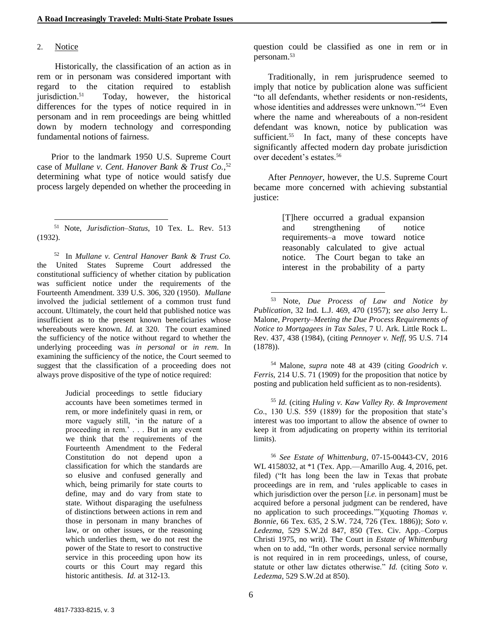#### 2. Notice

Historically, the classification of an action as in rem or in personam was considered important with regard to the citation required to establish jurisdiction.<sup>51</sup> Today, however, the historical differences for the types of notice required in in personam and in rem proceedings are being whittled down by modern technology and corresponding fundamental notions of fairness.

Prior to the landmark 1950 U.S. Supreme Court case of *Mullane v. Cent. Hanover Bank & Trust Co.*, 52 determining what type of notice would satisfy due process largely depended on whether the proceeding in

52 In *Mullane v. Central Hanover Bank & Trust Co.* the United States Supreme Court addressed the constitutional sufficiency of whether citation by publication was sufficient notice under the requirements of the Fourteenth Amendment. 339 U.S. 306, 320 (1950). *Mullane*  involved the judicial settlement of a common trust fund account. Ultimately, the court held that published notice was insufficient as to the present known beneficiaries whose whereabouts were known. *Id.* at 320. The court examined the sufficiency of the notice without regard to whether the underlying proceeding was *in personal* or *in rem*. In examining the sufficiency of the notice, the Court seemed to suggest that the classification of a proceeding does not always prove dispositive of the type of notice required:

> Judicial proceedings to settle fiduciary accounts have been sometimes termed in rem, or more indefinitely quasi in rem, or more vaguely still, 'in the nature of a proceeding in rem.' . . . But in any event we think that the requirements of the Fourteenth Amendment to the Federal Constitution do not depend upon a classification for which the standards are so elusive and confused generally and which, being primarily for state courts to define, may and do vary from state to state. Without disparaging the usefulness of distinctions between actions in rem and those in personam in many branches of law, or on other issues, or the reasoning which underlies them, we do not rest the power of the State to resort to constructive service in this proceeding upon how its courts or this Court may regard this historic antithesis. *Id.* at 312-13.

question could be classified as one in rem or in personam. 53

Traditionally, in rem jurisprudence seemed to imply that notice by publication alone was sufficient "to all defendants, whether residents or non-residents, whose identities and addresses were unknown."<sup>54</sup> Even where the name and whereabouts of a non-resident defendant was known, notice by publication was sufficient.<sup>55</sup> In fact, many of these concepts have significantly affected modern day probate jurisdiction over decedent's estates.<sup>56</sup>

After *Pennoyer*, however, the U.S. Supreme Court became more concerned with achieving substantial justice:

> [T]here occurred a gradual expansion and strengthening of notice requirements–a move toward notice reasonably calculated to give actual notice. The Court began to take an interest in the probability of a party

<sup>54</sup> Malone, *supra* note 48 at 439 (citing *Goodrich v. Ferris*, 214 U.S. 71 (1909) for the proposition that notice by posting and publication held sufficient as to non-residents).

<sup>55</sup> *Id.* (citing *Huling v. Kaw Valley Ry. & Improvement Co*., 130 U.S. 559 (1889) for the proposition that state's interest was too important to allow the absence of owner to keep it from adjudicating on property within its territorial limits).

<sup>56</sup> *See Estate of Whittenburg*, 07-15-00443-CV, 2016 WL 4158032, at \*1 (Tex. App.—Amarillo Aug. 4, 2016, pet. filed) ("It has long been the law in Texas that probate proceedings are in rem, and 'rules applicable to cases in which jurisdiction over the person [*i.e.* in personam] must be acquired before a personal judgment can be rendered, have no application to such proceedings.'")(quoting *Thomas v. Bonnie*, 66 Tex. 635, 2 S.W. 724, 726 (Tex. 1886)); *Soto v. Ledezma*, 529 S.W.2d 847, 850 (Tex. Civ. App.–Corpus Christi 1975, no writ). The Court in *Estate of Whittenburg*  when on to add, "In other words, personal service normally is not required in in rem proceedings, unless, of course, statute or other law dictates otherwise." *Id.* (citing *Soto v. Ledezma*, 529 S.W.2d at 850).

l <sup>51</sup> Note, *Jurisdiction–Status*, 10 Tex. L. Rev. 513 (1932).

<sup>53</sup> Note, *Due Process of Law and Notice by Publication*, 32 Ind. L.J. 469, 470 (1957); *see also* Jerry L. Malone, *Property–Meeting the Due Process Requirements of Notice to Mortgagees in Tax Sales*, 7 U. Ark. Little Rock L. Rev. 437, 438 (1984), (citing *Pennoyer v. Neff*, 95 U.S. 714 (1878)).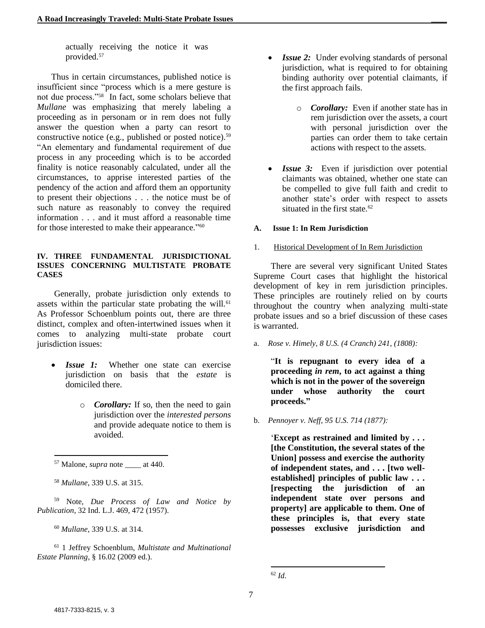actually receiving the notice it was provided.<sup>57</sup>

Thus in certain circumstances, published notice is insufficient since "process which is a mere gesture is not due process."<sup>58</sup> In fact, some scholars believe that *Mullane* was emphasizing that merely labeling a proceeding as in personam or in rem does not fully answer the question when a party can resort to constructive notice (e.g., published or posted notice).<sup>59</sup> "An elementary and fundamental requirement of due process in any proceeding which is to be accorded finality is notice reasonably calculated, under all the circumstances, to apprise interested parties of the pendency of the action and afford them an opportunity to present their objections . . . the notice must be of such nature as reasonably to convey the required information . . . and it must afford a reasonable time for those interested to make their appearance."<sup>60</sup>

#### **IV. THREE FUNDAMENTAL JURISDICTIONAL ISSUES CONCERNING MULTISTATE PROBATE CASES**

Generally, probate jurisdiction only extends to assets within the particular state probating the will.<sup>61</sup> As Professor Schoenblum points out, there are three distinct, complex and often-intertwined issues when it comes to analyzing multi-state probate court jurisdiction issues:

- *Issue 1:* Whether one state can exercise jurisdiction on basis that the *estate* is domiciled there.
	- o *Corollary:* If so, then the need to gain jurisdiction over the *interested persons* and provide adequate notice to them is avoided.

l

<sup>60</sup> *Mullane*, 339 U.S. at 314.

<sup>61</sup> 1 Jeffrey Schoenblum, *Multistate and Multinational Estate Planning*, § 16.02 (2009 ed.).

- *Issue 2:* Under evolving standards of personal jurisdiction, what is required to for obtaining binding authority over potential claimants, if the first approach fails.
	- o *Corollary:* Even if another state has in rem jurisdiction over the assets, a court with personal jurisdiction over the parties can order them to take certain actions with respect to the assets.
- *Issue 3:* Even if jurisdiction over potential claimants was obtained, whether one state can be compelled to give full faith and credit to another state's order with respect to assets situated in the first state.<sup>62</sup>

#### **A. Issue 1: In Rem Jurisdiction**

#### 1. Historical Development of In Rem Jurisdiction

There are several very significant United States Supreme Court cases that highlight the historical development of key in rem jurisdiction principles. These principles are routinely relied on by courts throughout the country when analyzing multi-state probate issues and so a brief discussion of these cases is warranted.

a. *Rose v. Himely, 8 U.S. (4 Cranch) 241, (1808):*

"**It is repugnant to every idea of a proceeding** *in rem***, to act against a thing which is not in the power of the sovereign under whose authority the court proceeds."**

b. *Pennoyer v. Neff, 95 U.S. 714 (1877):*

'**Except as restrained and limited by . . . [the Constitution, the several states of the Union] possess and exercise the authority of independent states, and . . . [two wellestablished] principles of public law . . . [respecting the jurisdiction of an independent state over persons and property] are applicable to them. One of these principles is, that every state possesses exclusive jurisdiction and** 

<sup>&</sup>lt;sup>57</sup> Malone, *supra* note at 440.

<sup>58</sup> *Mullane*, 339 U.S. at 315.

<sup>59</sup> Note, *Due Process of Law and Notice by Publication*, 32 Ind. L.J. 469, 472 (1957).

l <sup>62</sup> *Id.*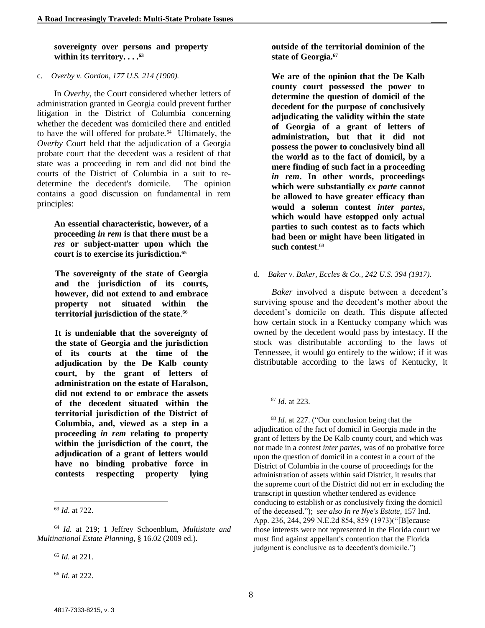#### **sovereignty over persons and property within its territory. . . .<sup>63</sup>**

#### c. *Overby v. Gordon, 177 U.S. 214 (1900).*

In *Overby*, the Court considered whether letters of administration granted in Georgia could prevent further litigation in the District of Columbia concerning whether the decedent was domiciled there and entitled to have the will offered for probate.<sup>64</sup> Ultimately, the *Overby* Court held that the adjudication of a Georgia probate court that the decedent was a resident of that state was a proceeding in rem and did not bind the courts of the District of Columbia in a suit to redetermine the decedent's domicile. The opinion contains a good discussion on fundamental in rem principles:

**An essential characteristic, however, of a proceeding** *in rem* **is that there must be a**  *res* **or subject-matter upon which the court is to exercise its jurisdiction.<sup>65</sup>**

**The sovereignty of the state of Georgia and the jurisdiction of its courts, however, did not extend to and embrace property not situated within the territorial jurisdiction of the state**. 66

**It is undeniable that the sovereignty of the state of Georgia and the jurisdiction of its courts at the time of the adjudication by the De Kalb county court, by the grant of letters of administration on the estate of Haralson, did not extend to or embrace the assets of the decedent situated within the territorial jurisdiction of the District of Columbia, and, viewed as a step in a proceeding** *in rem* **relating to property within the jurisdiction of the court, the adjudication of a grant of letters would have no binding probative force in contests respecting property lying** 

l

<sup>65</sup> *Id.* at 221.

<sup>66</sup> *Id.* at 222.

**outside of the territorial dominion of the state of Georgia.<sup>67</sup>**

**We are of the opinion that the De Kalb county court possessed the power to determine the question of domicil of the decedent for the purpose of conclusively adjudicating the validity within the state of Georgia of a grant of letters of administration, but that it did not possess the power to conclusively bind all the world as to the fact of domicil, by a mere finding of such fact in a proceeding**  *in rem***. In other words, proceedings which were substantially** *ex parte* **cannot be allowed to have greater efficacy than would a solemn contest** *inter partes***, which would have estopped only actual parties to such contest as to facts which had been or might have been litigated in such contest**. 68

#### d. *Baker v. Baker, Eccles & Co., 242 U.S. 394 (1917).*

*Baker* involved a dispute between a decedent's surviving spouse and the decedent's mother about the decedent's domicile on death. This dispute affected how certain stock in a Kentucky company which was owned by the decedent would pass by intestacy. If the stock was distributable according to the laws of Tennessee, it would go entirely to the widow; if it was distributable according to the laws of Kentucky, it

l

<sup>68</sup> *Id.* at 227. ("Our conclusion being that the adjudication of the fact of domicil in Georgia made in the grant of letters by the De Kalb county court, and which was not made in a contest *inter partes*, was of no probative force upon the question of domicil in a contest in a court of the District of Columbia in the course of proceedings for the administration of assets within said District, it results that the supreme court of the District did not err in excluding the transcript in question whether tendered as evidence conducing to establish or as conclusively fixing the domicil of the deceased."); *see also In re Nye's Estate*, 157 Ind. App. 236, 244, 299 N.E.2d 854, 859 (1973)("[B]ecause those interests were not represented in the Florida court we must find against appellant's contention that the Florida judgment is conclusive as to decedent's domicile.")

<sup>63</sup> *Id.* at 722.

<sup>64</sup> *Id.* at 219; 1 Jeffrey Schoenblum, *Multistate and Multinational Estate Planning*, § 16.02 (2009 ed.).

<sup>67</sup> *Id.* at 223.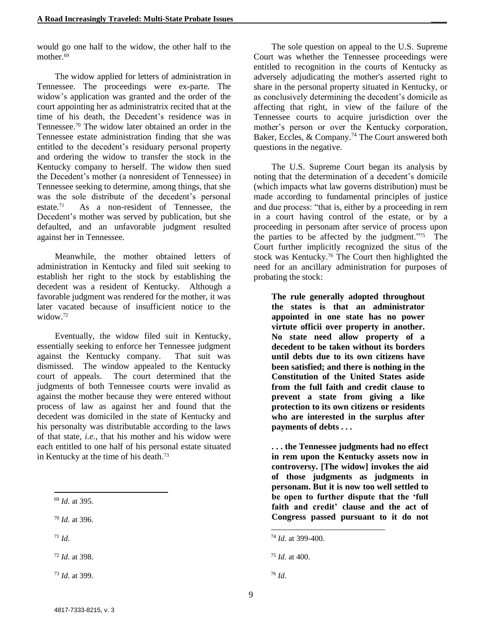would go one half to the widow, the other half to the mother.<sup>69</sup>

The widow applied for letters of administration in Tennessee. The proceedings were ex-parte. The widow's application was granted and the order of the court appointing her as administratrix recited that at the time of his death, the Decedent's residence was in Tennessee. <sup>70</sup> The widow later obtained an order in the Tennessee estate administration finding that she was entitled to the decedent's residuary personal property and ordering the widow to transfer the stock in the Kentucky company to herself. The widow then sued the Decedent's mother (a nonresident of Tennessee) in Tennessee seeking to determine, among things, that she was the sole distribute of the decedent's personal estate.<sup>71</sup> As a non-resident of Tennessee, the Decedent's mother was served by publication, but she defaulted, and an unfavorable judgment resulted against her in Tennessee.

Meanwhile, the mother obtained letters of administration in Kentucky and filed suit seeking to establish her right to the stock by establishing the decedent was a resident of Kentucky. Although a favorable judgment was rendered for the mother, it was later vacated because of insufficient notice to the widow.<sup>72</sup>

Eventually, the widow filed suit in Kentucky, essentially seeking to enforce her Tennessee judgment against the Kentucky company. That suit was dismissed. The window appealed to the Kentucky court of appeals. The court determined that the judgments of both Tennessee courts were invalid as against the mother because they were entered without process of law as against her and found that the decedent was domiciled in the state of Kentucky and his personalty was distributable according to the laws of that state, *i.e.,* that his mother and his widow were each entitled to one half of his personal estate situated in Kentucky at the time of his death. 73

<sup>70</sup> *Id.* at 396.

 $71$  *Id.* 

<sup>72</sup> *Id.* at 398.

The sole question on appeal to the U.S. Supreme Court was whether the Tennessee proceedings were entitled to recognition in the courts of Kentucky as adversely adjudicating the mother's asserted right to share in the personal property situated in Kentucky, or as conclusively determining the decedent's domicile as affecting that right, in view of the failure of the Tennessee courts to acquire jurisdiction over the mother's person or over the Kentucky corporation, Baker, Eccles,  $& Company.<sup>74</sup>$  The Court answered both questions in the negative.

The U.S. Supreme Court began its analysis by noting that the determination of a decedent's domicile (which impacts what law governs distribution) must be made according to fundamental principles of justice and due process: "that is, either by a proceeding in rem in a court having control of the estate, or by a proceeding in personam after service of process upon the parties to be affected by the judgment."<sup>75</sup> The Court further implicitly recognized the situs of the stock was Kentucky.<sup>76</sup> The Court then highlighted the need for an ancillary administration for purposes of probating the stock:

**The rule generally adopted throughout the states is that an administrator appointed in one state has no power virtute officii over property in another. No state need allow property of a decedent to be taken without its borders until debts due to its own citizens have been satisfied; and there is nothing in the Constitution of the United States aside from the full faith and credit clause to prevent a state from giving a like protection to its own citizens or residents who are interested in the surplus after payments of debts . . .** 

**. . . the Tennessee judgments had no effect in rem upon the Kentucky assets now in controversy. [The widow] invokes the aid of those judgments as judgments in personam. But it is now too well settled to be open to further dispute that the 'full faith and credit' clause and the act of Congress passed pursuant to it do not** 

l <sup>69</sup> *Id.* at 395.

<sup>73</sup> *Id.* at 399.

<sup>74</sup> *Id.* at 399-400.

<sup>75</sup> *Id.* at 400.

<sup>76</sup> *Id.*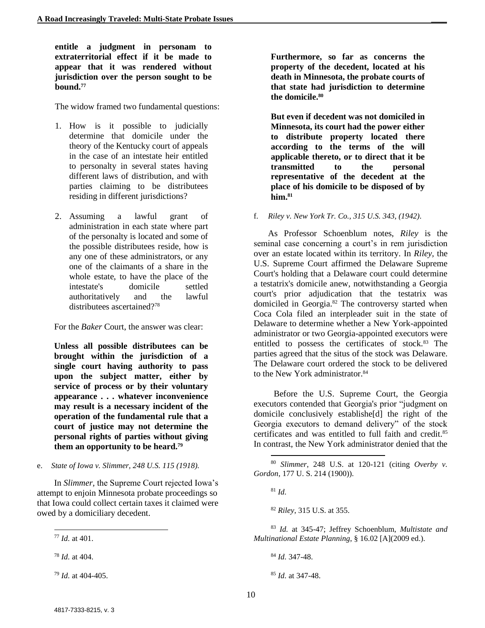**entitle a judgment in personam to extraterritorial effect if it be made to appear that it was rendered without jurisdiction over the person sought to be bound.<sup>77</sup>**

The widow framed two fundamental questions:

- 1. How is it possible to judicially determine that domicile under the theory of the Kentucky court of appeals in the case of an intestate heir entitled to personalty in several states having different laws of distribution, and with parties claiming to be distributees residing in different jurisdictions?
- 2. Assuming a lawful grant of administration in each state where part of the personalty is located and some of the possible distributees reside, how is any one of these administrators, or any one of the claimants of a share in the whole estate, to have the place of the intestate's domicile settled authoritatively and the lawful distributees ascertained?<sup>78</sup>

For the *Baker* Court, the answer was clear:

**Unless all possible distributees can be brought within the jurisdiction of a single court having authority to pass upon the subject matter, either by service of process or by their voluntary appearance . . . whatever inconvenience may result is a necessary incident of the operation of the fundamental rule that a court of justice may not determine the personal rights of parties without giving them an opportunity to be heard.<sup>79</sup>**

e. *State of Iowa v. Slimmer, 248 U.S. 115 (1918).* 

In *Slimmer,* the Supreme Court rejected Iowa's attempt to enjoin Minnesota probate proceedings so that Iowa could collect certain taxes it claimed were owed by a domiciliary decedent.

<sup>77</sup> *Id.* at 401.

l

<sup>78</sup> *Id.* at 404.

<sup>79</sup> *Id.* at 404-405.

**Furthermore, so far as concerns the property of the decedent, located at his death in Minnesota, the probate courts of that state had jurisdiction to determine the domicile.<sup>80</sup>**

**But even if decedent was not domiciled in Minnesota, its court had the power either to distribute property located there according to the terms of the will applicable thereto, or to direct that it be transmitted to the personal representative of the decedent at the place of his domicile to be disposed of by him. 81**

f. *Riley v. New York Tr. Co., 315 U.S. 343, (1942).* 

As Professor Schoenblum notes, *Riley* is the seminal case concerning a court's in rem jurisdiction over an estate located within its territory. In *Riley,* the U.S. Supreme Court affirmed the Delaware Supreme Court's holding that a Delaware court could determine a testatrix's domicile anew, notwithstanding a Georgia court's prior adjudication that the testatrix was domiciled in Georgia.<sup>82</sup> The controversy started when Coca Cola filed an interpleader suit in the state of Delaware to determine whether a New York-appointed administrator or two Georgia-appointed executors were entitled to possess the certificates of stock.<sup>83</sup> The parties agreed that the situs of the stock was Delaware. The Delaware court ordered the stock to be delivered to the New York administrator.<sup>84</sup>

Before the U.S. Supreme Court, the Georgia executors contended that Georgia's prior "judgment on domicile conclusively establishe[d] the right of the Georgia executors to demand delivery" of the stock certificates and was entitled to full faith and credit.<sup>85</sup> In contrast, the New York administrator denied that the

 $81$  *Id.* 

l

<sup>82</sup> *Riley*, 315 U.S. at 355.

<sup>83</sup> *Id.* at 345-47; Jeffrey Schoenblum, *Multistate and Multinational Estate Planning*, § 16.02 [A](2009 ed.).

<sup>84</sup> *Id.* 347-48.

<sup>85</sup> *Id.* at 347-48.

<sup>80</sup> *Slimmer*, 248 U.S. at 120-121 (citing *Overby v. Gordon*, 177 U. S. 214 (1900)).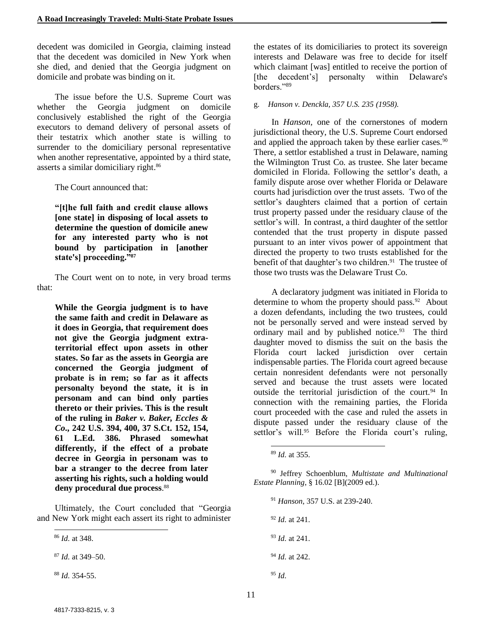decedent was domiciled in Georgia, claiming instead that the decedent was domiciled in New York when she died, and denied that the Georgia judgment on domicile and probate was binding on it.

The issue before the U.S. Supreme Court was whether the Georgia judgment on domicile conclusively established the right of the Georgia executors to demand delivery of personal assets of their testatrix which another state is willing to surrender to the domiciliary personal representative when another representative, appointed by a third state, asserts a similar domiciliary right. 86

The Court announced that:

**"[t]he full faith and credit clause allows [one state] in disposing of local assets to determine the question of domicile anew for any interested party who is not bound by participation in [another state's] proceeding."<sup>87</sup>**

The Court went on to note, in very broad terms that:

**While the Georgia judgment is to have the same faith and credit in Delaware as it does in Georgia, that requirement does not give the Georgia judgment extraterritorial effect upon assets in other states. So far as the assets in Georgia are concerned the Georgia judgment of probate is in rem; so far as it affects personalty beyond the state, it is in personam and can bind only parties thereto or their privies. This is the result of the ruling in** *Baker v. Baker, Eccles & Co***., 242 U.S. 394, 400, 37 S.Ct. 152, 154, 61 L.Ed. 386. Phrased somewhat differently, if the effect of a probate decree in Georgia in personam was to bar a stranger to the decree from later asserting his rights, such a holding would deny procedural due process**. 88

Ultimately, the Court concluded that "Georgia and New York might each assert its right to administer

<sup>86</sup> *Id.* at 348.

l

<sup>87</sup> *Id.* at 349–50.

<sup>88</sup> *Id.* 354-55.

the estates of its domiciliaries to protect its sovereign interests and Delaware was free to decide for itself which claimant [was] entitled to receive the portion of [the decedent's] personalty within Delaware's borders."<sup>89</sup>

#### g. *Hanson v. Denckla, 357 U.S. 235 (1958).*

In *Hanson,* one of the cornerstones of modern jurisdictional theory, the U.S. Supreme Court endorsed and applied the approach taken by these earlier cases.<sup>90</sup> There, a settlor established a trust in Delaware, naming the Wilmington Trust Co. as trustee. She later became domiciled in Florida. Following the settlor's death, a family dispute arose over whether Florida or Delaware courts had jurisdiction over the trust assets. Two of the settlor's daughters claimed that a portion of certain trust property passed under the residuary clause of the settlor's will. In contrast, a third daughter of the settlor contended that the trust property in dispute passed pursuant to an inter vivos power of appointment that directed the property to two trusts established for the benefit of that daughter's two children.<sup>91</sup> The trustee of those two trusts was the Delaware Trust Co.

A declaratory judgment was initiated in Florida to determine to whom the property should pass.<sup>92</sup> About a dozen defendants, including the two trustees, could not be personally served and were instead served by ordinary mail and by published notice.<sup>93</sup> The third daughter moved to dismiss the suit on the basis the Florida court lacked jurisdiction over certain indispensable parties. The Florida court agreed because certain nonresident defendants were not personally served and because the trust assets were located outside the territorial jurisdiction of the court.<sup>94</sup> In connection with the remaining parties, the Florida court proceeded with the case and ruled the assets in dispute passed under the residuary clause of the settlor's will.<sup>95</sup> Before the Florida court's ruling,

<sup>90</sup> Jeffrey Schoenblum, *Multistate and Multinational Estate Planning*, § 16.02 [B](2009 ed.).

 *Hanson*, 357 U.S. at 239-240. *Id.* at 241. *Id.* at 241. *Id.* at 242. <sup>95</sup> *Id.* 

l <sup>89</sup> *Id.* at 355.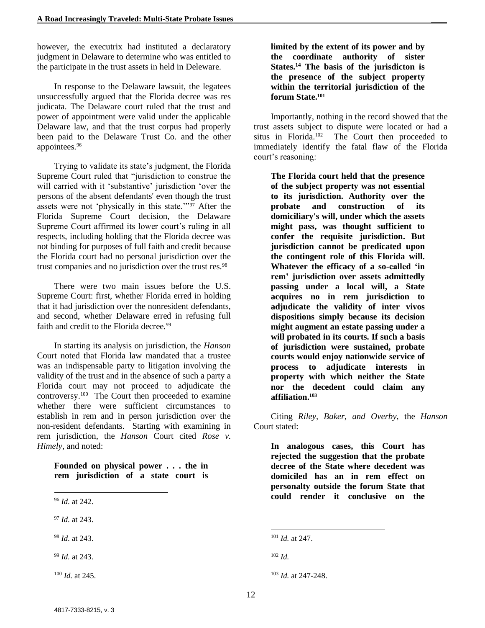however, the executrix had instituted a declaratory judgment in Delaware to determine who was entitled to the participate in the trust assets in held in Deleware.

In response to the Delaware lawsuit, the legatees unsuccessfully argued that the Florida decree was res judicata. The Delaware court ruled that the trust and power of appointment were valid under the applicable Delaware law, and that the trust corpus had properly been paid to the Delaware Trust Co. and the other appointees.<sup>96</sup>

Trying to validate its state's judgment, the Florida Supreme Court ruled that "jurisdiction to construe the will carried with it 'substantive' jurisdiction 'over the persons of the absent defendants' even though the trust assets were not 'physically in this state.'"<sup>97</sup> After the Florida Supreme Court decision, the Delaware Supreme Court affirmed its lower court's ruling in all respects, including holding that the Florida decree was not binding for purposes of full faith and credit because the Florida court had no personal jurisdiction over the trust companies and no jurisdiction over the trust res.<sup>98</sup>

There were two main issues before the U.S. Supreme Court: first, whether Florida erred in holding that it had jurisdiction over the nonresident defendants, and second, whether Delaware erred in refusing full faith and credit to the Florida decree.<sup>99</sup>

In starting its analysis on jurisdiction, the *Hanson*  Court noted that Florida law mandated that a trustee was an indispensable party to litigation involving the validity of the trust and in the absence of such a party a Florida court may not proceed to adjudicate the controversy.<sup>100</sup> The Court then proceeded to examine whether there were sufficient circumstances to establish in rem and in person jurisdiction over the non-resident defendants. Starting with examining in rem jurisdiction, the *Hanson* Court cited *Rose v. Himely*, and noted:

**Founded on physical power . . . the in rem jurisdiction of a state court is** 

l

- <sup>97</sup> *Id.* at 243.
- <sup>98</sup> *Id.* at 243.

<sup>99</sup> *Id.* at 243.

<sup>100</sup> *Id.* at 245.

**limited by the extent of its power and by the coordinate authority of sister States.<sup>14</sup> The basis of the jurisdicton is the presence of the subject property within the territorial jurisdiction of the forum State.<sup>101</sup>**

Importantly, nothing in the record showed that the trust assets subject to dispute were located or had a situs in Florida.<sup>102</sup> The Court then proceeded to immediately identify the fatal flaw of the Florida court's reasoning:

**The Florida court held that the presence of the subject property was not essential to its jurisdiction. Authority over the probate and construction of its domiciliary's will, under which the assets might pass, was thought sufficient to confer the requisite jurisdiction. But jurisdiction cannot be predicated upon the contingent role of this Florida will. Whatever the efficacy of a so-called 'in rem' jurisdiction over assets admittedly passing under a local will, a State acquires no in rem jurisdiction to adjudicate the validity of inter vivos dispositions simply because its decision might augment an estate passing under a will probated in its courts. If such a basis of jurisdiction were sustained, probate courts would enjoy nationwide service of process to adjudicate interests in property with which neither the State nor the decedent could claim any affiliation. 103**

Citing *Riley, Baker, and Overby,* the *Hanson*  Court stated:

**In analogous cases, this Court has rejected the suggestion that the probate decree of the State where decedent was domiciled has an in rem effect on personalty outside the forum State that could render it conclusive on the** 

<sup>96</sup> *Id.* at 242.

l <sup>101</sup> *Id.* at 247.

<sup>102</sup> *Id.*

<sup>103</sup> *Id.* at 247-248.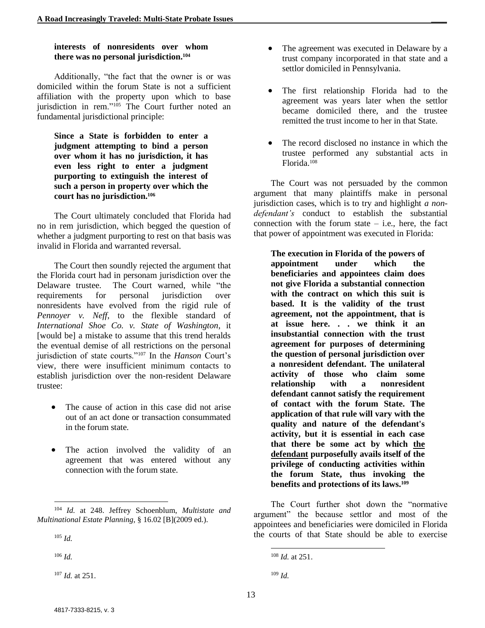#### **interests of nonresidents over whom there was no personal jurisdiction. 104**

Additionally, "the fact that the owner is or was domiciled within the forum State is not a sufficient affiliation with the property upon which to base jurisdiction in rem."<sup>105</sup> The Court further noted an fundamental jurisdictional principle:

**Since a State is forbidden to enter a judgment attempting to bind a person over whom it has no jurisdiction, it has even less right to enter a judgment purporting to extinguish the interest of such a person in property over which the court has no jurisdiction. 106**

The Court ultimately concluded that Florida had no in rem jurisdiction, which begged the question of whether a judgment purporting to rest on that basis was invalid in Florida and warranted reversal.

The Court then soundly rejected the argument that the Florida court had in personam jurisdiction over the Delaware trustee. The Court warned, while "the requirements for personal jurisdiction over nonresidents have evolved from the rigid rule of *Pennoyer v. Neff*, to the flexible standard of *International Shoe Co. v. State of Washington*, it [would be] a mistake to assume that this trend heralds the eventual demise of all restrictions on the personal jurisdiction of state courts."<sup>107</sup> In the *Hanson* Court's view, there were insufficient minimum contacts to establish jurisdiction over the non-resident Delaware trustee:

- The cause of action in this case did not arise out of an act done or transaction consummated in the forum state.
- The action involved the validity of an agreement that was entered without any connection with the forum state.

<sup>105</sup> *Id.*

l

<sup>106</sup> *Id.*

<sup>107</sup> *Id.* at 251.

- The agreement was executed in Delaware by a trust company incorporated in that state and a settlor domiciled in Pennsylvania.
- The first relationship Florida had to the agreement was years later when the settlor became domiciled there, and the trustee remitted the trust income to her in that State.
- The record disclosed no instance in which the trustee performed any substantial acts in Florida.<sup>108</sup>

The Court was not persuaded by the common argument that many plaintiffs make in personal jurisdiction cases, which is to try and highlight *a nondefendant's* conduct to establish the substantial connection with the forum state  $-$  i.e., here, the fact that power of appointment was executed in Florida:

**The execution in Florida of the powers of appointment under which the beneficiaries and appointees claim does not give Florida a substantial connection with the contract on which this suit is based. It is the validity of the trust agreement, not the appointment, that is at issue here. . . we think it an insubstantial connection with the trust agreement for purposes of determining the question of personal jurisdiction over a nonresident defendant. The unilateral activity of those who claim some relationship with a nonresident defendant cannot satisfy the requirement of contact with the forum State. The application of that rule will vary with the quality and nature of the defendant's activity, but it is essential in each case that there be some act by which the defendant purposefully avails itself of the privilege of conducting activities within the forum State, thus invoking the benefits and protections of its laws.<sup>109</sup>**

The Court further shot down the "normative argument" the because settlor and most of the appointees and beneficiaries were domiciled in Florida the courts of that State should be able to exercise

<sup>104</sup> *Id.* at 248. Jeffrey Schoenblum, *Multistate and Multinational Estate Planning*, § 16.02 [B](2009 ed.).

l <sup>108</sup> *Id.* at 251.

 $109$  *Id.*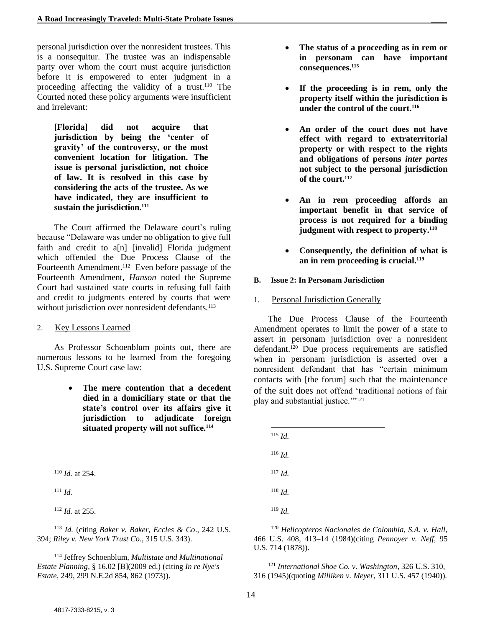personal jurisdiction over the nonresident trustees. This is a nonsequitur. The trustee was an indispensable party over whom the court must acquire jurisdiction before it is empowered to enter judgment in a proceeding affecting the validity of a trust.<sup>110</sup> The Courted noted these policy arguments were insufficient and irrelevant:

**[Florida] did not acquire that jurisdiction by being the 'center of gravity' of the controversy, or the most convenient location for litigation. The issue is personal jurisdiction, not choice of law. It is resolved in this case by considering the acts of the trustee. As we have indicated, they are insufficient to sustain the jurisdiction.<sup>111</sup>**

The Court affirmed the Delaware court's ruling because "Delaware was under no obligation to give full faith and credit to a[n] [invalid] Florida judgment which offended the Due Process Clause of the Fourteenth Amendment.<sup>112</sup> Even before passage of the Fourteenth Amendment, *Hanson* noted the Supreme Court had sustained state courts in refusing full faith and credit to judgments entered by courts that were without jurisdiction over nonresident defendants.<sup>113</sup>

#### 2. Key Lessons Learned

As Professor Schoenblum points out, there are numerous lessons to be learned from the foregoing U.S. Supreme Court case law:

> • **The mere contention that a decedent died in a domiciliary state or that the state's control over its affairs give it jurisdiction to adjudicate foreign situated property will not suffice.<sup>114</sup>**

l <sup>110</sup> *Id.* at 254.

 $111$  *Id.* 

<sup>112</sup> *Id.* at 255.

<sup>113</sup> *Id.* (citing *Baker v. Baker, Eccles & Co*., 242 U.S. 394; *Riley v. New York Trust Co*., 315 U.S. 343).

<sup>114</sup> Jeffrey Schoenblum, *Multistate and Multinational Estate Planning*, § 16.02 [B](2009 ed.) (citing *In re Nye's Estate*, 249, 299 N.E.2d 854, 862 (1973)).

- **The status of a proceeding as in rem or in personam can have important consequences.<sup>115</sup>**
- If the proceeding is in rem, only the **property itself within the jurisdiction is under the control of the court.<sup>116</sup>**
- **An order of the court does not have effect with regard to extraterritorial property or with respect to the rights and obligations of persons** *inter partes*  **not subject to the personal jurisdiction of the court.<sup>117</sup>**
- **An in rem proceeding affords an important benefit in that service of process is not required for a binding judgment with respect to property.<sup>118</sup>**
- **Consequently, the definition of what is an in rem proceeding is crucial.<sup>119</sup>**

#### **B. Issue 2: In Personam Jurisdiction**

#### 1. Personal Jurisdiction Generally

The Due Process Clause of the Fourteenth Amendment operates to limit the power of a state to assert in personam jurisdiction over a nonresident defendant.<sup>120</sup> Due process requirements are satisfied when in personam jurisdiction is asserted over a nonresident defendant that has "certain minimum contacts with [the forum] such that the maintenance of the suit does not offend 'traditional notions of fair play and substantial justice.""<sup>121</sup>

| $^{115}$ <i>Id.</i> |  |  |
|---------------------|--|--|
| $116$ <i>Id.</i>    |  |  |
| $^{117}$ <i>Id.</i> |  |  |
| $118$ <i>Id.</i>    |  |  |
| $^{119}$ <i>Id.</i> |  |  |
|                     |  |  |

<sup>120</sup> *Helicopteros Nacionales de Colombia, S.A. v. Hall*, 466 U.S. 408, 413–14 (1984)(citing *Pennoyer v. Neff*, 95 U.S. 714 (1878)).

<sup>121</sup> *International Shoe Co. v. Washington*, 326 U.S. 310, 316 (1945)(quoting *Milliken v. Meyer*, 311 U.S. 457 (1940)).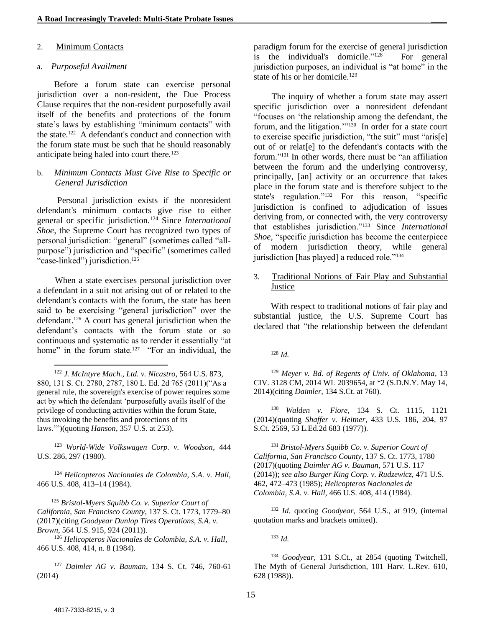#### 2. Minimum Contacts

#### a. *Purposeful Availment*

Before a forum state can exercise personal jurisdiction over a non-resident, the Due Process Clause requires that the non-resident purposefully avail itself of the benefits and protections of the forum state's laws by establishing "minimum contacts" with the state.<sup>122</sup> A defendant's conduct and connection with the forum state must be such that he should reasonably anticipate being haled into court there.<sup>123</sup>

#### b. *Minimum Contacts Must Give Rise to Specific or General Jurisdiction*

Personal jurisdiction exists if the nonresident defendant's minimum contacts give rise to either general or specific jurisdiction.<sup>124</sup> Since *International Shoe,* the Supreme Court has recognized two types of personal jurisdiction: "general" (sometimes called "allpurpose") jurisdiction and "specific" (sometimes called "case-linked") jurisdiction.<sup>125</sup>

When a state exercises personal jurisdiction over a defendant in a suit not arising out of or related to the defendant's contacts with the forum, the state has been said to be exercising "general jurisdiction" over the defendant.<sup>126</sup> A court has general jurisdiction when the defendant's contacts with the forum state or so continuous and systematic as to render it essentially "at home" in the forum state.<sup>127</sup> "For an individual, the

<sup>122</sup> *J. McIntyre Mach., Ltd. v. Nicastro*, 564 U.S. 873, 880, 131 S. Ct. 2780, 2787, 180 L. Ed. 2d 765 (2011)("As a general rule, the sovereign's exercise of power requires some act by which the defendant 'purposefully avails itself of the privilege of conducting activities within the forum State, thus invoking the benefits and protections of its laws.'")(quoting *Hanson*, 357 U.S. at 253).

<sup>123</sup> *World-Wide Volkswagen Corp. v. Woodson*, 444 U.S. 286, 297 (1980).

<sup>124</sup> *Helicopteros Nacionales de Colombia, S.A. v. Hall,* 466 U.S. 408, 413–14 (1984).

<sup>125</sup> *Bristol-Myers Squibb Co. v. Superior Court of California, San Francisco County*, 137 S. Ct. 1773, 1779–80 (2017)(citing *Goodyear Dunlop Tires Operations, S.A. v. Brown,* 564 U.S. 915, 924 (2011)).

<sup>126</sup> *Helicopteros Nacionales de Colombia, S.A. v. Hall*, 466 U.S. 408, 414, n. 8 (1984).

<sup>127</sup> *Daimler AG v. Bauman*, 134 S. Ct. 746, 760-61 (2014)

paradigm forum for the exercise of general jurisdiction is the individual's domicile."<sup>128</sup> For general jurisdiction purposes, an individual is "at home" in the state of his or her domicile.<sup>129</sup>

The inquiry of whether a forum state may assert specific jurisdiction over a nonresident defendant "focuses on 'the relationship among the defendant, the forum, and the litigation."<sup>130</sup> In order for a state court to exercise specific jurisdiction, "the suit" must "aris[e] out of or relat[e] to the defendant's contacts with the forum."<sup>131</sup> In other words, there must be "an affiliation between the forum and the underlying controversy, principally, [an] activity or an occurrence that takes place in the forum state and is therefore subject to the state's regulation."<sup>132</sup> For this reason, "specific jurisdiction is confined to adjudication of issues deriving from, or connected with, the very controversy that establishes jurisdiction."<sup>133</sup> Since *International Shoe,* "specific jurisdiction has become the centerpiece of modern jurisdiction theory, while general jurisdiction [has played] a reduced role."<sup>134</sup>

3. Traditional Notions of Fair Play and Substantial Justice

With respect to traditional notions of fair play and substantial justice, the U.S. Supreme Court has declared that "the relationship between the defendant

<sup>128</sup> *Id.*

l

<sup>129</sup> *Meyer v. Bd. of Regents of Univ. of Oklahoma*, 13 CIV. 3128 CM, 2014 WL 2039654, at \*2 (S.D.N.Y. May 14, 2014)(citing *Daimler*, 134 S.Ct. at 760).

<sup>130</sup> *Walden v. Fiore*, 134 S. Ct. 1115, 1121 (2014)(quoting *Shaffer v. Heitner,* 433 U.S. 186, 204, 97 S.Ct. 2569, 53 L.Ed.2d 683 (1977)).

<sup>131</sup> *Bristol-Myers Squibb Co. v. Superior Court of California, San Francisco County*, 137 S. Ct. 1773, 1780 (2017)(quoting *Daimler AG v. Bauman*, 571 U.S. 117 (2014)); *see also Burger King Corp. v. Rudzewicz,* 471 U.S. 462, 472–473 (1985); *Helicopteros Nacionales de Colombia, S.A. v. Hall,* 466 U.S. 408, 414 (1984).

<sup>132</sup> *Id.* quoting *Goodyear,* 564 U.S., at 919, (internal quotation marks and brackets omitted).

<sup>133</sup> *Id.*

<sup>134</sup> *Goodyear,* 131 S.Ct., at 2854 (quoting Twitchell, The Myth of General Jurisdiction, 101 Harv. L.Rev. 610, 628 (1988)).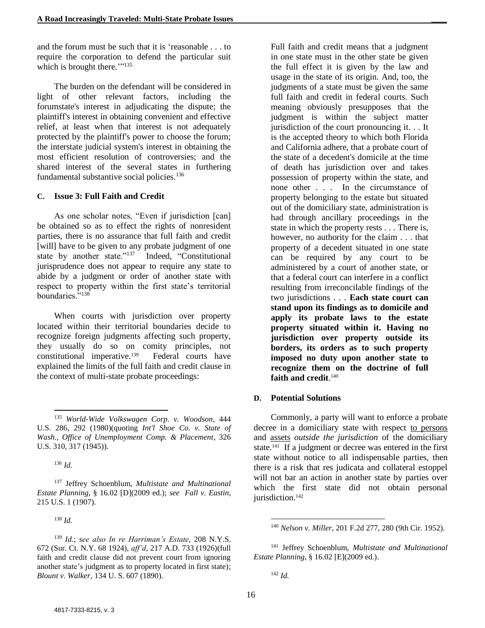and the forum must be such that it is 'reasonable . . . to require the corporation to defend the particular suit which is brought there.""<sup>135</sup>

The burden on the defendant will be considered in light of other relevant factors, including the forumstate's interest in adjudicating the dispute; the plaintiff's interest in obtaining convenient and effective relief, at least when that interest is not adequately protected by the plaintiff's power to choose the forum; the interstate judicial system's interest in obtaining the most efficient resolution of controversies; and the shared interest of the several states in furthering fundamental substantive social policies.<sup>136</sup>

#### **C. Issue 3: Full Faith and Credit**

As one scholar notes, "Even if jurisdiction [can] be obtained so as to effect the rights of nonresident parties, there is no assurance that full faith and credit [will] have to be given to any probate judgment of one state by another state."<sup>137</sup> Indeed, "Constitutional jurisprudence does not appear to require any state to abide by a judgment or order of another state with respect to property within the first state's territorial boundaries.<sup>5,138</sup>

When courts with jurisdiction over property located within their territorial boundaries decide to recognize foreign judgments affecting such property, they usually do so on comity principles, not constitutional imperative.<sup>139</sup> Federal courts have explained the limits of the full faith and credit clause in the context of multi-state probate proceedings:

l

<sup>137</sup> Jeffrey Schoenblum, *Multistate and Multinational Estate Planning*, § 16.02 [D](2009 ed.); *see Fall v. Eastin*, 215 U.S. 1 (1907).

<sup>138</sup> *Id.*

<sup>139</sup> *Id.*; *see also In re Harriman's Estate*, 208 N.Y.S. 672 (Sur. Ct. N.Y. 68 1924), *aff'd*, 217 A.D. 733 (1926)(full faith and credit clause did not prevent court from ignoring another state's judgment as to property located in first state); *Blount v. Walker*, 134 U. S. 607 (1890).

Full faith and credit means that a judgment in one state must in the other state be given the full effect it is given by the law and usage in the state of its origin. And, too, the judgments of a state must be given the same full faith and credit in federal courts. Such meaning obviously presupposes that the judgment is within the subject matter jurisdiction of the court pronouncing it. . . It is the accepted theory to which both Florida and California adhere, that a probate court of the state of a decedent's domicile at the time of death has jurisdiction over and takes possession of property within the state, and none other . . . In the circumstance of property belonging to the estate but situated out of the domiciliary state, administration is had through ancillary proceedings in the state in which the property rests . . . There is, however, no authority for the claim . . . that property of a decedent situated in one state can be required by any court to be administered by a court of another state, or that a federal court can interfere in a conflict resulting from irreconcilable findings of the two jurisdictions . . . **Each state court can stand upon its findings as to domicile and apply its probate laws to the estate property situated within it. Having no jurisdiction over property outside its borders, its orders as to such property imposed no duty upon another state to recognize them on the doctrine of full faith and credit**. 140

#### **D. Potential Solutions**

Commonly, a party will want to enforce a probate decree in a domiciliary state with respect to persons and assets *outside the jurisdiction* of the domiciliary state.<sup>141</sup> If a judgment or decree was entered in the first state without notice to all indispensable parties, then there is a risk that res judicata and collateral estoppel will not bar an action in another state by parties over which the first state did not obtain personal jurisdiction.<sup>142</sup>

<sup>141</sup> Jeffrey Schoenblum, *Multistate and Multinational Estate Planning*, § 16.02 [E](2009 ed.).

<sup>135</sup> *World-Wide Volkswagen Corp. v. Woodson*, 444 U.S. 286, 292 (1980)(quoting *Int'l Shoe Co. v. State of Wash., Office of Unemployment Comp. & Placement*, 326 U.S. 310, 317 (1945)).

<sup>136</sup> *Id.*

<sup>140</sup> *Nelson v. Miller*, 201 F.2d 277, 280 (9th Cir. 1952).

<sup>142</sup> *Id.*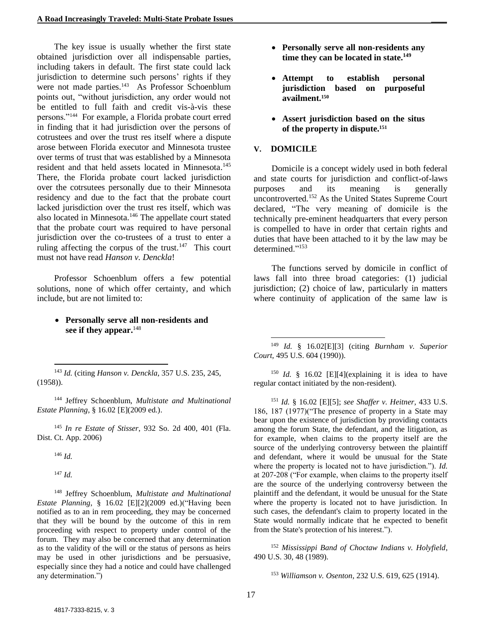The key issue is usually whether the first state obtained jurisdiction over all indispensable parties, including takers in default. The first state could lack jurisdiction to determine such persons' rights if they were not made parties.<sup>143</sup> As Professor Schoenblum points out, "without jurisdiction, any order would not be entitled to full faith and credit vis-à-vis these persons."<sup>144</sup> For example, a Florida probate court erred in finding that it had jurisdiction over the persons of cotrustees and over the trust res itself where a dispute arose between Florida executor and Minnesota trustee over terms of trust that was established by a Minnesota resident and that held assets located in Minnesota. 145 There, the Florida probate court lacked jurisdiction over the cotrsutees personally due to their Minnesota residency and due to the fact that the probate court lacked jurisdiction over the trust res itself, which was also located in Minnesota.<sup>146</sup> The appellate court stated that the probate court was required to have personal jurisdiction over the co-trustees of a trust to enter a ruling affecting the corpus of the trust.<sup>147</sup> This court must not have read *Hanson v. Denckla*!

Professor Schoenblum offers a few potential solutions, none of which offer certainty, and which include, but are not limited to:

#### • **Personally serve all non-residents and see if they appear.** 148

l <sup>143</sup> *Id.* (citing *Hanson v. Denckla*, 357 U.S. 235, 245, (1958)).

<sup>144</sup> Jeffrey Schoenblum, *Multistate and Multinational Estate Planning*, § 16.02 [E](2009 ed.).

<sup>145</sup> *In re Estate of Stisser*, 932 So. 2d 400, 401 (Fla. Dist. Ct. App. 2006)

<sup>146</sup> *Id.*

<sup>147</sup> *Id.*

<sup>148</sup> Jeffrey Schoenblum, *Multistate and Multinational Estate Planning*, § 16.02 [E][2](2009 ed.)("Having been notified as to an in rem proceeding, they may be concerned that they will be bound by the outcome of this in rem proceeding with respect to property under control of the forum. They may also be concerned that any determination as to the validity of the will or the status of persons as heirs may be used in other jurisdictions and be persuasive, especially since they had a notice and could have challenged any determination.")

- **Personally serve all non-residents any time they can be located in state.<sup>149</sup>**
- **Attempt to establish personal jurisdiction based on purposeful availment.<sup>150</sup>**
- **Assert jurisdiction based on the situs of the property in dispute.<sup>151</sup>**

#### **V. DOMICILE**

l

Domicile is a concept widely used in both federal and state courts for jurisdiction and conflict-of-laws purposes and its meaning is generally uncontroverted.<sup>152</sup> As the United States Supreme Court declared, "The very meaning of domicile is the technically pre-eminent headquarters that every person is compelled to have in order that certain rights and duties that have been attached to it by the law may be determined."<sup>153</sup>

The functions served by domicile in conflict of laws fall into three broad categories: (1) judicial jurisdiction; (2) choice of law, particularly in matters where continuity of application of the same law is

<sup>150</sup> *Id.* § 16.02 [E][4](explaining it is idea to have regular contact initiated by the non-resident).

<sup>151</sup> *Id.* § 16.02 [E][5]; *see Shaffer v. Heitner*, 433 U.S. 186, 187 (1977)("The presence of property in a State may bear upon the existence of jurisdiction by providing contacts among the forum State, the defendant, and the litigation, as for example, when claims to the property itself are the source of the underlying controversy between the plaintiff and defendant, where it would be unusual for the State where the property is located not to have jurisdiction."). *Id.*  at 207-208 ("For example, when claims to the property itself are the source of the underlying controversy between the plaintiff and the defendant, it would be unusual for the State where the property is located not to have jurisdiction. In such cases, the defendant's claim to property located in the State would normally indicate that he expected to benefit from the State's protection of his interest.").

<sup>152</sup> *Mississippi Band of Choctaw Indians v. Holyfield*, 490 U.S. 30, 48 (1989).

<sup>153</sup> *Williamson v. Osenton*, 232 U.S. 619, 625 (1914).

<sup>149</sup> *Id.* § 16.02[E][3] (citing *Burnham v. Superior Court,* 495 U.S. 604 (1990)).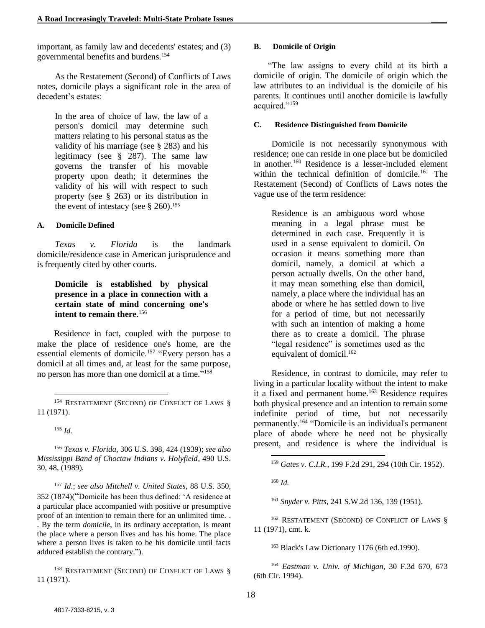important, as family law and decedents' estates; and (3) governmental benefits and burdens.<sup>154</sup>

As the Restatement (Second) of Conflicts of Laws notes, domicile plays a significant role in the area of decedent's estates:

In the area of choice of law, the law of a person's domicil may determine such matters relating to his personal status as the validity of his marriage (see § 283) and his legitimacy (see § 287). The same law governs the transfer of his movable property upon death; it determines the validity of his will with respect to such property (see § 263) or its distribution in the event of intestacy (see  $§$  260).<sup>155</sup>

#### **A. Domicile Defined**

*Texas v. Florida* is the landmark domicile/residence case in American jurisprudence and is frequently cited by other courts.

#### **Domicile is established by physical presence in a place in connection with a certain state of mind concerning one's intent to remain there**. 156

Residence in fact, coupled with the purpose to make the place of residence one's home, are the essential elements of domicile.<sup>157</sup> "Every person has a domicil at all times and, at least for the same purpose, no person has more than one domicil at a time." 158

<sup>154</sup> RESTATEMENT (SECOND) OF CONFLICT OF LAWS § 11 (1971).

<sup>155</sup> *Id.*

l

<sup>156</sup> *Texas v. Florida,* 306 U.S. 398, 424 (1939); *see also Mississippi Band of Choctaw Indians v. Holyfield*, 490 U.S. 30, 48, (1989).

<sup>157</sup> *Id.*; *see also Mitchell v. United States,* 88 U.S. 350, 352 (1874)("Domicile has been thus defined: 'A residence at a particular place accompanied with positive or presumptive proof of an intention to remain there for an unlimited time. . . By the term *domicile*, in its ordinary acceptation, is meant the place where a person lives and has his home. The place where a person lives is taken to be his domicile until facts adduced establish the contrary.").

<sup>158</sup> RESTATEMENT (SECOND) OF CONFLICT OF LAWS § 11 (1971).

#### **B. Domicile of Origin**

"The law assigns to every child at its birth a domicile of origin. The domicile of origin which the law attributes to an individual is the domicile of his parents. It continues until another domicile is lawfully acquired."<sup>159</sup>

#### **C. Residence Distinguished from Domicile**

Domicile is not necessarily synonymous with residence; one can reside in one place but be domiciled in another.<sup>160</sup> Residence is a lesser-included element within the technical definition of domicile.<sup>161</sup> The Restatement (Second) of Conflicts of Laws notes the vague use of the term residence:

Residence is an ambiguous word whose meaning in a legal phrase must be determined in each case. Frequently it is used in a sense equivalent to domicil. On occasion it means something more than domicil, namely, a domicil at which a person actually dwells. On the other hand, it may mean something else than domicil, namely, a place where the individual has an abode or where he has settled down to live for a period of time, but not necessarily with such an intention of making a home there as to create a domicil. The phrase "legal residence" is sometimes used as the equivalent of domicil.<sup>162</sup>

Residence, in contrast to domicile, may refer to living in a particular locality without the intent to make it a fixed and permanent home.<sup>163</sup> Residence requires both physical presence and an intention to remain some indefinite period of time, but not necessarily permanently.<sup>164</sup> "Domicile is an individual's permanent place of abode where he need not be physically present, and residence is where the individual is

<sup>160</sup> *Id.*

l

<sup>161</sup> *Snyder v. Pitts*, 241 S.W.2d 136, 139 (1951).

<sup>162</sup> RESTATEMENT (SECOND) OF CONFLICT OF LAWS § 11 (1971), cmt. k.

<sup>163</sup> Black's Law Dictionary 1176 (6th ed.1990).

<sup>164</sup> *Eastman v. Univ. of Michigan*, 30 F.3d 670, 673 (6th Cir. 1994).

<sup>159</sup> *Gates v. C.I.R.*, 199 F.2d 291, 294 (10th Cir. 1952).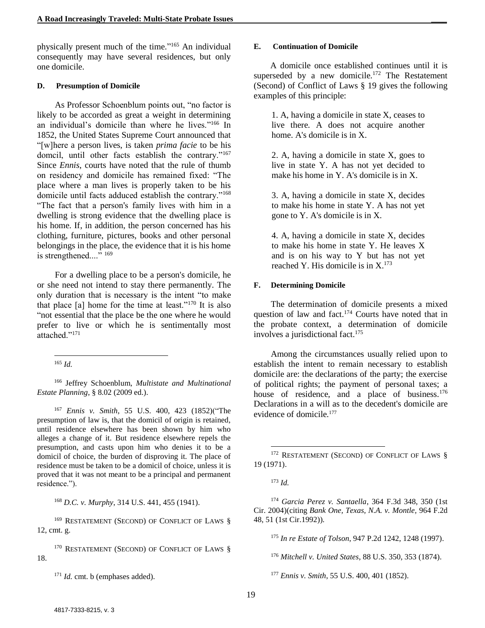physically present much of the time." <sup>165</sup> An individual consequently may have several residences, but only one domicile.

#### **D. Presumption of Domicile**

As Professor Schoenblum points out, "no factor is likely to be accorded as great a weight in determining an individual's domicile than where he lives." <sup>166</sup> In 1852, the United States Supreme Court announced that "[w]here a person lives, is taken *prima facie* to be his domcil, until other facts establish the contrary."<sup>167</sup> Since *Ennis*, courts have noted that the rule of thumb on residency and domicile has remained fixed: "The place where a man lives is properly taken to be his domicile until facts adduced establish the contrary."<sup>168</sup> "The fact that a person's family lives with him in a dwelling is strong evidence that the dwelling place is his home. If, in addition, the person concerned has his clothing, furniture, pictures, books and other personal belongings in the place, the evidence that it is his home is strengthened...."<sup>169</sup>

For a dwelling place to be a person's domicile, he or she need not intend to stay there permanently. The only duration that is necessary is the intent "to make that place  $[a]$  home for the time at least."<sup>170</sup> It is also "not essential that the place be the one where he would prefer to live or which he is sentimentally most attached."<sup>171</sup>

l <sup>165</sup> *Id.*

<sup>166</sup> Jeffrey Schoenblum, *Multistate and Multinational Estate Planning*, § 8.02 (2009 ed.).

<sup>167</sup> *Ennis v. Smith*, 55 U.S. 400, 423 (1852)("The presumption of law is, that the domicil of origin is retained, until residence elsewhere has been shown by him who alleges a change of it. But residence elsewhere repels the presumption, and casts upon him who denies it to be a domicil of choice, the burden of disproving it. The place of residence must be taken to be a domicil of choice, unless it is proved that it was not meant to be a principal and permanent residence.").

<sup>168</sup> *D.C. v. Murphy*, 314 U.S. 441, 455 (1941).

<sup>169</sup> RESTATEMENT (SECOND) OF CONFLICT OF LAWS § 12, cmt. g.

<sup>170</sup> RESTATEMENT (SECOND) OF CONFLICT OF LAWS § 18.

<sup>171</sup> *Id.* cmt. b (emphases added).

#### **E. Continuation of Domicile**

A domicile once established continues until it is superseded by a new domicile.<sup>172</sup> The Restatement (Second) of Conflict of Laws § 19 gives the following examples of this principle:

1. A, having a domicile in state X, ceases to live there. A does not acquire another home. A's domicile is in X.

2. A, having a domicile in state X, goes to live in state Y. A has not yet decided to make his home in Y. A's domicile is in X.

3. A, having a domicile in state X, decides to make his home in state Y. A has not yet gone to Y. A's domicile is in X.

4. A, having a domicile in state X, decides to make his home in state Y. He leaves X and is on his way to Y but has not yet reached Y. His domicile is in  $X^{173}$ .

#### **F. Determining Domicile**

The determination of domicile presents a mixed question of law and fact.<sup>174</sup> Courts have noted that in the probate context, a determination of domicile involves a jurisdictional fact.<sup>175</sup>

Among the circumstances usually relied upon to establish the intent to remain necessary to establish domicile are: the declarations of the party; the exercise of political rights; the payment of personal taxes; a house of residence, and a place of business.<sup>176</sup> Declarations in a will as to the decedent's domicile are evidence of domicile. 177

l

<sup>174</sup> *Garcia Perez v. Santaella*, 364 F.3d 348, 350 (1st Cir. 2004)(citing *Bank One, Texas, N.A. v. Montle,* 964 F.2d 48, 51 (1st Cir.1992)).

<sup>175</sup> *In re Estate of Tolson*, 947 P.2d 1242, 1248 (1997).

<sup>176</sup> *Mitchell v. United States*, 88 U.S. 350, 353 (1874).

<sup>177</sup> *Ennis v. Smith*, 55 U.S. 400, 401 (1852).

<sup>&</sup>lt;sup>172</sup> RESTATEMENT (SECOND) OF CONFLICT OF LAWS § 19 (1971).

<sup>173</sup> *Id.*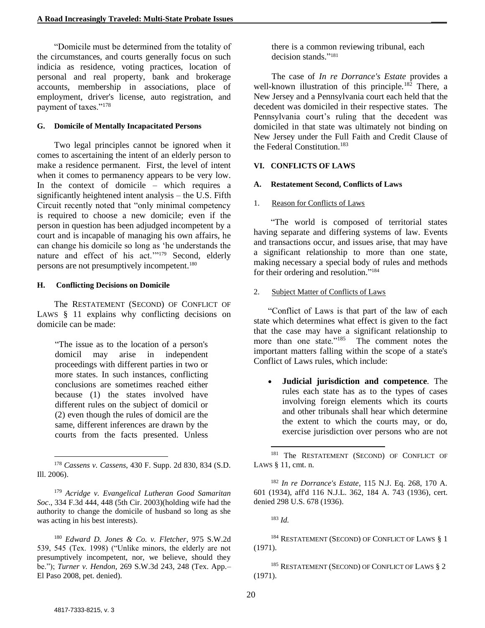"Domicile must be determined from the totality of the circumstances, and courts generally focus on such indicia as residence, voting practices, location of personal and real property, bank and brokerage accounts, membership in associations, place of employment, driver's license, auto registration, and payment of taxes."<sup>178</sup>

#### **G. Domicile of Mentally Incapacitated Persons**

Two legal principles cannot be ignored when it comes to ascertaining the intent of an elderly person to make a residence permanent. First, the level of intent when it comes to permanency appears to be very low. In the context of domicile – which requires a significantly heightened intent analysis – the U.S. Fifth Circuit recently noted that "only minimal competency is required to choose a new domicile; even if the person in question has been adjudged incompetent by a court and is incapable of managing his own affairs, he can change his domicile so long as 'he understands the nature and effect of his act.'"<sup>179</sup> Second, elderly persons are not presumptively incompetent.<sup>180</sup>

#### **H. Conflicting Decisions on Domicile**

The RESTATEMENT (SECOND) OF CONFLICT OF LAWS § 11 explains why conflicting decisions on domicile can be made:

"The issue as to the location of a person's domicil may arise in independent proceedings with different parties in two or more states. In such instances, conflicting conclusions are sometimes reached either because (1) the states involved have different rules on the subject of domicil or (2) even though the rules of domicil are the same, different inferences are drawn by the courts from the facts presented. Unless

<sup>179</sup> *Acridge v. Evangelical Lutheran Good Samaritan Soc*., 334 F.3d 444, 448 (5th Cir. 2003)(holding wife had the authority to change the domicile of husband so long as she was acting in his best interests).

<sup>180</sup> *Edward D. Jones & Co. v. Fletcher*, 975 S.W.2d 539, 545 (Tex. 1998) ("Unlike minors, the elderly are not presumptively incompetent, nor, we believe, should they be."); *Turner v. Hendon*, 269 S.W.3d 243, 248 (Tex. App.– El Paso 2008, pet. denied).

there is a common reviewing tribunal, each decision stands." 181

The case of *In re Dorrance's Estate* provides a well-known illustration of this principle*.* <sup>182</sup> There, a New Jersey and a Pennsylvania court each held that the decedent was domiciled in their respective states. The Pennsylvania court's ruling that the decedent was domiciled in that state was ultimately not binding on New Jersey under the Full Faith and Credit Clause of the Federal Constitution.<sup>183</sup>

#### **VI. CONFLICTS OF LAWS**

#### **A. Restatement Second, Conflicts of Laws**

#### 1. Reason for Conflicts of Laws

"The world is composed of territorial states having separate and differing systems of law. Events and transactions occur, and issues arise, that may have a significant relationship to more than one state, making necessary a special body of rules and methods for their ordering and resolution." 184

#### 2. Subject Matter of Conflicts of Laws

"Conflict of Laws is that part of the law of each state which determines what effect is given to the fact that the case may have a significant relationship to more than one state."<sup>185</sup> The comment notes the important matters falling within the scope of a state's Conflict of Laws rules, which include:

• **Judicial jurisdiction and competence***.* The rules each state has as to the types of cases involving foreign elements which its courts and other tribunals shall hear which determine the extent to which the courts may, or do, exercise jurisdiction over persons who are not

<sup>182</sup> *In re Dorrance's Estate*, 115 N.J. Eq. 268, 170 A. 601 (1934), aff'd 116 N.J.L. 362, 184 A. 743 (1936), cert. denied 298 U.S. 678 (1936).

<sup>183</sup> *Id.*

 $\overline{a}$ 

<sup>184</sup> RESTATEMENT (SECOND) OF CONFLICT OF LAWS § 1 (1971).

<sup>185</sup> RESTATEMENT (SECOND) OF CONFLICT OF LAWS § 2 (1971).

<sup>178</sup> *Cassens v. Cassens*, 430 F. Supp. 2d 830, 834 (S.D. Ill. 2006).

<sup>&</sup>lt;sup>181</sup> The RESTATEMENT (SECOND) OF CONFLICT OF LAWS § 11, cmt. n.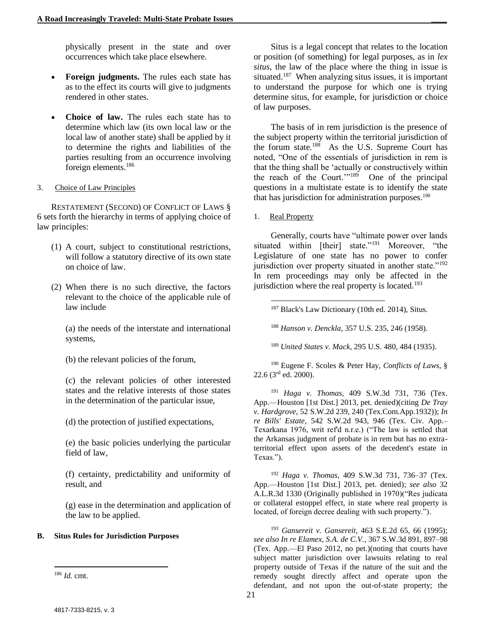physically present in the state and over occurrences which take place elsewhere.

- **Foreign judgments.** The rules each state has as to the effect its courts will give to judgments rendered in other states.
- **Choice of law.** The rules each state has to determine which law (its own local law or the local law of another state) shall be applied by it to determine the rights and liabilities of the parties resulting from an occurrence involving foreign elements.<sup>186</sup>
- 3. Choice of Law Principles

RESTATEMENT (SECOND) OF CONFLICT OF LAWS § 6 sets forth the hierarchy in terms of applying choice of law principles:

- (1) A court, subject to constitutional restrictions, will follow a statutory directive of its own state on choice of law.
- (2) When there is no such directive, the factors relevant to the choice of the applicable rule of law include

(a) the needs of the interstate and international systems,

(b) the relevant policies of the forum,

(c) the relevant policies of other interested states and the relative interests of those states in the determination of the particular issue,

(d) the protection of justified expectations,

(e) the basic policies underlying the particular field of law,

(f) certainty, predictability and uniformity of result, and

(g) ease in the determination and application of the law to be applied.

#### **B. Situs Rules for Jurisdiction Purposes**

l

Situs is a legal concept that relates to the location or position (of something) for legal purposes, as in *lex situs*, the law of the place where the thing in issue is situated.<sup>187</sup> When analyzing situs issues, it is important to understand the purpose for which one is trying determine situs, for example, for jurisdiction or choice of law purposes.

The basis of in rem jurisdiction is the presence of the subject property within the territorial jurisdiction of the forum state.<sup>188</sup> As the U.S. Supreme Court has noted, "One of the essentials of jurisdiction in rem is that the thing shall be 'actually or constructively within the reach of the Court.'"<sup>189</sup> One of the principal questions in a multistate estate is to identify the state that has jurisdiction for administration purposes.<sup>190</sup>

1. Real Property

l

Generally, courts have "ultimate power over lands situated within [their] state."<sup>191</sup> Moreover, "the Legislature of one state has no power to confer jurisdiction over property situated in another state."<sup>192</sup> In rem proceedings may only be affected in the jurisdiction where the real property is located.<sup>193</sup>

<sup>188</sup> *Hanson v. Denckla*, 357 U.S. 235, 246 (1958).

<sup>189</sup> *United States v. Mack*, 295 U.S. 480, 484 (1935).

<sup>190</sup> Eugene F. Scoles & Peter Hay, *Conflicts of Laws*, §  $22.6$  (3<sup>rd</sup> ed. 2000).

<sup>191</sup> *Haga v. Thomas*, 409 S.W.3d 731, 736 (Tex. App.—Houston [1st Dist.] 2013, pet. denied)(citing *De Tray v. Hardgrove,* 52 S.W.2d 239, 240 (Tex.Com.App.1932)); *In re Bills' Estate,* 542 S.W.2d 943, 946 (Tex. Civ. App.– Texarkana 1976, writ ref'd n.r.e.) ("The law is settled that the Arkansas judgment of probate is in rem but has no extraterritorial effect upon assets of the decedent's estate in Texas.").

<sup>192</sup> *Haga v. Thomas*, 409 S.W.3d 731, 736–37 (Tex. App.—Houston [1st Dist.] 2013, pet. denied); *see also* 32 A.L.R.3d 1330 (Originally published in 1970)("Res judicata or collateral estoppel effect, in state where real property is located, of foreign decree dealing with such property.").

<sup>193</sup> *Gansereit v. Gansereit*, 463 S.E.2d 65, 66 (1995); *see also In re Elamex, S.A. de C.V.*, 367 S.W.3d 891, 897–98 (Tex. App.—El Paso 2012, no pet.)(noting that courts have subject matter jurisdiction over lawsuits relating to real property outside of Texas if the nature of the suit and the remedy sought directly affect and operate upon the defendant, and not upon the out-of-state property; the

<sup>186</sup> *Id.* cmt.

<sup>187</sup> Black's Law Dictionary (10th ed. 2014), Situs.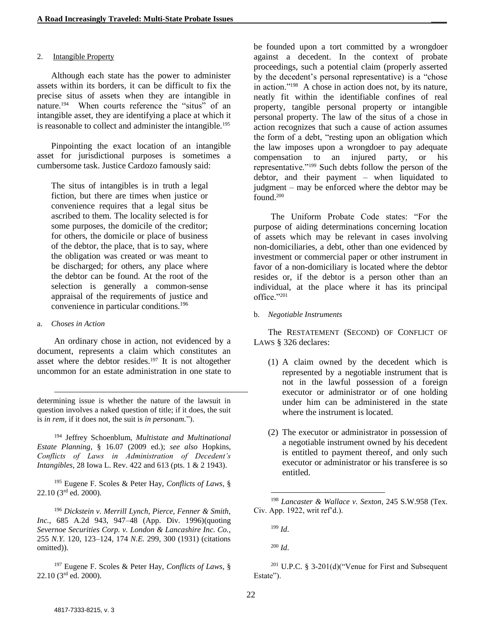#### 2. Intangible Property

Although each state has the power to administer assets within its borders, it can be difficult to fix the precise situs of assets when they are intangible in nature. 194 When courts reference the "situs" of an intangible asset, they are identifying a place at which it is reasonable to collect and administer the intangible.<sup>195</sup>

Pinpointing the exact location of an intangible asset for jurisdictional purposes is sometimes a cumbersome task. Justice Cardozo famously said:

The situs of intangibles is in truth a legal fiction, but there are times when justice or convenience requires that a legal situs be ascribed to them. The locality selected is for some purposes, the domicile of the creditor; for others, the domicile or place of business of the debtor, the place, that is to say, where the obligation was created or was meant to be discharged; for others, any place where the debtor can be found. At the root of the selection is generally a common-sense appraisal of the requirements of justice and convenience in particular conditions.<sup>196</sup>

#### a. *Choses in Action*

 $\overline{a}$ 

An ordinary chose in action, not evidenced by a document, represents a claim which constitutes an asset where the debtor resides.<sup>197</sup> It is not altogether uncommon for an estate administration in one state to

determining issue is whether the nature of the lawsuit in question involves a naked question of title; if it does, the suit is *in rem,* if it does not, the suit is *in personam.*").

<sup>194</sup> Jeffrey Schoenblum, *Multistate and Multinational Estate Planning*, § 16.07 (2009 ed.); *see also* Hopkins, *Conflicts of Laws in Administration of Decedent's Intangibles*, 28 Iowa L. Rev. 422 and 613 (pts. 1 & 2 1943).

<sup>195</sup> Eugene F. Scoles & Peter Hay, *Conflicts of Laws*, § 22.10 (3<sup>rd</sup> ed. 2000).

<sup>196</sup> *Dickstein v. Merrill Lynch, Pierce, Fenner & Smith, Inc.*, 685 A.2d 943, 947–48 (App. Div. 1996)(quoting *Severnoe Securities Corp. v. London & Lancashire Inc. Co.,* 255 *N.Y.* 120, 123–124, 174 *N.E.* 299, 300 (1931) (citations omitted)).

<sup>197</sup> Eugene F. Scoles & Peter Hay, *Conflicts of Laws*, § 22.10 (3rd ed. 2000).

be founded upon a tort committed by a wrongdoer against a decedent. In the context of probate proceedings, such a potential claim (properly asserted by the decedent's personal representative) is a "chose in action."<sup>198</sup> A chose in action does not, by its nature, neatly fit within the identifiable confines of real property, tangible personal property or intangible personal property. The law of the situs of a chose in action recognizes that such a cause of action assumes the form of a debt, "resting upon an obligation which the law imposes upon a wrongdoer to pay adequate compensation to an injured party, or his representative."<sup>199</sup> Such debts follow the person of the debtor, and their payment – when liquidated to judgment – may be enforced where the debtor may be found.<sup>200</sup>

The Uniform Probate Code states: "For the purpose of aiding determinations concerning location of assets which may be relevant in cases involving non-domiciliaries, a debt, other than one evidenced by investment or commercial paper or other instrument in favor of a non-domiciliary is located where the debtor resides or, if the debtor is a person other than an individual, at the place where it has its principal office."<sup>201</sup>

b. *Negotiable Instruments*

The RESTATEMENT (SECOND) OF CONFLICT OF LAWS § 326 declares:

- (1) A claim owned by the decedent which is represented by a negotiable instrument that is not in the lawful possession of a foreign executor or administrator or of one holding under him can be administered in the state where the instrument is located.
- (2) The executor or administrator in possession of a negotiable instrument owned by his decedent is entitled to payment thereof, and only such executor or administrator or his transferee is so entitled.

<sup>198</sup> *Lancaster & Wallace v. Sexton*, 245 S.W.958 (Tex. Civ. App. 1922, writ ref'd.).

<sup>199</sup> *Id*.

l

<sup>200</sup> *Id*.

<sup>201</sup> U.P.C. § 3-201(d)("Venue for First and Subsequent Estate").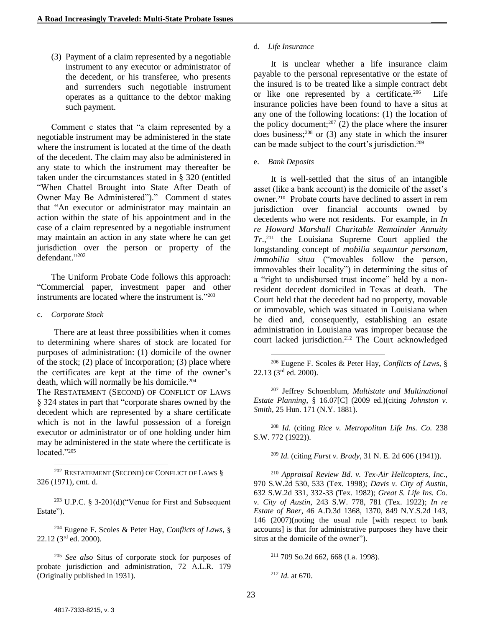(3) Payment of a claim represented by a negotiable instrument to any executor or administrator of the decedent, or his transferee, who presents and surrenders such negotiable instrument operates as a quittance to the debtor making such payment.

Comment c states that "a claim represented by a negotiable instrument may be administered in the state where the instrument is located at the time of the death of the decedent. The claim may also be administered in any state to which the instrument may thereafter be taken under the circumstances stated in § 320 (entitled "When Chattel Brought into State After Death of Owner May Be Administered")." Comment d states that "An executor or administrator may maintain an action within the state of his appointment and in the case of a claim represented by a negotiable instrument may maintain an action in any state where he can get jurisdiction over the person or property of the defendant." 202

The Uniform Probate Code follows this approach: "Commercial paper, investment paper and other instruments are located where the instrument is." 203

#### c. *Corporate Stock*

l

There are at least three possibilities when it comes to determining where shares of stock are located for purposes of administration: (1) domicile of the owner of the stock; (2) place of incorporation; (3) place where the certificates are kept at the time of the owner's death, which will normally be his domicile.<sup>204</sup>

The RESTATEMENT (SECOND) OF CONFLICT OF LAWS § 324 states in part that "corporate shares owned by the decedent which are represented by a share certificate which is not in the lawful possession of a foreign executor or administrator or of one holding under him may be administered in the state where the certificate is located."<sup>205</sup>

<sup>202</sup> RESTATEMENT (SECOND) OF CONFLICT OF LAWS § 326 (1971), cmt. d.

<sup>203</sup> U.P.C. § 3-201(d)("Venue for First and Subsequent Estate").

<sup>204</sup> Eugene F. Scoles & Peter Hay, *Conflicts of Laws*, § 22.12 (3rd ed. 2000).

<sup>205</sup> *See also* Situs of corporate stock for purposes of probate jurisdiction and administration, 72 A.L.R. 179 (Originally published in 1931)*.*

#### d. *Life Insurance*

It is unclear whether a life insurance claim payable to the personal representative or the estate of the insured is to be treated like a simple contract debt or like one represented by a certificate.<sup>206</sup> Life insurance policies have been found to have a situs at any one of the following locations: (1) the location of the policy document;<sup>207</sup> (2) the place where the insurer does business; <sup>208</sup> or (3) any state in which the insurer can be made subject to the court's jurisdiction.<sup>209</sup>

#### e. *Bank Deposits*

l

It is well-settled that the situs of an intangible asset (like a bank account) is the domicile of the asset's owner.<sup>210</sup> Probate courts have declined to assert in rem jurisdiction over financial accounts owned by decedents who were not residents. For example, in *In re Howard Marshall Charitable Remainder Annuity Tr*., <sup>211</sup> the Louisiana Supreme Court applied the longstanding concept of *mobilia sequuntur personam, immobilia situa* ("movables follow the person, immovables their locality") in determining the situs of a "right to undisbursed trust income" held by a nonresident decedent domiciled in Texas at death. The Court held that the decedent had no property, movable or immovable, which was situated in Louisiana when he died and, consequently, establishing an estate administration in Louisiana was improper because the court lacked jurisdiction.<sup>212</sup> The Court acknowledged

<sup>207</sup> Jeffrey Schoenblum, *Multistate and Multinational Estate Planning*, § 16.07[C] (2009 ed.)(citing *Johnston v. Smith*, 25 Hun. 171 (N.Y. 1881).

<sup>208</sup> *Id.* (citing *Rice v. Metropolitan Life Ins. Co.* 238 S.W. 772 (1922)).

<sup>209</sup> *Id.* (citing *Furst v. Brady*, 31 N. E. 2d 606 (1941)).

<sup>210</sup> *Appraisal Review Bd. v. Tex-Air Helicopters, Inc*., 970 S.W.2d 530, 533 (Tex. 1998); *Davis v. City of Austin*, 632 S.W.2d 331, 332-33 (Tex. 1982); *Great S. Life Ins. Co. v. City of Austin*, 243 S.W. 778, 781 (Tex. 1922); *In re Estate of Baer*, 46 A.D.3d 1368, 1370, 849 N.Y.S.2d 143, 146 (2007)(noting the usual rule [with respect to bank accounts] is that for administrative purposes they have their situs at the domicile of the owner").

<sup>211</sup> 709 So.2d 662, 668 (La. 1998).

<sup>212</sup> *Id.* at 670.

<sup>206</sup> Eugene F. Scoles & Peter Hay, *Conflicts of Laws*, § 22.13 (3rd ed. 2000).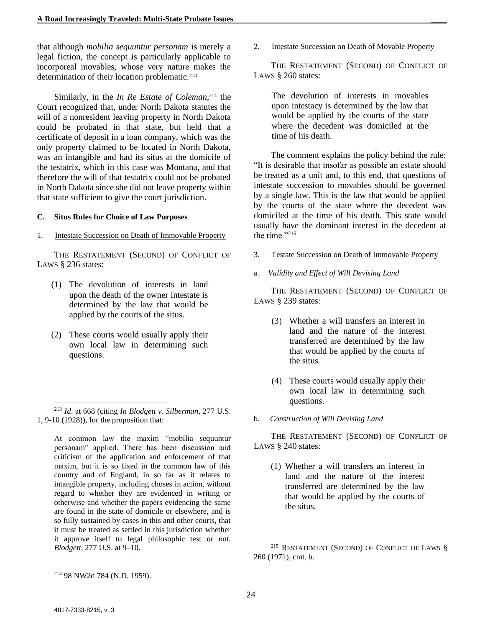that although *mobilia sequuntur personam* is merely a legal fiction, the concept is particularly applicable to incorporeal movables, whose very nature makes the determination of their location problematic.<sup>213</sup>

Similarly, in the *In Re Estate of Coleman*, <sup>214</sup> the Court recognized that, under North Dakota statutes the will of a nonresident leaving property in North Dakota could be probated in that state, but held that a certificate of deposit in a loan company, which was the only property claimed to be located in North Dakota, was an intangible and had its situs at the domicile of the testatrix, which in this case was Montana, and that therefore the will of that testatrix could not be probated in North Dakota since she did not leave property within that state sufficient to give the court jurisdiction.

#### **C. Situs Rules for Choice of Law Purposes**

1. Intestate Succession on Death of Immovable Property

THE RESTATEMENT (SECOND) OF CONFLICT OF LAWS § 236 states:

- (1) The devolution of interests in land upon the death of the owner intestate is determined by the law that would be applied by the courts of the situs.
- (2) These courts would usually apply their own local law in determining such questions.

At common law the maxim "mobilia sequuntur personam" applied. There has been discussion and criticism of the application and enforcement of that maxim, but it is so fixed in the common law of this country and of England, in so far as it relates to intangible property, including choses in action, without regard to whether they are evidenced in writing or otherwise and whether the papers evidencing the same are found in the state of domicile or elsewhere, and is so fully sustained by cases in this and other courts, that it must be treated as settled in this jurisdiction whether it approve itself to legal philosophic test or not. *Blodgett*, 277 U.S. at 9–10.

2. Intestate Succession on Death of Movable Property

THE RESTATEMENT (SECOND) OF CONFLICT OF LAWS § 260 states:

The devolution of interests in movables upon intestacy is determined by the law that would be applied by the courts of the state where the decedent was domiciled at the time of his death.

The comment explains the policy behind the rule: "It is desirable that insofar as possible an estate should be treated as a unit and, to this end, that questions of intestate succession to movables should be governed by a single law. This is the law that would be applied by the courts of the state where the decedent was domiciled at the time of his death. This state would usually have the dominant interest in the decedent at the time."<sup>215</sup>

- 3. Testate Succession on Death of Immovable Property
- a. *Validity and Effect of Will Devising Land*

THE RESTATEMENT (SECOND) OF CONFLICT OF LAWS § 239 states:

- (3) Whether a will transfers an interest in land and the nature of the interest transferred are determined by the law that would be applied by the courts of the situs.
- (4) These courts would usually apply their own local law in determining such questions.
- b. *Construction of Will Devising Land*

THE RESTATEMENT (SECOND) OF CONFLICT OF LAWS § 240 states:

(1) Whether a will transfers an interest in land and the nature of the interest transferred are determined by the law that would be applied by the courts of the situs.

l

<sup>213</sup> *Id*. at 668 (citing *In Blodgett v. Silberman*, 277 U.S. 1, 9-10 (1928)), for the proposition that:

<sup>215</sup> RESTATEMENT (SECOND) OF CONFLICT OF LAWS § 260 (1971), cmt. b.

<sup>214</sup> 98 NW2d 784 (N.D. 1959).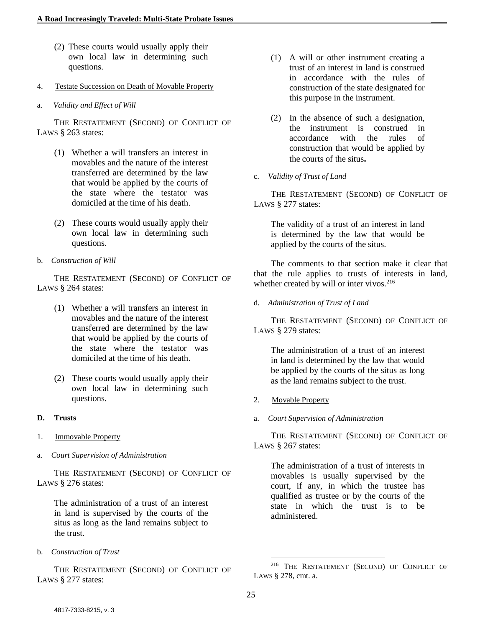- (2) These courts would usually apply their own local law in determining such questions.
- 4. Testate Succession on Death of Movable Property
- a. *Validity and Effect of Will*

THE RESTATEMENT (SECOND) OF CONFLICT OF LAWS § 263 states:

- (1) Whether a will transfers an interest in movables and the nature of the interest transferred are determined by the law that would be applied by the courts of the state where the testator was domiciled at the time of his death.
- (2) These courts would usually apply their own local law in determining such questions.
- b. *Construction of Will*

THE RESTATEMENT (SECOND) OF CONFLICT OF LAWS § 264 states:

- (1) Whether a will transfers an interest in movables and the nature of the interest transferred are determined by the law that would be applied by the courts of the state where the testator was domiciled at the time of his death.
- (2) These courts would usually apply their own local law in determining such questions.
- **D. Trusts**
- 1. Immovable Property
- a. *Court Supervision of Administration*

THE RESTATEMENT (SECOND) OF CONFLICT OF LAWS § 276 states:

The administration of a trust of an interest in land is supervised by the courts of the situs as long as the land remains subject to the trust.

b. *Construction of Trust*

THE RESTATEMENT (SECOND) OF CONFLICT OF LAWS § 277 states:

- (1) A will or other instrument creating a trust of an interest in land is construed in accordance with the rules of construction of the state designated for this purpose in the instrument.
- (2) In the absence of such a designation, the instrument is construed in accordance with the rules of construction that would be applied by the courts of the situs**.**
- c. *Validity of Trust of Land*

THE RESTATEMENT (SECOND) OF CONFLICT OF LAWS § 277 states:

The validity of a trust of an interest in land is determined by the law that would be applied by the courts of the situs.

The comments to that section make it clear that that the rule applies to trusts of interests in land, whether created by will or inter vivos.<sup>216</sup>

d. *Administration of Trust of Land*

THE RESTATEMENT (SECOND) OF CONFLICT OF LAWS § 279 states:

The administration of a trust of an interest in land is determined by the law that would be applied by the courts of the situs as long as the land remains subject to the trust.

- 2. Movable Property
- a. *Court Supervision of Administration*

THE RESTATEMENT (SECOND) OF CONFLICT OF LAWS § 267 states:

The administration of a trust of interests in movables is usually supervised by the court, if any, in which the trustee has qualified as trustee or by the courts of the state in which the trust is to be administered.

l <sup>216</sup> THE RESTATEMENT (SECOND) OF CONFLICT OF LAWS § 278, cmt. a.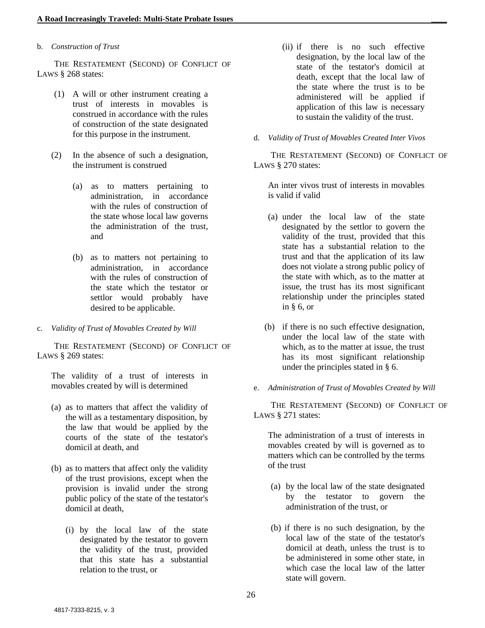#### b. *Construction of Trust*

THE RESTATEMENT (SECOND) OF CONFLICT OF LAWS § 268 states:

- (1) A will or other instrument creating a trust of interests in movables is construed in accordance with the rules of construction of the state designated for this purpose in the instrument.
- (2) In the absence of such a designation, the instrument is construed
	- (a) as to matters pertaining to administration, in accordance with the rules of construction of the state whose local law governs the administration of the trust, and
	- (b) as to matters not pertaining to administration, in accordance with the rules of construction of the state which the testator or settlor would probably have desired to be applicable.
- c. *Validity of Trust of Movables Created by Will*

THE RESTATEMENT (SECOND) OF CONFLICT OF LAWS § 269 states:

The validity of a trust of interests in movables created by will is determined

- (a) as to matters that affect the validity of the will as a testamentary disposition, by the law that would be applied by the courts of the state of the testator's domicil at death, and
- (b) as to matters that affect only the validity of the trust provisions, except when the provision is invalid under the strong public policy of the state of the testator's domicil at death,
	- (i) by the local law of the state designated by the testator to govern the validity of the trust, provided that this state has a substantial relation to the trust, or
- (ii) if there is no such effective designation, by the local law of the state of the testator's domicil at death, except that the local law of the state where the trust is to be administered will be applied if application of this law is necessary to sustain the validity of the trust.
- d. *Validity of Trust of Movables Created Inter Vivos*

THE RESTATEMENT (SECOND) OF CONFLICT OF LAWS § 270 states:

An inter vivos trust of interests in movables is valid if valid

- (a) under the local law of the state designated by the settlor to govern the validity of the trust, provided that this state has a substantial relation to the trust and that the application of its law does not violate a strong public policy of the state with which, as to the matter at issue, the trust has its most significant relationship under the principles stated in § 6, or
- (b) if there is no such effective designation, under the local law of the state with which, as to the matter at issue, the trust has its most significant relationship under the principles stated in § 6.
- e. *Administration of Trust of Movables Created by Will*

THE RESTATEMENT (SECOND) OF CONFLICT OF LAWS § 271 states:

The administration of a trust of interests in movables created by will is governed as to matters which can be controlled by the terms of the trust

- (a) by the local law of the state designated by the testator to govern the administration of the trust, or
- (b) if there is no such designation, by the local law of the state of the testator's domicil at death, unless the trust is to be administered in some other state, in which case the local law of the latter state will govern.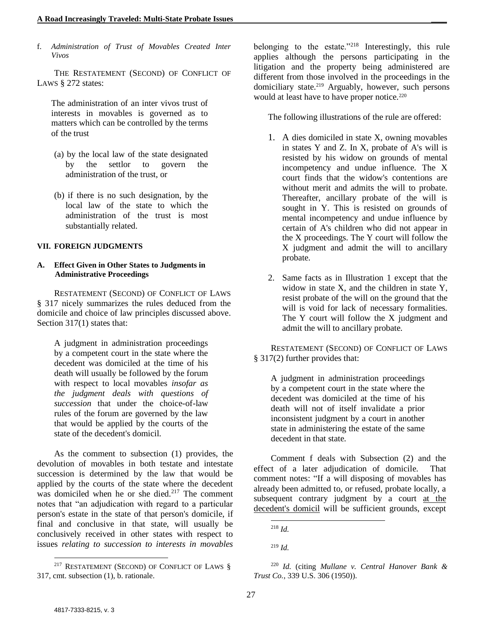f. *Administration of Trust of Movables Created Inter Vivos*

THE RESTATEMENT (SECOND) OF CONFLICT OF LAWS § 272 states:

The administration of an inter vivos trust of interests in movables is governed as to matters which can be controlled by the terms of the trust

- (a) by the local law of the state designated by the settlor to govern the administration of the trust, or
- (b) if there is no such designation, by the local law of the state to which the administration of the trust is most substantially related.

#### **VII. FOREIGN JUDGMENTS**

#### **A. Effect Given in Other States to Judgments in Administrative Proceedings**

RESTATEMENT (SECOND) OF CONFLICT OF LAWS § 317 nicely summarizes the rules deduced from the domicile and choice of law principles discussed above. Section 317(1) states that:

A judgment in administration proceedings by a competent court in the state where the decedent was domiciled at the time of his death will usually be followed by the forum with respect to local movables *insofar as the judgment deals with questions of succession* that under the choice-of-law rules of the forum are governed by the law that would be applied by the courts of the state of the decedent's domicil.

As the comment to subsection (1) provides, the devolution of movables in both testate and intestate succession is determined by the law that would be applied by the courts of the state where the decedent was domiciled when he or she died.<sup>217</sup> The comment notes that "an adjudication with regard to a particular person's estate in the state of that person's domicile, if final and conclusive in that state, will usually be conclusively received in other states with respect to issues *relating to succession to interests in movables* belonging to the estate."<sup>218</sup> Interestingly, this rule applies although the persons participating in the litigation and the property being administered are different from those involved in the proceedings in the domiciliary state.<sup>219</sup> Arguably, however, such persons would at least have to have proper notice.<sup>220</sup>

The following illustrations of the rule are offered:

- 1. A dies domiciled in state X, owning movables in states Y and Z. In X, probate of A's will is resisted by his widow on grounds of mental incompetency and undue influence. The X court finds that the widow's contentions are without merit and admits the will to probate. Thereafter, ancillary probate of the will is sought in Y. This is resisted on grounds of mental incompetency and undue influence by certain of A's children who did not appear in the X proceedings. The Y court will follow the X judgment and admit the will to ancillary probate.
- 2. Same facts as in Illustration 1 except that the widow in state X, and the children in state Y, resist probate of the will on the ground that the will is void for lack of necessary formalities. The Y court will follow the X judgment and admit the will to ancillary probate.

RESTATEMENT (SECOND) OF CONFLICT OF LAWS § 317(2) further provides that:

A judgment in administration proceedings by a competent court in the state where the decedent was domiciled at the time of his death will not of itself invalidate a prior inconsistent judgment by a court in another state in administering the estate of the same decedent in that state.

Comment f deals with Subsection (2) and the effect of a later adjudication of domicile. That comment notes: "If a will disposing of movables has already been admitted to, or refused, probate locally, a subsequent contrary judgment by a court at the decedent's domicil will be sufficient grounds, except

<sup>&</sup>lt;sup>217</sup> RESTATEMENT (SECOND) OF CONFLICT OF LAWS § 317, cmt. subsection (1), b. rationale.

l <sup>218</sup> *Id.*

<sup>219</sup> *Id.*

<sup>220</sup> *Id.* (citing *Mullane v. Central Hanover Bank & Trust Co.*, 339 U.S. 306 (1950)).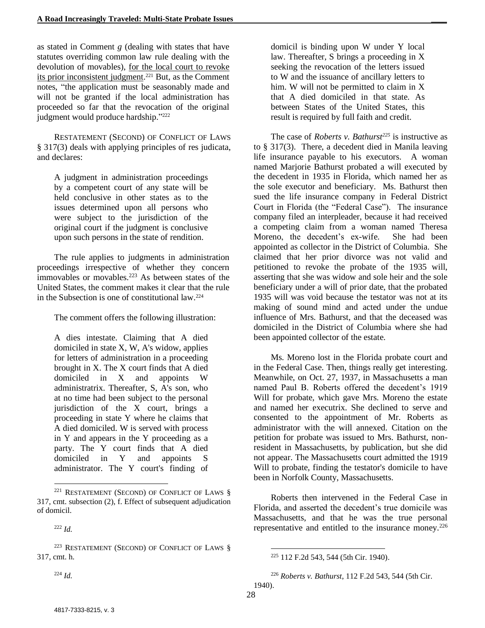as stated in Comment *g* (dealing with states that have statutes overriding common law rule dealing with the devolution of movables), for the local court to revoke its prior inconsistent judgment.<sup>221</sup> But, as the Comment notes, "the application must be seasonably made and will not be granted if the local administration has proceeded so far that the revocation of the original judgment would produce hardship."<sup>222</sup>

RESTATEMENT (SECOND) OF CONFLICT OF LAWS § 317(3) deals with applying principles of res judicata, and declares:

A judgment in administration proceedings by a competent court of any state will be held conclusive in other states as to the issues determined upon all persons who were subject to the jurisdiction of the original court if the judgment is conclusive upon such persons in the state of rendition.

The rule applies to judgments in administration proceedings irrespective of whether they concern immovables or movables.<sup>223</sup> As between states of the United States, the comment makes it clear that the rule in the Subsection is one of constitutional law.<sup>224</sup>

The comment offers the following illustration:

A dies intestate. Claiming that A died domiciled in state X, W, A's widow, applies for letters of administration in a proceeding brought in X. The X court finds that A died domiciled in X and appoints W administratrix. Thereafter, S, A's son, who at no time had been subject to the personal jurisdiction of the X court, brings a proceeding in state Y where he claims that A died domiciled. W is served with process in Y and appears in the Y proceeding as a party. The Y court finds that A died domiciled in Y and appoints S administrator. The Y court's finding of

<sup>224</sup> *Id.*

l

domicil is binding upon W under Y local law. Thereafter, S brings a proceeding in X seeking the revocation of the letters issued to W and the issuance of ancillary letters to him. W will not be permitted to claim in X that A died domiciled in that state. As between States of the United States, this result is required by full faith and credit.

The case of *Roberts v. Bathurst<sup>225</sup>* is instructive as to § 317(3). There, a decedent died in Manila leaving life insurance payable to his executors. A woman named Marjorie Bathurst probated a will executed by the decedent in 1935 in Florida, which named her as the sole executor and beneficiary. Ms. Bathurst then sued the life insurance company in Federal District Court in Florida (the "Federal Case"). The insurance company filed an interpleader, because it had received a competing claim from a woman named Theresa Moreno, the decedent's ex-wife. She had been appointed as collector in the District of Columbia. She claimed that her prior divorce was not valid and petitioned to revoke the probate of the 1935 will, asserting that she was widow and sole heir and the sole beneficiary under a will of prior date, that the probated 1935 will was void because the testator was not at its making of sound mind and acted under the undue influence of Mrs. Bathurst, and that the deceased was domiciled in the District of Columbia where she had been appointed collector of the estate.

Ms. Moreno lost in the Florida probate court and in the Federal Case. Then, things really get interesting. Meanwhile, on Oct. 27, 1937, in Massachusetts a man named Paul B. Roberts offered the decedent's 1919 Will for probate, which gave Mrs. Moreno the estate and named her executrix. She declined to serve and consented to the appointment of Mr. Roberts as administrator with the will annexed. Citation on the petition for probate was issued to Mrs. Bathurst, nonresident in Massachusetts, by publication, but she did not appear. The Massachusetts court admitted the 1919 Will to probate, finding the testator's domicile to have been in Norfolk County, Massachusetts.

Roberts then intervened in the Federal Case in Florida, and asserted the decedent's true domicile was Massachusetts, and that he was the true personal representative and entitled to the insurance money.<sup>226</sup>

<sup>221</sup> RESTATEMENT (SECOND) OF CONFLICT OF LAWS § 317, cmt. subsection (2), f. Effect of subsequent adjudication of domicil.

<sup>222</sup> *Id.*

<sup>223</sup> RESTATEMENT (SECOND) OF CONFLICT OF LAWS § 317, cmt. h.

l <sup>225</sup> 112 F.2d 543, 544 (5th Cir. 1940).

<sup>226</sup> *Roberts v. Bathurst*, 112 F.2d 543, 544 (5th Cir.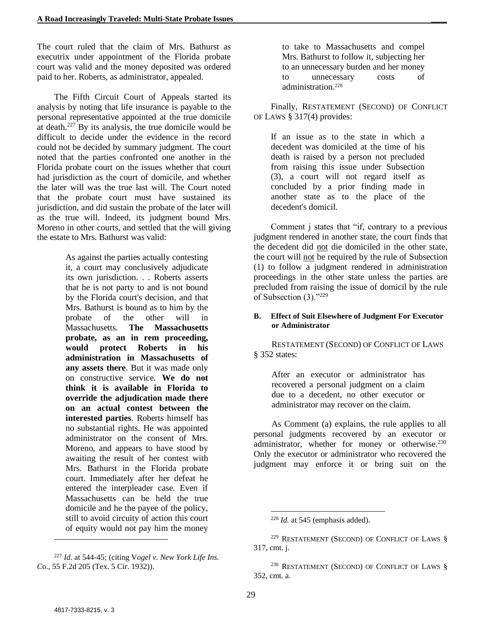The court ruled that the claim of Mrs. Bathurst as executrix under appointment of the Florida probate court was valid and the money deposited was ordered paid to her. Roberts, as administrator, appealed.

The Fifth Circuit Court of Appeals started its analysis by noting that life insurance is payable to the personal representative appointed at the true domicile at death. <sup>227</sup> By its analysis, the true domicile would be difficult to decide under the evidence in the record could not be decided by summary judgment. The court noted that the parties confronted one another in the Florida probate court on the issues whether that court had jurisdiction as the court of domicile, and whether the later will was the true last will. The Court noted that the probate court must have sustained its jurisdiction, and did sustain the probate of the later will as the true will. Indeed, its judgment bound Mrs. Moreno in other courts, and settled that the will giving the estate to Mrs. Bathurst was valid:

> As against the parties actually contesting it, a court may conclusively adjudicate its own jurisdiction. . . Roberts asserts that he is not party to and is not bound by the Florida court's decision, and that Mrs. Bathurst is bound as to him by the probate of the other will in Massachusetts. **The Massachusetts probate, as an in rem proceeding, would protect Roberts in his administration in Massachusetts of any assets there**. But it was made only on constructive service. **We do not think it is available in Florida to override the adjudication made there on an actual contest between the interested parties**. Roberts himself has no substantial rights. He was appointed administrator on the consent of Mrs. Moreno, and appears to have stood by awaiting the result of her contest with Mrs. Bathurst in the Florida probate court. Immediately after her defeat he entered the interpleader case. Even if Massachusetts can be held the true domicile and he the payee of the policy, still to avoid circuity of action this court of equity would not pay him the money

<sup>227</sup> *Id.* at 544-45; (citing V*ogel v. New York Life Ins. C*o., 55 F.2d 205 (Tex. 5 Cir. 1932)).

to take to Massachusetts and compel Mrs. Bathurst to follow it, subjecting her to an unnecessary burden and her money to unnecessary costs of administration.<sup>228</sup>

Finally, RESTATEMENT (SECOND) OF CONFLICT OF LAWS § 317(4) provides:

If an issue as to the state in which a decedent was domiciled at the time of his death is raised by a person not precluded from raising this issue under Subsection (3), a court will not regard itself as concluded by a prior finding made in another state as to the place of the decedent's domicil.

Comment j states that "if, contrary to a previous judgment rendered in another state, the court finds that the decedent did not die domiciled in the other state, the court will not be required by the rule of Subsection (1) to follow a judgment rendered in administration proceedings in the other state unless the parties are precluded from raising the issue of domicil by the rule of Subsection (3)."<sup>229</sup>

#### **B. Effect of Suit Elsewhere of Judgment For Executor or Administrator**

RESTATEMENT (SECOND) OF CONFLICT OF LAWS § 352 states:

After an executor or administrator has recovered a personal judgment on a claim due to a decedent, no other executor or administrator may recover on the claim.

As Comment (a) explains, the rule applies to all personal judgments recovered by an executor or administrator, whether for money or otherwise.<sup>230</sup> Only the executor or administrator who recovered the judgment may enforce it or bring suit on the

 $\overline{\phantom{a}}$ 

 $\overline{\phantom{a}}$ <sup>228</sup> *Id.* at 545 (emphasis added).

<sup>229</sup> RESTATEMENT (SECOND) OF CONFLICT OF LAWS § 317, cmt. j.

<sup>230</sup> RESTATEMENT (SECOND) OF CONFLICT OF LAWS § 352, cmt. a.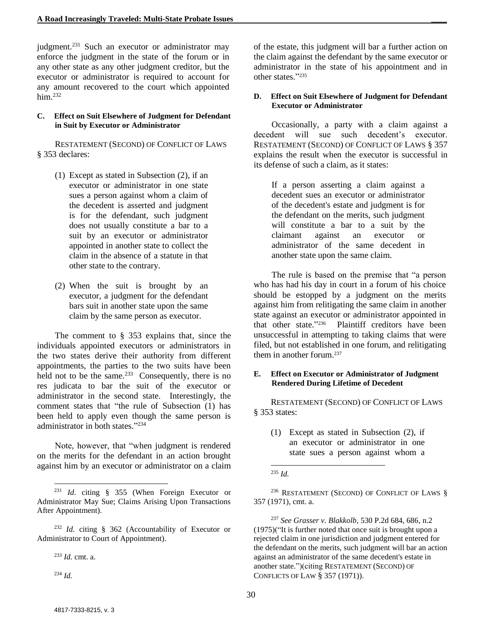judgment.<sup>231</sup> Such an executor or administrator may enforce the judgment in the state of the forum or in any other state as any other judgment creditor, but the executor or administrator is required to account for any amount recovered to the court which appointed him.<sup>232</sup>

#### **C. Effect on Suit Elsewhere of Judgment for Defendant in Suit by Executor or Administrator**

RESTATEMENT (SECOND) OF CONFLICT OF LAWS § 353 declares:

- (1) Except as stated in Subsection (2), if an executor or administrator in one state sues a person against whom a claim of the decedent is asserted and judgment is for the defendant, such judgment does not usually constitute a bar to a suit by an executor or administrator appointed in another state to collect the claim in the absence of a statute in that other state to the contrary.
- (2) When the suit is brought by an executor, a judgment for the defendant bars suit in another state upon the same claim by the same person as executor.

The comment to § 353 explains that, since the individuals appointed executors or administrators in the two states derive their authority from different appointments, the parties to the two suits have been held not to be the same. $233$  Consequently, there is no res judicata to bar the suit of the executor or administrator in the second state. Interestingly, the comment states that "the rule of Subsection (1) has been held to apply even though the same person is administrator in both states." 234

Note, however, that "when judgment is rendered on the merits for the defendant in an action brought against him by an executor or administrator on a claim

<sup>232</sup> *Id.* citing § 362 (Accountability of Executor or Administrator to Court of Appointment).

<sup>233</sup> *Id.* cmt. a.

<sup>234</sup> *Id.*

l

of the estate, this judgment will bar a further action on the claim against the defendant by the same executor or administrator in the state of his appointment and in other states." 235

#### **D. Effect on Suit Elsewhere of Judgment for Defendant Executor or Administrator**

Occasionally, a party with a claim against a decedent will sue such decedent's executor. RESTATEMENT (SECOND) OF CONFLICT OF LAWS § 357 explains the result when the executor is successful in its defense of such a claim, as it states:

If a person asserting a claim against a decedent sues an executor or administrator of the decedent's estate and judgment is for the defendant on the merits, such judgment will constitute a bar to a suit by the claimant against an executor or administrator of the same decedent in another state upon the same claim.

The rule is based on the premise that "a person who has had his day in court in a forum of his choice should be estopped by a judgment on the merits against him from relitigating the same claim in another state against an executor or administrator appointed in that other state." 236 Plaintiff creditors have been unsuccessful in attempting to taking claims that were filed, but not established in one forum, and relitigating them in another forum. $237$ 

#### **E. Effect on Executor or Administrator of Judgment Rendered During Lifetime of Decedent**

RESTATEMENT (SECOND) OF CONFLICT OF LAWS § 353 states:

(1) Except as stated in Subsection (2), if an executor or administrator in one state sues a person against whom a

l <sup>235</sup> *Id.*

<sup>236</sup> RESTATEMENT (SECOND) OF CONFLICT OF LAWS § 357 (1971), cmt. a.

<sup>237</sup> *See Grasser v. Blakkolb*, 530 P.2d 684, 686, n.2 (1975)("It is further noted that once suit is brought upon a rejected claim in one jurisdiction and judgment entered for the defendant on the merits, such judgment will bar an action against an administrator of the same decedent's estate in another state.")(citing RESTATEMENT (SECOND) OF CONFLICTS OF LAW § 357 (1971)).

<sup>231</sup> *Id.* citing § 355 (When Foreign Executor or Administrator May Sue; Claims Arising Upon Transactions After Appointment).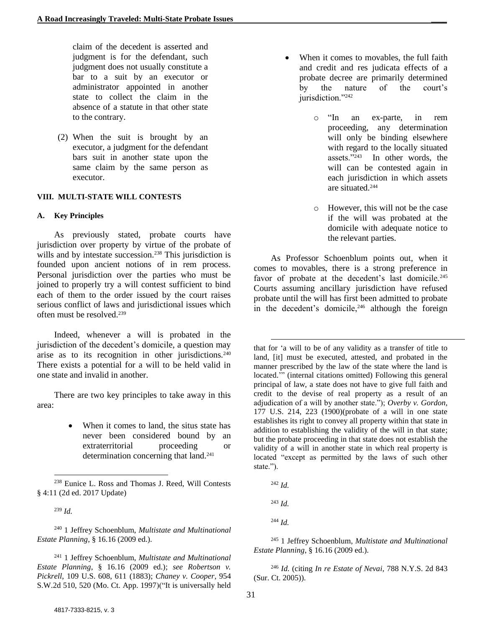claim of the decedent is asserted and judgment is for the defendant, such judgment does not usually constitute a bar to a suit by an executor or administrator appointed in another state to collect the claim in the absence of a statute in that other state to the contrary.

(2) When the suit is brought by an executor, a judgment for the defendant bars suit in another state upon the same claim by the same person as executor.

#### **VIII. MULTI-STATE WILL CONTESTS**

#### **A. Key Principles**

As previously stated, probate courts have jurisdiction over property by virtue of the probate of wills and by intestate succession.<sup>238</sup> This jurisdiction is founded upon ancient notions of in rem process. Personal jurisdiction over the parties who must be joined to properly try a will contest sufficient to bind each of them to the order issued by the court raises serious conflict of laws and jurisdictional issues which often must be resolved. 239

Indeed, whenever a will is probated in the jurisdiction of the decedent's domicile, a question may arise as to its recognition in other jurisdictions.<sup>240</sup> There exists a potential for a will to be held valid in one state and invalid in another.

There are two key principles to take away in this area:

> • When it comes to land, the situs state has never been considered bound by an extraterritorial proceeding or determination concerning that land.<sup>241</sup>

l

<sup>240</sup> 1 Jeffrey Schoenblum, *Multistate and Multinational Estate Planning*, § 16.16 (2009 ed.).

<sup>241</sup> 1 Jeffrey Schoenblum, *Multistate and Multinational Estate Planning*, § 16.16 (2009 ed.); *see Robertson v. Pickrell*, 109 U.S. 608, 611 (1883); *Chaney v. Cooper*, 954 S.W.2d 510, 520 (Mo. Ct. App. 1997)("It is universally held

- When it comes to movables, the full faith and credit and res judicata effects of a probate decree are primarily determined by the nature of the court's jurisdiction."242
	- o "In an ex-parte, in rem proceeding, any determination will only be binding elsewhere with regard to the locally situated assets."<sup>243</sup> In other words, the will can be contested again in each jurisdiction in which assets are situated.<sup>244</sup>
	- o However, this will not be the case if the will was probated at the domicile with adequate notice to the relevant parties.

As Professor Schoenblum points out, when it comes to movables, there is a strong preference in favor of probate at the decedent's last domicile.<sup>245</sup> Courts assuming ancillary jurisdiction have refused probate until the will has first been admitted to probate in the decedent's domicile,  $246$  although the foreign

that for 'a will to be of any validity as a transfer of title to land, [it] must be executed, attested, and probated in the manner prescribed by the law of the state where the land is located.'" (internal citations omitted) Following this general principal of law, a state does not have to give full faith and credit to the devise of real property as a result of an adjudication of a will by another state."); *Overby v. Gordon,* 177 U.S. 214, 223 (1900)(probate of a will in one state establishes its right to convey all property within that state in addition to establishing the validity of the will in that state; but the probate proceeding in that state does not establish the validity of a will in another state in which real property is located "except as permitted by the laws of such other state.").

<sup>242</sup> *Id.*

l

<sup>243</sup> *Id.*

<sup>244</sup> *Id.*

<sup>245</sup> 1 Jeffrey Schoenblum, *Multistate and Multinational Estate Planning*, § 16.16 (2009 ed.).

<sup>246</sup> *Id.* (citing *In re Estate of Nevai,* 788 N.Y.S. 2d 843 (Sur. Ct. 2005)).

<sup>238</sup> Eunice L. Ross and Thomas J. Reed, Will Contests § 4:11 (2d ed. 2017 Update)

<sup>239</sup> *Id.*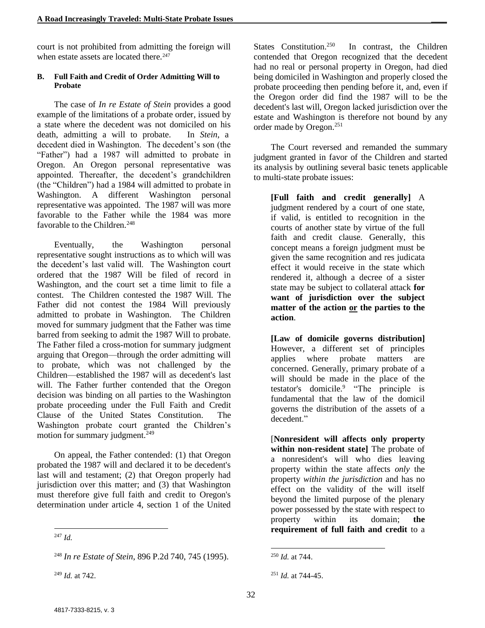court is not prohibited from admitting the foreign will when estate assets are located there.<sup>247</sup>

#### **B. Full Faith and Credit of Order Admitting Will to Probate**

The case of *In re Estate of Stein* provides a good example of the limitations of a probate order, issued by a state where the decedent was not domiciled on his death, admitting a will to probate. In *Stein*, a decedent died in Washington. The decedent's son (the "Father") had a 1987 will admitted to probate in Oregon. An Oregon personal representative was appointed. Thereafter, the decedent's grandchildren (the "Children") had a 1984 will admitted to probate in Washington. A different Washington personal representative was appointed. The 1987 will was more favorable to the Father while the 1984 was more favorable to the Children.<sup>248</sup>

Eventually, the Washington personal representative sought instructions as to which will was the decedent's last valid will. The Washington court ordered that the 1987 Will be filed of record in Washington, and the court set a time limit to file a contest. The Children contested the 1987 Will. The Father did not contest the 1984 Will previously admitted to probate in Washington. The Children moved for summary judgment that the Father was time barred from seeking to admit the 1987 Will to probate. The Father filed a cross-motion for summary judgment arguing that Oregon—through the order admitting will to probate, which was not challenged by the Children—established the 1987 will as decedent's last will. The Father further contended that the Oregon decision was binding on all parties to the Washington probate proceeding under the Full Faith and Credit Clause of the United States Constitution. The Washington probate court granted the Children's motion for summary judgment.<sup>249</sup>

On appeal, the Father contended: (1) that Oregon probated the 1987 will and declared it to be decedent's last will and testament; (2) that Oregon properly had jurisdiction over this matter; and (3) that Washington must therefore give full faith and credit to Oregon's determination under article 4, section 1 of the United States Constitution.<sup>250</sup> In contrast, the Children contended that Oregon recognized that the decedent had no real or personal property in Oregon, had died being domiciled in Washington and properly closed the probate proceeding then pending before it, and, even if the Oregon order did find the 1987 will to be the decedent's last will, Oregon lacked jurisdiction over the estate and Washington is therefore not bound by any order made by Oregon.<sup>251</sup>

The Court reversed and remanded the summary judgment granted in favor of the Children and started its analysis by outlining several basic tenets applicable to multi-state probate issues:

**[Full faith and credit generally]** A judgment rendered by a court of one state, if valid, is entitled to recognition in the courts of another state by virtue of the full faith and credit clause. Generally, this concept means a foreign judgment must be given the same recognition and res judicata effect it would receive in the state which rendered it, although a decree of a sister state may be subject to collateral attack **for want of jurisdiction over the subject matter of the action or the parties to the action**.

**[Law of domicile governs distribution]**  However, a different set of principles applies where probate matters are concerned. Generally, primary probate of a will should be made in the place of the testator's domicile. 9 "The principle is fundamental that the law of the domicil governs the distribution of the assets of a decedent."

[**Nonresident will affects only property within non-resident state]** The probate of a nonresident's will who dies leaving property within the state affects *only* the property *within the jurisdiction* and has no effect on the validity of the will itself beyond the limited purpose of the plenary power possessed by the state with respect to property within its domain; **the requirement of full faith and credit** to a

<sup>247</sup> *Id.*

<sup>248</sup> *In re Estate of Stein*, 896 P.2d 740, 745 (1995).

<sup>249</sup> *Id.* at 742.

<sup>250</sup> *Id.* at 744.

<sup>251</sup> *Id.* at 744-45.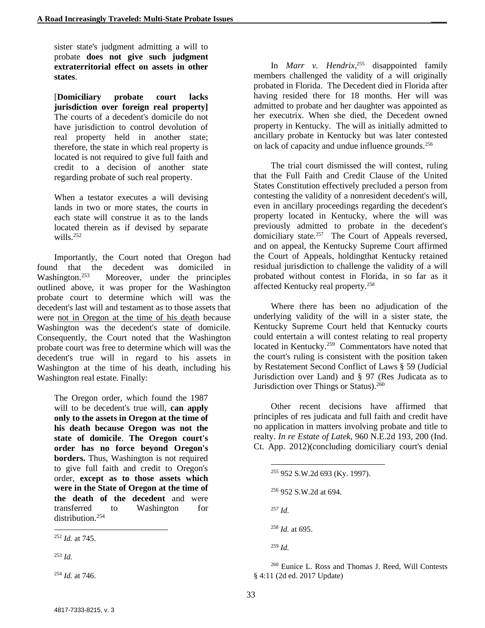sister state's judgment admitting a will to probate **does not give such judgment extraterritorial effect on assets in other states**.

[**Domiciliary probate court lacks jurisdiction over foreign real property]**  The courts of a decedent's domicile do not have jurisdiction to control devolution of real property held in another state; therefore, the state in which real property is located is not required to give full faith and credit to a decision of another state regarding probate of such real property.

When a testator executes a will devising lands in two or more states, the courts in each state will construe it as to the lands located therein as if devised by separate wills. 252

Importantly, the Court noted that Oregon had found that the decedent was domiciled in Washington.<sup>253</sup> Moreover, under the principles outlined above, it was proper for the Washington probate court to determine which will was the decedent's last will and testament as to those assets that were not in Oregon at the time of his death because Washington was the decedent's state of domicile. Consequently, the Court noted that the Washington probate court was free to determine which will was the decedent's true will in regard to his assets in Washington at the time of his death, including his Washington real estate. Finally:

The Oregon order, which found the 1987 will to be decedent's true will, **can apply only to the assets in Oregon at the time of his death because Oregon was not the state of domicile**. **The Oregon court's order has no force beyond Oregon's borders.** Thus, Washington is not required to give full faith and credit to Oregon's order, **except as to those assets which were in the State of Oregon at the time of the death of the decedent** and were transferred to Washington for distribution.<sup>254</sup>

<sup>253</sup> *Id.*

l

<sup>254</sup> *Id.* at 746.

In *Marr v. Hendrix*, <sup>255</sup> disappointed family members challenged the validity of a will originally probated in Florida. The Decedent died in Florida after having resided there for 18 months. Her will was admitted to probate and her daughter was appointed as her executrix. When she died, the Decedent owned property in Kentucky. The will as initially admitted to ancillary probate in Kentucky but was later contested on lack of capacity and undue influence grounds.<sup>256</sup>

The trial court dismissed the will contest, ruling that the Full Faith and Credit Clause of the United States Constitution effectively precluded a person from contesting the validity of a nonresident decedent's will, even in ancillary proceedings regarding the decedent's property located in Kentucky, where the will was previously admitted to probate in the decedent's domiciliary state.<sup>257</sup> The Court of Appeals reversed, and on appeal, the Kentucky Supreme Court affirmed the Court of Appeals, holdingthat Kentucky retained residual jurisdiction to challenge the validity of a will probated without contest in Florida, in so far as it affected Kentucky real property.<sup>258</sup>

Where there has been no adjudication of the underlying validity of the will in a sister state, the Kentucky Supreme Court held that Kentucky courts could entertain a will contest relating to real property located in Kentucky.<sup>259</sup> Commentators have noted that the court's ruling is consistent with the position taken by Restatement Second Conflict of Laws § 59 (Judicial Jurisdiction over Land) and § 97 (Res Judicata as to Jurisdiction over Things or Status).<sup>260</sup>

Other recent decisions have affirmed that principles of res judicata and full faith and credit have no application in matters involving probate and title to realty. *In re Estate of Latek*, 960 N.E.2d 193, 200 (Ind. Ct. App. 2012)(concluding domiciliary court's denial

- <sup>255</sup> 952 S.W.2d 693 (Ky. 1997).
- <sup>256</sup> 952 S.W.2d at 694.

<sup>257</sup> *Id.*

l

<sup>258</sup> *Id.* at 695.

<sup>259</sup> *Id.*

<sup>260</sup> Eunice L. Ross and Thomas J. Reed, Will Contests § 4:11 (2d ed. 2017 Update)

<sup>252</sup> *Id.* at 745.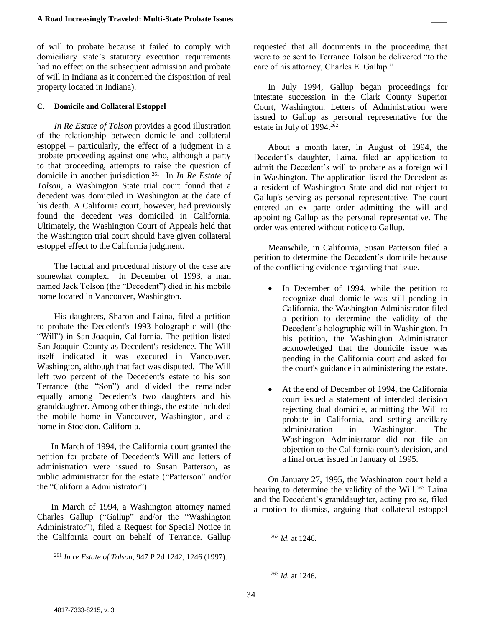of will to probate because it failed to comply with domiciliary state's statutory execution requirements had no effect on the subsequent admission and probate of will in Indiana as it concerned the disposition of real property located in Indiana).

#### **C. Domicile and Collateral Estoppel**

*In Re Estate of Tolson* provides a good illustration of the relationship between domicile and collateral estoppel – particularly, the effect of a judgment in a probate proceeding against one who, although a party to that proceeding, attempts to raise the question of domicile in another jurisdiction.<sup>261</sup> In *In Re Estate of Tolson*, a Washington State trial court found that a decedent was domiciled in Washington at the date of his death. A California court, however, had previously found the decedent was domiciled in California. Ultimately, the Washington Court of Appeals held that the Washington trial court should have given collateral estoppel effect to the California judgment.

The factual and procedural history of the case are somewhat complex. In December of 1993, a man named Jack Tolson (the "Decedent") died in his mobile home located in Vancouver, Washington.

His daughters, Sharon and Laina, filed a petition to probate the Decedent's 1993 holographic will (the "Will") in San Joaquin, California. The petition listed San Joaquin County as Decedent's residence. The Will itself indicated it was executed in Vancouver, Washington, although that fact was disputed. The Will left two percent of the Decedent's estate to his son Terrance (the "Son") and divided the remainder equally among Decedent's two daughters and his granddaughter. Among other things, the estate included the mobile home in Vancouver, Washington, and a home in Stockton, California.

In March of 1994, the California court granted the petition for probate of Decedent's Will and letters of administration were issued to Susan Patterson, as public administrator for the estate ("Patterson" and/or the "California Administrator").

In March of 1994, a Washington attorney named Charles Gallup ("Gallup" and/or the "Washington Administrator"), filed a Request for Special Notice in the California court on behalf of Terrance. Gallup requested that all documents in the proceeding that were to be sent to Terrance Tolson be delivered "to the care of his attorney, Charles E. Gallup."

In July 1994, Gallup began proceedings for intestate succession in the Clark County Superior Court, Washington. Letters of Administration were issued to Gallup as personal representative for the estate in July of 1994.<sup>262</sup>

About a month later, in August of 1994, the Decedent's daughter, Laina, filed an application to admit the Decedent's will to probate as a foreign will in Washington. The application listed the Decedent as a resident of Washington State and did not object to Gallup's serving as personal representative. The court entered an ex parte order admitting the will and appointing Gallup as the personal representative. The order was entered without notice to Gallup.

Meanwhile, in California, Susan Patterson filed a petition to determine the Decedent's domicile because of the conflicting evidence regarding that issue.

- In December of 1994, while the petition to recognize dual domicile was still pending in California, the Washington Administrator filed a petition to determine the validity of the Decedent's holographic will in Washington. In his petition, the Washington Administrator acknowledged that the domicile issue was pending in the California court and asked for the court's guidance in administering the estate.
- At the end of December of 1994, the California court issued a statement of intended decision rejecting dual domicile, admitting the Will to probate in California, and setting ancillary administration in Washington. The Washington Administrator did not file an objection to the California court's decision, and a final order issued in January of 1995.

On January 27, 1995, the Washington court held a hearing to determine the validity of the Will.<sup>263</sup> Laina and the Decedent's granddaughter, acting pro se, filed a motion to dismiss, arguing that collateral estoppel

l

<sup>261</sup> *In re Estate of Tolson*, 947 P.2d 1242, 1246 (1997).

<sup>262</sup> *Id.* at 1246.

<sup>263</sup> *Id.* at 1246.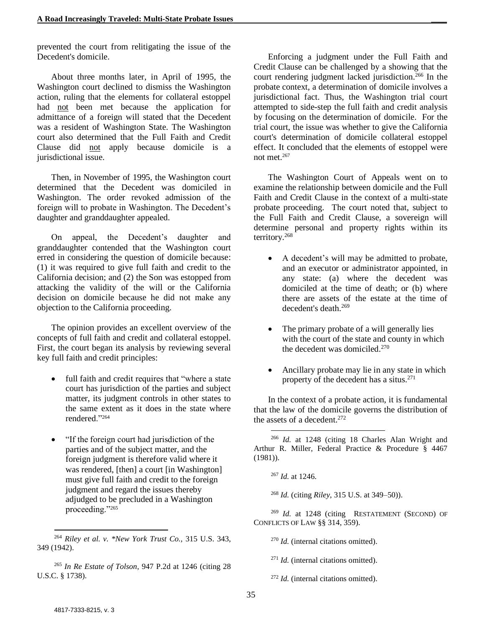prevented the court from relitigating the issue of the Decedent's domicile.

About three months later, in April of 1995, the Washington court declined to dismiss the Washington action, ruling that the elements for collateral estoppel had not been met because the application for admittance of a foreign will stated that the Decedent was a resident of Washington State. The Washington court also determined that the Full Faith and Credit Clause did not apply because domicile is a jurisdictional issue.

Then, in November of 1995, the Washington court determined that the Decedent was domiciled in Washington. The order revoked admission of the foreign will to probate in Washington. The Decedent's daughter and granddaughter appealed.

On appeal, the Decedent's daughter and granddaughter contended that the Washington court erred in considering the question of domicile because: (1) it was required to give full faith and credit to the California decision; and (2) the Son was estopped from attacking the validity of the will or the California decision on domicile because he did not make any objection to the California proceeding.

The opinion provides an excellent overview of the concepts of full faith and credit and collateral estoppel. First, the court began its analysis by reviewing several key full faith and credit principles:

- full faith and credit requires that "where a state court has jurisdiction of the parties and subject matter, its judgment controls in other states to the same extent as it does in the state where rendered."<sup>264</sup>
- "If the foreign court had jurisdiction of the parties and of the subject matter, and the foreign judgment is therefore valid where it was rendered, [then] a court [in Washington] must give full faith and credit to the foreign judgment and regard the issues thereby adjudged to be precluded in a Washington proceeding."<sup>265</sup>

Enforcing a judgment under the Full Faith and Credit Clause can be challenged by a showing that the court rendering judgment lacked jurisdiction.<sup>266</sup> In the probate context, a determination of domicile involves a jurisdictional fact. Thus, the Washington trial court attempted to side-step the full faith and credit analysis by focusing on the determination of domicile. For the trial court, the issue was whether to give the California court's determination of domicile collateral estoppel effect. It concluded that the elements of estoppel were not met.<sup>267</sup>

The Washington Court of Appeals went on to examine the relationship between domicile and the Full Faith and Credit Clause in the context of a multi-state probate proceeding. The court noted that, subject to the Full Faith and Credit Clause, a sovereign will determine personal and property rights within its territory.<sup>268</sup>

- A decedent's will may be admitted to probate, and an executor or administrator appointed, in any state: (a) where the decedent was domiciled at the time of death; or (b) where there are assets of the estate at the time of decedent's death 269
- The primary probate of a will generally lies with the court of the state and county in which the decedent was domiciled.<sup>270</sup>
- Ancillary probate may lie in any state in which property of the decedent has a situs.<sup>271</sup>

In the context of a probate action, it is fundamental that the law of the domicile governs the distribution of the assets of a decedent.<sup>272</sup>

 $\overline{\phantom{a}}$ 

<sup>268</sup> *Id.* (citing *Riley*, 315 U.S. at 349–50)).

<sup>269</sup> *Id.* at 1248 (citing RESTATEMENT (SECOND) OF CONFLICTS OF LAW [§§ 314,](https://1.next.westlaw.com/Link/Document/FullText?findType=Y&serNum=0289353782&pubNum=0101576&originatingDoc=I009d8e3bf57311d9bf60c1d57ebc853e&refType=TS&originationContext=document&transitionType=DocumentItem&contextData=%28sc.UserEnteredCitation%29) [359\)](https://1.next.westlaw.com/Link/Document/FullText?findType=Y&serNum=0289353827&pubNum=0101576&originatingDoc=I009d8e3bf57311d9bf60c1d57ebc853e&refType=TS&originationContext=document&transitionType=DocumentItem&contextData=%28sc.UserEnteredCitation%29).

<sup>270</sup> *Id.* (internal citations omitted).

<sup>271</sup> *Id.* (internal citations omitted).

<sup>272</sup> *Id.* (internal citations omitted).

 $\overline{\phantom{a}}$ 

<sup>264</sup> *Riley et al. v. \*New York Trust Co.,* 315 U.S. 343, 349 (1942).

<sup>265</sup> *In Re Estate of Tolson*, 947 P.2d at 1246 (citing 28 U.S.C. § 1738).

<sup>266</sup> *Id.* at 1248 (citing 18 Charles Alan Wright and Arthur R. Miller, Federal Practice & Procedure § 4467 (1981)).

<sup>267</sup> *Id.* at 1246.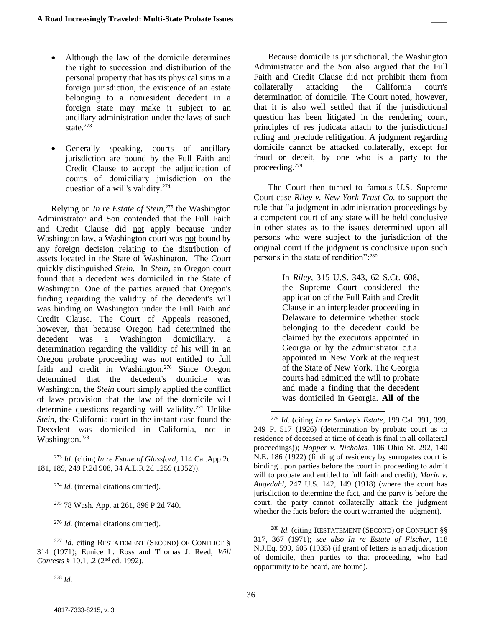- Although the law of the domicile determines the right to succession and distribution of the personal property that has its physical situs in a foreign jurisdiction, the existence of an estate belonging to a nonresident decedent in a foreign state may make it subject to an ancillary administration under the laws of such state.<sup>273</sup>
- Generally speaking, courts of ancillary jurisdiction are bound by the Full Faith and Credit Clause to accept the adjudication of courts of domiciliary jurisdiction on the question of a will's validity. $274$

Relying on *In re Estate of Stein*, <sup>275</sup> the Washington Administrator and Son contended that the Full Faith and Credit Clause did not apply because under Washington law, a Washington court was not bound by any foreign decision relating to the distribution of assets located in the State of Washington. The Court quickly distinguished *Stein.* In *Stein*, an Oregon court found that a decedent was domiciled in the State of Washington. One of the parties argued that Oregon's finding regarding the validity of the decedent's will was binding on Washington under the Full Faith and Credit Clause. The Court of Appeals reasoned, however, that because Oregon had determined the decedent was a Washington domiciliary, a determination regarding the validity of his will in an Oregon probate proceeding was not entitled to full faith and credit in Washington.<sup>276</sup> Since Oregon determined that the decedent's domicile was Washington, the *Stein* court simply applied the conflict of laws provision that the law of the domicile will determine questions regarding will validity.<sup>277</sup> Unlike *Stein,* the California court in the instant case found the Decedent was domiciled in California, not in Washington. 278

l <sup>273</sup> *Id.* (citing *In re Estate of Glassford,* 114 Cal.App.2d 181, 189, 249 P.2d 908, 34 A.L.R.2d 1259 (1952)).

<sup>274</sup> *Id.* (internal citations omitted).

<sup>275</sup> 78 Wash. App. at 261, 896 P.2d 740.

<sup>276</sup> *Id.* (internal citations omitted).

<sup>277</sup> *Id.* citing RESTATEMENT (SECOND) OF CONFLICT § [314](https://1.next.westlaw.com/Link/Document/FullText?findType=Y&serNum=0289353782&pubNum=0101576&originatingDoc=I009d8e3bf57311d9bf60c1d57ebc853e&refType=TS&originationContext=document&transitionType=DocumentItem&contextData=%28sc.UserEnteredCitation%29) (1971); Eunice L. Ross and Thomas J. Reed, *Will*  Contests § 10.1, .2 (2<sup>nd</sup> ed. 1992).

Because domicile is jurisdictional, the Washington Administrator and the Son also argued that the Full Faith and Credit Clause did not prohibit them from collaterally attacking the California court's determination of domicile. The Court noted, however, that it is also well settled that if the jurisdictional question has been litigated in the rendering court, principles of res judicata attach to the jurisdictional ruling and preclude relitigation. A judgment regarding domicile cannot be attacked collaterally, except for fraud or deceit, by one who is a party to the proceeding. 279

The Court then turned to famous U.S. Supreme Court case *Riley v. New York Trust Co.* to support the rule that "a judgment in administration proceedings by a competent court of any state will be held conclusive in other states as to the issues determined upon all persons who were subject to the jurisdiction of the original court if the judgment is conclusive upon such persons in the state of rendition":<sup>280</sup>

> In *Riley,* 315 U.S. 343, 62 S.Ct. 608, the Supreme Court considered the application of the Full Faith and Credit Clause in an interpleader proceeding in Delaware to determine whether stock belonging to the decedent could be claimed by the executors appointed in Georgia or by the administrator c.t.a. appointed in New York at the request of the State of New York. The Georgia courts had admitted the will to probate and made a finding that the decedent was domiciled in Georgia. **All of the**

<sup>280</sup> *Id.* (citing RESTATEMENT (SECOND) OF CONFLICT §§ 317, 367 (1971); *see also In re Estate of Fischer,* 118 N.J.Eq. 599, 605 (1935) (if grant of letters is an adjudication of domicile, then parties to that proceeding, who had opportunity to be heard, are bound).

 $\overline{\phantom{a}}$ 

<sup>279</sup> *Id.* (citing *In re Sankey's Estate,* 199 Cal. 391, 399, 249 P. 517 (1926) (determination by probate court as to residence of deceased at time of death is final in all collateral proceedings)); *Hopper v. Nicholas,* 106 Ohio St. 292, 140 N.E. 186 (1922) (finding of residency by surrogates court is binding upon parties before the court in proceeding to admit will to probate and entitled to full faith and credit); *Marin v. Augedahl,* 247 U.S. 142, 149 (1918) (where the court has jurisdiction to determine the fact, and the party is before the court, the party cannot collaterally attack the judgment whether the facts before the court warranted the judgment).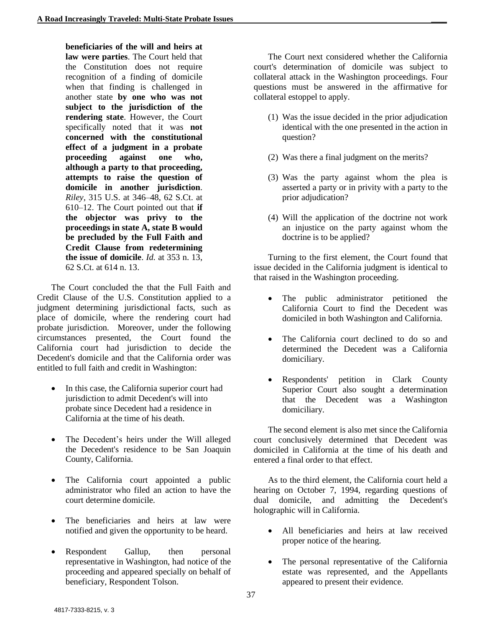**beneficiaries of the will and heirs at law were parties**. The Court held that the Constitution does not require recognition of a finding of domicile when that finding is challenged in another state **by one who was not subject to the jurisdiction of the rendering state**. However, the Court specifically noted that it was **not concerned with the constitutional effect of a judgment in a probate proceeding against one who, although a party to that proceeding, attempts to raise the question of domicile in another jurisdiction**. *Riley,* 315 U.S. at 346–48, 62 S.Ct. at 610–12. The Court pointed out that **if the objector was privy to the proceedings in state A, state B would be precluded by the Full Faith and Credit Clause from redetermining the issue of domicile**. *Id.* at 353 n. 13, 62 S.Ct. at 614 n. 13.

The Court concluded the that the Full Faith and Credit Clause of the U.S. Constitution applied to a judgment determining jurisdictional facts, such as place of domicile, where the rendering court had probate jurisdiction. Moreover, under the following circumstances presented, the Court found the California court had jurisdiction to decide the Decedent's domicile and that the California order was entitled to full faith and credit in Washington:

- In this case, the California superior court had jurisdiction to admit Decedent's will into probate since Decedent had a residence in California at the time of his death.
- The Decedent's heirs under the Will alleged the Decedent's residence to be San Joaquin County, California.
- The California court appointed a public administrator who filed an action to have the court determine domicile.
- The beneficiaries and heirs at law were notified and given the opportunity to be heard.
- Respondent Gallup, then personal representative in Washington, had notice of the proceeding and appeared specially on behalf of beneficiary, Respondent Tolson.

The Court next considered whether the California court's determination of domicile was subject to collateral attack in the Washington proceedings. Four questions must be answered in the affirmative for collateral estoppel to apply.

- (1) Was the issue decided in the prior adjudication identical with the one presented in the action in question?
- (2) Was there a final judgment on the merits?
- (3) Was the party against whom the plea is asserted a party or in privity with a party to the prior adjudication?
- (4) Will the application of the doctrine not work an injustice on the party against whom the doctrine is to be applied?

Turning to the first element, the Court found that issue decided in the California judgment is identical to that raised in the Washington proceeding.

- The public administrator petitioned the California Court to find the Decedent was domiciled in both Washington and California.
- The California court declined to do so and determined the Decedent was a California domiciliary.
- Respondents' petition in Clark County Superior Court also sought a determination that the Decedent was a Washington domiciliary.

The second element is also met since the California court conclusively determined that Decedent was domiciled in California at the time of his death and entered a final order to that effect.

As to the third element, the California court held a hearing on October 7, 1994, regarding questions of dual domicile, and admitting the Decedent's holographic will in California.

- All beneficiaries and heirs at law received proper notice of the hearing.
- The personal representative of the California estate was represented, and the Appellants appeared to present their evidence.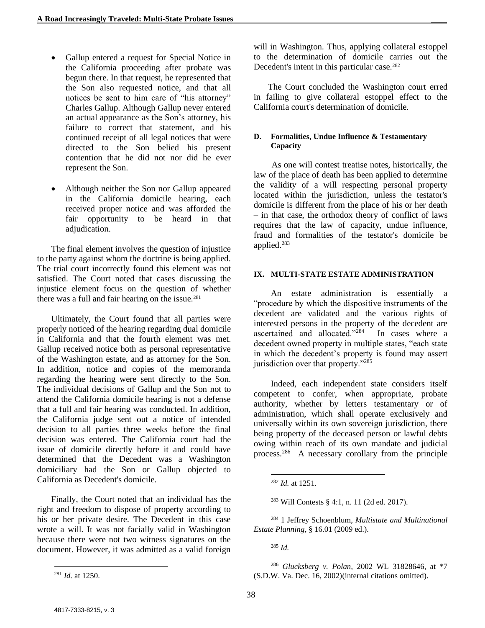- Gallup entered a request for Special Notice in the California proceeding after probate was begun there. In that request, he represented that the Son also requested notice, and that all notices be sent to him care of "his attorney" Charles Gallup. Although Gallup never entered an actual appearance as the Son's attorney, his failure to correct that statement, and his continued receipt of all legal notices that were directed to the Son belied his present contention that he did not nor did he ever represent the Son.
- Although neither the Son nor Gallup appeared in the California domicile hearing, each received proper notice and was afforded the fair opportunity to be heard in that adjudication.

The final element involves the question of injustice to the party against whom the doctrine is being applied. The trial court incorrectly found this element was not satisfied. The Court noted that cases discussing the injustice element focus on the question of whether there was a full and fair hearing on the issue. $281$ 

Ultimately, the Court found that all parties were properly noticed of the hearing regarding dual domicile in California and that the fourth element was met. Gallup received notice both as personal representative of the Washington estate, and as attorney for the Son. In addition, notice and copies of the memoranda regarding the hearing were sent directly to the Son. The individual decisions of Gallup and the Son not to attend the California domicile hearing is not a defense that a full and fair hearing was conducted. In addition, the California judge sent out a notice of intended decision to all parties three weeks before the final decision was entered. The California court had the issue of domicile directly before it and could have determined that the Decedent was a Washington domiciliary had the Son or Gallup objected to California as Decedent's domicile.

Finally, the Court noted that an individual has the right and freedom to dispose of property according to his or her private desire. The Decedent in this case wrote a will. It was not facially valid in Washington because there were not two witness signatures on the document. However, it was admitted as a valid foreign will in Washington. Thus, applying collateral estoppel to the determination of domicile carries out the Decedent's intent in this particular case.<sup>282</sup>

The Court concluded the Washington court erred in failing to give collateral estoppel effect to the California court's determination of domicile.

#### **D. Formalities, Undue Influence & Testamentary Capacity**

As one will contest treatise notes, historically, the law of the place of death has been applied to determine the validity of a will respecting personal property located within the jurisdiction, unless the testator's domicile is different from the place of his or her death – in that case, the orthodox theory of conflict of laws requires that the law of capacity, undue influence, fraud and formalities of the testator's domicile be applied.<sup>283</sup>

#### **IX. MULTI-STATE ESTATE ADMINISTRATION**

An estate administration is essentially a "procedure by which the dispositive instruments of the decedent are validated and the various rights of interested persons in the property of the decedent are ascertained and allocated."<sup>284</sup> In cases where a decedent owned property in multiple states, "each state in which the decedent's property is found may assert jurisdiction over that property."<sup>285</sup>

Indeed, each independent state considers itself competent to confer, when appropriate, probate authority, whether by letters testamentary or of administration, which shall operate exclusively and universally within its own sovereign jurisdiction, there being property of the deceased person or lawful debts owing within reach of its own mandate and judicial process. 286 A necessary corollary from the principle

<sup>284</sup> 1 Jeffrey Schoenblum, *Multistate and Multinational Estate Planning*, § 16.01 (2009 ed.).

<sup>285</sup> *Id.*

l <sup>281</sup> *Id.* at 1250.

l <sup>282</sup> *Id.* at 1251.

<sup>283</sup> Will Contests § 4:1, n. 11 (2d ed. 2017).

<sup>286</sup> *Glucksberg v. Polan*, 2002 WL 31828646, at \*7 (S.D.W. Va. Dec. 16, 2002)(internal citations omitted).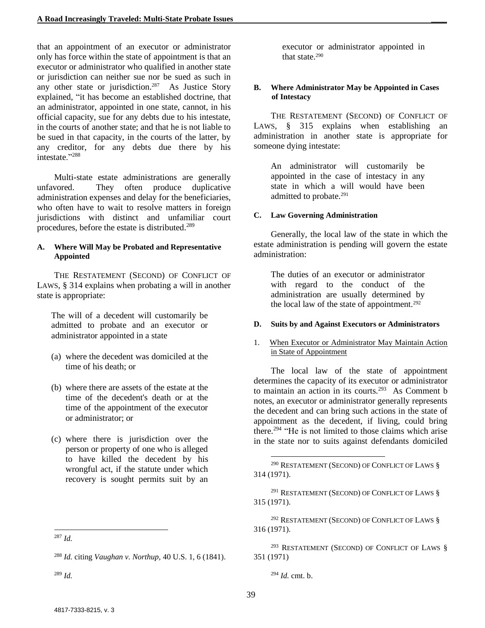that an appointment of an executor or administrator only has force within the state of appointment is that an executor or administrator who qualified in another state or jurisdiction can neither sue nor be sued as such in any other state or jurisdiction.<sup>287</sup> As Justice Story explained, "it has become an established doctrine, that an administrator, appointed in one state, cannot, in his official capacity, sue for any debts due to his intestate, in the courts of another state; and that he is not liable to be sued in that capacity, in the courts of the latter, by any creditor, for any debts due there by his intestate."<sup>288</sup>

Multi-state estate administrations are generally unfavored. They often produce duplicative administration expenses and delay for the beneficiaries, who often have to wait to resolve matters in foreign jurisdictions with distinct and unfamiliar court procedures, before the estate is distributed.<sup>289</sup>

#### **A. Where Will May be Probated and Representative Appointed**

THE RESTATEMENT (SECOND) OF CONFLICT OF LAWS, § 314 explains when probating a will in another state is appropriate:

The will of a decedent will customarily be admitted to probate and an executor or administrator appointed in a state

- (a) where the decedent was domiciled at the time of his death; or
- (b) where there are assets of the estate at the time of the decedent's death or at the time of the appointment of the executor or administrator; or
- (c) where there is jurisdiction over the person or property of one who is alleged to have killed the decedent by his wrongful act, if the statute under which recovery is sought permits suit by an

executor or administrator appointed in that state.<sup>290</sup>

#### **B. Where Administrator May be Appointed in Cases of Intestacy**

THE RESTATEMENT (SECOND) OF CONFLICT OF LAWS,  $\S$  315 explains when establishing an administration in another state is appropriate for someone dying intestate:

An administrator will customarily be appointed in the case of intestacy in any state in which a will would have been admitted to probate.<sup>291</sup>

## **C. Law Governing Administration**

Generally, the local law of the state in which the estate administration is pending will govern the estate administration:

The duties of an executor or administrator with regard to the conduct of the administration are usually determined by the local law of the state of appointment.<sup>292</sup>

## **D. Suits by and Against Executors or Administrators**

1. When Executor or Administrator May Maintain Action in State of Appointment

The local law of the state of appointment determines the capacity of its executor or administrator to maintain an action in its courts.<sup>293</sup> As Comment b notes, an executor or administrator generally represents the decedent and can bring such actions in the state of appointment as the decedent, if living, could bring there.<sup>294</sup> "He is not limited to those claims which arise in the state nor to suits against defendants domiciled

<sup>291</sup> RESTATEMENT (SECOND) OF CONFLICT OF LAWS § 315 (1971).

<sup>292</sup> RESTATEMENT (SECOND) OF CONFLICT OF LAWS § 316 (1971).

 $^{293}$  RESTATEMENT (SECOND) OF CONFLICT OF LAWS  $\S$ 351 (1971)

<sup>294</sup> *Id.* cmt. b.

 $\overline{\phantom{a}}$ 

l <sup>287</sup> *Id.*

<sup>288</sup> *Id.* citing *Vaughan v. Northup,* 40 U.S. 1, 6 (1841).

<sup>289</sup> *Id.*

<sup>290</sup> RESTATEMENT (SECOND) OF CONFLICT OF LAWS § 314 (1971).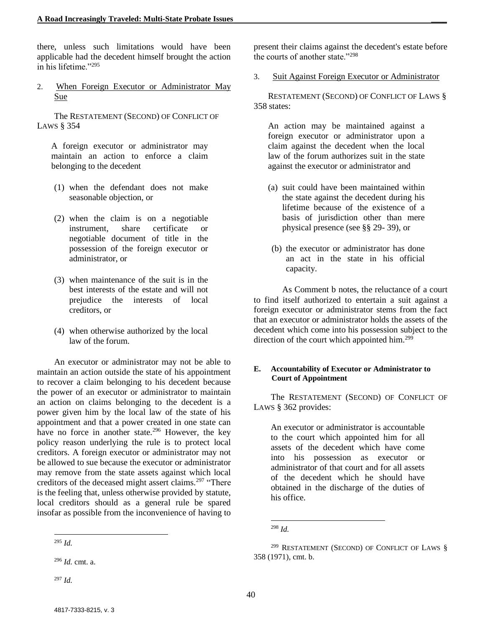there, unless such limitations would have been applicable had the decedent himself brought the action in his lifetime."<sup>295</sup>

2. When Foreign Executor or Administrator May Sue

The RESTATEMENT (SECOND) OF CONFLICT OF LAWS § 354

A foreign executor or administrator may maintain an action to enforce a claim belonging to the decedent

- (1) when the defendant does not make seasonable objection, or
- (2) when the claim is on a negotiable instrument, share certificate or negotiable document of title in the possession of the foreign executor or administrator, or
- (3) when maintenance of the suit is in the best interests of the estate and will not prejudice the interests of local creditors, or
- (4) when otherwise authorized by the local law of the forum.

An executor or administrator may not be able to maintain an action outside the state of his appointment to recover a claim belonging to his decedent because the power of an executor or administrator to maintain an action on claims belonging to the decedent is a power given him by the local law of the state of his appointment and that a power created in one state can have no force in another state.<sup>296</sup> However, the key policy reason underlying the rule is to protect local creditors. A foreign executor or administrator may not be allowed to sue because the executor or administrator may remove from the state assets against which local creditors of the deceased might assert claims.<sup>297</sup> "There is the feeling that, unless otherwise provided by statute, local creditors should as a general rule be spared insofar as possible from the inconvenience of having to

present their claims against the decedent's estate before the courts of another state."<sup>298</sup>

3. Suit Against Foreign Executor or Administrator

RESTATEMENT (SECOND) OF CONFLICT OF LAWS § 358 states:

An action may be maintained against a foreign executor or administrator upon a claim against the decedent when the local law of the forum authorizes suit in the state against the executor or administrator and

- (a) suit could have been maintained within the state against the decedent during his lifetime because of the existence of a basis of jurisdiction other than mere physical presence (see §§ 29- 39), or
- (b) the executor or administrator has done an act in the state in his official capacity.

As Comment b notes, the reluctance of a court to find itself authorized to entertain a suit against a foreign executor or administrator stems from the fact that an executor or administrator holds the assets of the decedent which come into his possession subject to the direction of the court which appointed him.<sup>299</sup>

#### **E. Accountability of Executor or Administrator to Court of Appointment**

The RESTATEMENT (SECOND) OF CONFLICT OF LAWS § 362 provides:

An executor or administrator is accountable to the court which appointed him for all assets of the decedent which have come into his possession as executor or administrator of that court and for all assets of the decedent which he should have obtained in the discharge of the duties of his office.

l <sup>295</sup> *Id.*

<sup>296</sup> *Id.* cmt. a.

<sup>297</sup> *Id.*

 $\overline{\phantom{a}}$ <sup>298</sup> *Id.*

<sup>&</sup>lt;sup>299</sup> RESTATEMENT (SECOND) OF CONFLICT OF LAWS § 358 (1971), cmt. b.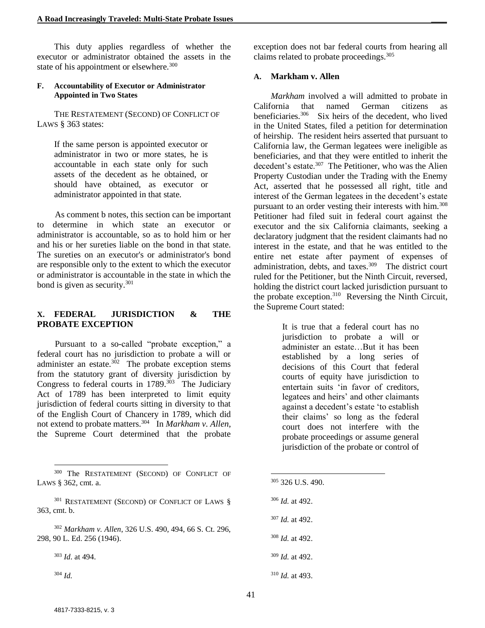This duty applies regardless of whether the executor or administrator obtained the assets in the state of his appointment or elsewhere. $300$ 

#### **F. Accountability of Executor or Administrator Appointed in Two States**

THE RESTATEMENT (SECOND) OF CONFLICT OF LAWS § 363 states:

If the same person is appointed executor or administrator in two or more states, he is accountable in each state only for such assets of the decedent as he obtained, or should have obtained, as executor or administrator appointed in that state.

As comment b notes, this section can be important to determine in which state an executor or administrator is accountable, so as to hold him or her and his or her sureties liable on the bond in that state. The sureties on an executor's or administrator's bond are responsible only to the extent to which the executor or administrator is accountable in the state in which the bond is given as security.<sup>301</sup>

#### **X. FEDERAL JURISDICTION & THE PROBATE EXCEPTION**

Pursuant to a so-called "probate exception," a federal court has no jurisdiction to probate a will or administer an estate. $302$  The probate exception stems from the statutory grant of diversity jurisdiction by Congress to federal courts in  $1789$ .<sup>303</sup> The Judiciary Act of 1789 has been interpreted to limit equity jurisdiction of federal courts sitting in diversity to that of the English Court of Chancery in 1789, which did not extend to probate matters.<sup>304</sup> In *Markham v. Allen*, the Supreme Court determined that the probate

<sup>301</sup> RESTATEMENT (SECOND) OF CONFLICT OF LAWS § 363, cmt. b.

<sup>302</sup> *Markham v. Allen*, 326 U.S. 490, 494, 66 S. Ct. 296, 298, 90 L. Ed. 256 (1946).

<sup>303</sup> *Id*. at 494.

<sup>304</sup> *Id.*

l

exception does not bar federal courts from hearing all claims related to probate proceedings.<sup>305</sup>

#### **A. Markham v. Allen**

*Markham* involved a will admitted to probate in California that named German citizens as beneficiaries.<sup>306</sup> Six heirs of the decedent, who lived in the United States, filed a petition for determination of heirship. The resident heirs asserted that pursuant to California law, the German legatees were ineligible as beneficiaries, and that they were entitled to inherit the decedent's estate.<sup>307</sup> The Petitioner, who was the Alien Property Custodian under the Trading with the Enemy Act, asserted that he possessed all right, title and interest of the German legatees in the decedent's estate pursuant to an order vesting their interests with him.<sup>308</sup> Petitioner had filed suit in federal court against the executor and the six California claimants, seeking a declaratory judgment that the resident claimants had no interest in the estate, and that he was entitled to the entire net estate after payment of expenses of administration, debts, and taxes.<sup>309</sup> The district court ruled for the Petitioner, but the Ninth Circuit, reversed, holding the district court lacked jurisdiction pursuant to the probate exception.<sup>310</sup> Reversing the Ninth Circuit, the Supreme Court stated:

> It is true that a federal court has no jurisdiction to probate a will or administer an estate…But it has been established by a long series of decisions of this Court that federal courts of equity have jurisdiction to entertain suits 'in favor of creditors, legatees and heirs' and other claimants against a decedent's estate 'to establish their claims' so long as the federal court does not interfere with the probate proceedings or assume general jurisdiction of the probate or control of

- <sup>305</sup> 326 U.S. 490.
- <sup>306</sup> *Id.* at 492.

- <sup>307</sup> *Id.* at 492.
- <sup>308</sup> *Id.* at 492.
- <sup>309</sup> *Id.* at 492.
- <sup>310</sup> *Id.* at 493.

<sup>300</sup> The RESTATEMENT (SECOND) OF CONFLICT OF LAWS § 362, cmt. a.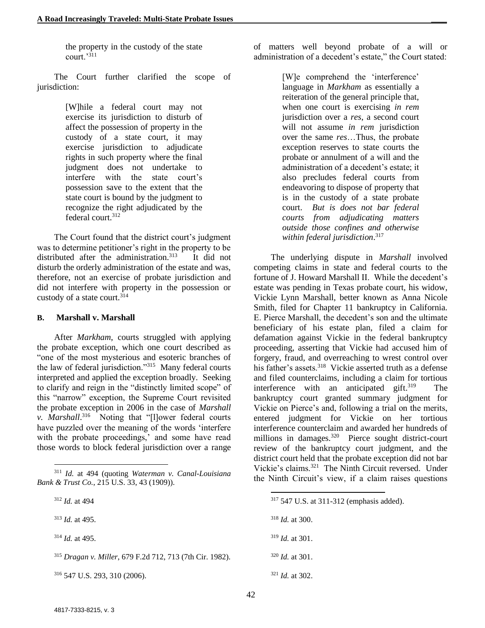the property in the custody of the state  $\overline{\text{court}}$ .<sup>311</sup>

The Court further clarified the scope of jurisdiction:

> [W]hile a federal court may not exercise its jurisdiction to disturb of affect the possession of property in the custody of a state court, it may exercise jurisdiction to adjudicate rights in such property where the final judgment does not undertake to interfere with the state court's possession save to the extent that the state court is bound by the judgment to recognize the right adjudicated by the federal court.<sup>312</sup>

The Court found that the district court's judgment was to determine petitioner's right in the property to be distributed after the administration.<sup>313</sup> It did not disturb the orderly administration of the estate and was, therefore, not an exercise of probate jurisdiction and did not interfere with property in the possession or custody of a state court.<sup>314</sup>

#### **B. Marshall v. Marshall**

After *Markham*, courts struggled with applying the probate exception, which one court described as "one of the most mysterious and esoteric branches of the law of federal jurisdiction."<sup>315</sup> Many federal courts interpreted and applied the exception broadly. Seeking to clarify and reign in the "distinctly limited scope" of this "narrow" exception, the Supreme Court revisited the probate exception in 2006 in the case of *Marshall v. Marshall*. 316 Noting that "[l]ower federal courts have puzzled over the meaning of the words 'interfere with the probate proceedings,' and some have read those words to block federal jurisdiction over a range

l

<sup>313</sup> *Id.* at 495.

<sup>314</sup> *Id.* at 495.

<sup>316</sup> 547 U.S. 293, 310 (2006).

of matters well beyond probate of a will or administration of a decedent's estate," the Court stated:

> [W]e comprehend the 'interference' language in *Markham* as essentially a reiteration of the general principle that, when one court is exercising *in rem*  jurisdiction over a *res*, a second court will not assume *in rem* jurisdiction over the same *res*…Thus, the probate exception reserves to state courts the probate or annulment of a will and the administration of a decedent's estate; it also precludes federal courts from endeavoring to dispose of property that is in the custody of a state probate court. *But is does not bar federal courts from adjudicating matters outside those confines and otherwise within federal jurisdiction*. 317

The underlying dispute in *Marshall* involved competing claims in state and federal courts to the fortune of J. Howard Marshall II. While the decedent's estate was pending in Texas probate court, his widow, Vickie Lynn Marshall, better known as Anna Nicole Smith, filed for Chapter 11 bankruptcy in California. E. Pierce Marshall, the decedent's son and the ultimate beneficiary of his estate plan, filed a claim for defamation against Vickie in the federal bankruptcy proceeding, asserting that Vickie had accused him of forgery, fraud, and overreaching to wrest control over his father's assets.<sup>318</sup> Vickie asserted truth as a defense and filed counterclaims, including a claim for tortious interference with an anticipated gift.<sup>319</sup> The bankruptcy court granted summary judgment for Vickie on Pierce's and, following a trial on the merits, entered judgment for Vickie on her tortious interference counterclaim and awarded her hundreds of millions in damages.<sup>320</sup> Pierce sought district-court review of the bankruptcy court judgment, and the district court held that the probate exception did not bar Vickie's claims.<sup>321</sup> The Ninth Circuit reversed. Under the Ninth Circuit's view, if a claim raises questions

 $\overline{\phantom{a}}$ 

<sup>320</sup> *Id.* at 301.

<sup>321</sup> *Id.* at 302.

<sup>311</sup> *Id.* at 494 (quoting *Waterman v. Canal-Louisiana Bank & Trust Co.*, 215 U.S. 33, 43 (1909)).

<sup>312</sup> *Id.* at 494

<sup>315</sup> *Dragan v. Miller*, 679 F.2d 712, 713 (7th Cir. 1982).

<sup>317</sup> 547 U.S. at 311-312 (emphasis added).

<sup>318</sup> *Id.* at 300.

<sup>319</sup> *Id.* at 301.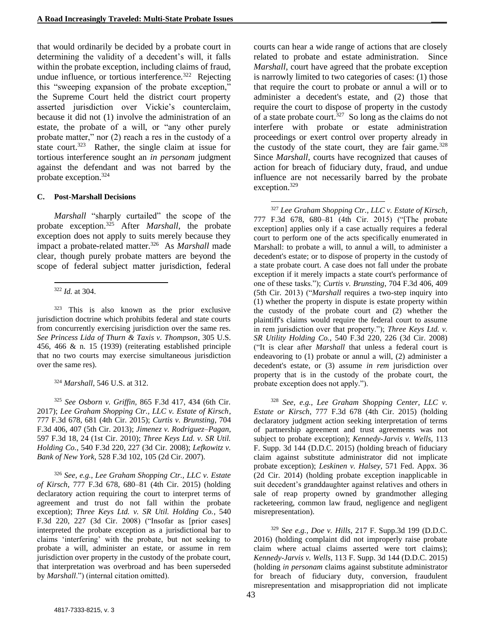that would ordinarily be decided by a probate court in determining the validity of a decedent's will, it falls within the probate exception, including claims of fraud, undue influence, or tortious interference.<sup>322</sup> Rejecting this "sweeping expansion of the probate exception," the Supreme Court held the district court property asserted jurisdiction over Vickie's counterclaim, because it did not (1) involve the administration of an estate, the probate of a will, or "any other purely probate matter," nor (2) reach a res in the custody of a state court.<sup>323</sup> Rather, the single claim at issue for tortious interference sought an *in personam* judgment against the defendant and was not barred by the probate exception.<sup>324</sup>

#### **C. Post-Marshall Decisions**

*Marshall* "sharply curtailed" the scope of the probate exception.<sup>325</sup> After *Marshall*, the probate exception does not apply to suits merely because they impact a probate-related matter.<sup>326</sup> As *Marshall* made clear, though purely probate matters are beyond the scope of federal subject matter jurisdiction, federal

<sup>323</sup> This is also known as the prior exclusive jurisdiction doctrine which prohibits federal and state courts from concurrently exercising jurisdiction over the same res. *See Princess Lida of Thurn & Taxis v. Thompson*, 305 U.S. 456, 466 & n. 15 (1939) (reiterating established principle that no two courts may exercise simultaneous jurisdiction over the same res).

<sup>324</sup> *Marshall*, 546 U.S. at 312.

<sup>325</sup> *See Osborn v. Griffin*, 865 F.3d 417, 434 (6th Cir. 2017); *Lee Graham Shopping Ctr., LLC v. Estate of Kirsch*, 777 F.3d 678, 681 (4th Cir. 2015); *Curtis v. Brunsting*, 704 F.3d 406, 407 (5th Cir. 2013); *Jimenez v. Rodriguez–Pagan*, 597 F.3d 18, 24 (1st Cir. 2010); *Three Keys Ltd. v. SR Util. Holding Co.*, 540 F.3d 220, 227 (3d Cir. 2008); *Lefkowitz v. Bank of New York*, 528 F.3d 102, 105 (2d Cir. 2007).

<sup>326</sup> *See, e.g., Lee Graham Shopping Ctr., LLC v. Estate of Kirsch*, 777 F.3d 678, 680–81 (4th Cir. 2015) (holding declaratory action requiring the court to interpret terms of agreement and trust do not fall within the probate exception); *Three Keys Ltd. v. SR Util. Holding Co.*, 540 F.3d 220, 227 (3d Cir. 2008) ("Insofar as [prior cases] interpreted the probate exception as a jurisdictional bar to claims 'interfering' with the probate, but not seeking to probate a will, administer an estate, or assume in rem jurisdiction over property in the custody of the probate court, that interpretation was overbroad and has been superseded by *Marshall*.") (internal citation omitted).

courts can hear a wide range of actions that are closely related to probate and estate administration. Since *Marshall*, court have agreed that the probate exception is narrowly limited to two categories of cases: (1) those that require the court to probate or annul a will or to administer a decedent's estate, and (2) those that require the court to dispose of property in the custody of a state probate court.<sup>327</sup> So long as the claims do not interfere with probate or estate administration proceedings or exert control over property already in the custody of the state court, they are fair game. $328$ Since *Marshall*, courts have recognized that causes of action for breach of fiduciary duty, fraud, and undue influence are not necessarily barred by the probate exception.<sup>329</sup>

l <sup>327</sup> *Lee Graham Shopping Ctr., LLC v. Estate of Kirsch*, 777 F.3d 678, 680–81 (4th Cir. 2015) ("[The probate exception] applies only if a case actually requires a federal court to perform one of the acts specifically enumerated in Marshall: to probate a will, to annul a will, to administer a decedent's estate; or to dispose of property in the custody of a state probate court. A case does not fall under the probate exception if it merely impacts a state court's performance of one of these tasks."); *Curtis v. Brunsting*, 704 F.3d 406, 409 (5th Cir. 2013) ("*Marshall* requires a two-step inquiry into (1) whether the property in dispute is estate property within the custody of the probate court and (2) whether the plaintiff's claims would require the federal court to assume in rem jurisdiction over that property."); *Three Keys Ltd. v. SR Utility Holding Co.*, 540 F.3d 220, 226 (3d Cir. 2008) ("It is clear after *Marshall* that unless a federal court is endeavoring to (1) probate or annul a will, (2) administer a decedent's estate, or (3) assume *in rem* jurisdiction over property that is in the custody of the probate court, the probate exception does not apply.").

<sup>328</sup> *See, e.g., Lee Graham Shopping Center, LLC v. Estate or Kirsch*, 777 F.3d 678 (4th Cir. 2015) (holding declaratory judgment action seeking interpretation of terms of partnership agreement and trust agreements was not subject to probate exception); *Kennedy-Jarvis v. Wells*, 113 F. Supp. 3d 144 (D.D.C. 2015) (holding breach of fiduciary claim against substitute administrator did not implicate probate exception); *Leskinen v. Halsey*, 571 Fed. Appx. 36 (2d Cir. 2014) (holding probate exception inapplicable in suit decedent's granddaughter against relatives and others in sale of reap property owned by grandmother alleging racketeering, common law fraud, negligence and negligent misrepresentation).

<sup>329</sup> *See e.g., Doe v. Hills*, 217 F. Supp.3d 199 (D.D.C. 2016) (holding complaint did not improperly raise probate claim where actual claims asserted were tort claims); *Kennedy-Jarvis v. Wells*, 113 F. Supp. 3d 144 (D.D.C. 2015) (holding *in personam* claims against substitute administrator for breach of fiduciary duty, conversion, fraudulent misrepresentation and misappropriation did not implicate

l <sup>322</sup> *Id.* at 304.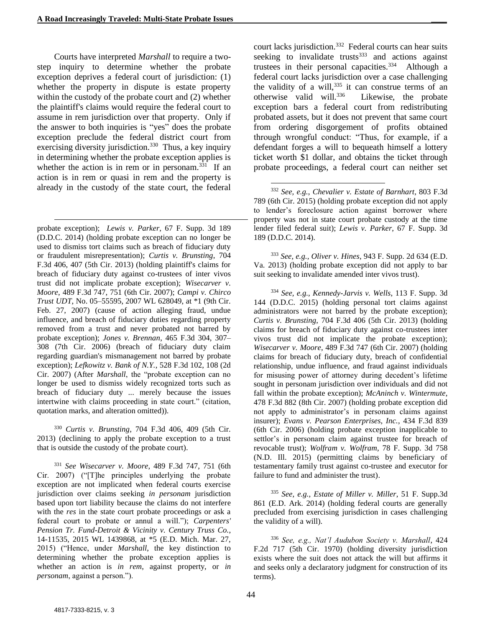Courts have interpreted *Marshall* to require a twostep inquiry to determine whether the probate exception deprives a federal court of jurisdiction: (1) whether the property in dispute is estate property within the custody of the probate court and (2) whether the plaintiff's claims would require the federal court to assume in rem jurisdiction over that property. Only if the answer to both inquiries is "yes" does the probate exception preclude the federal district court from exercising diversity jurisdiction.<sup>330</sup> Thus, a key inquiry in determining whether the probate exception applies is whether the action is in rem or in personam. $331$  If an action is in rem or quasi in rem and the property is already in the custody of the state court, the federal

 $\overline{\phantom{a}}$ 

probate exception); *Lewis v. Parker*, 67 F. Supp. 3d 189 (D.D.C. 2014) (holding probate exception can no longer be used to dismiss tort claims such as breach of fiduciary duty or fraudulent misrepresentation); *Curtis v. Brunsting*, 704 F.3d 406, 407 (5th Cir. 2013) (holding plaintiff's claims for breach of fiduciary duty against co-trustees of inter vivos trust did not implicate probate exception); *Wisecarver v. Moore*, 489 F.3d 747, 751 (6th Cir. 2007); *Campi v. Chirco Trust UDT*, No. 05–55595, 2007 WL 628049, at \*1 (9th Cir. Feb. 27, 2007) (cause of action alleging fraud, undue influence, and breach of fiduciary duties regarding property removed from a trust and never probated not barred by probate exception); *Jones v. Brennan*, 465 F.3d 304, 307– 308 (7th Cir. 2006) (breach of fiduciary duty claim regarding guardian's mismanagement not barred by probate exception); *Lefkowitz v. Bank of N.Y.*, 528 F.3d 102, 108 (2d Cir. 2007) (After *Marshall*, the "probate exception can no longer be used to dismiss widely recognized torts such as breach of fiduciary duty ... merely because the issues intertwine with claims proceeding in state court." (citation, quotation marks, and alteration omitted)).

<sup>330</sup> *Curtis v. Brunsting*, 704 F.3d 406, 409 (5th Cir. 2013) (declining to apply the probate exception to a trust that is outside the custody of the probate court).

<sup>331</sup> *See Wisecarver v. Moore*, 489 F.3d 747, 751 (6th Cir. 2007) ("[T]he principles underlying the probate exception are not implicated when federal courts exercise jurisdiction over claims seeking *in personam* jurisdiction based upon tort liability because the claims do not interfere with the *res* in the state court probate proceedings or ask a federal court to probate or annul a will."); *Carpenters' Pension Tr. Fund-Detroit & Vicinity v. Century Truss Co.*, 14-11535, 2015 WL 1439868, at \*5 (E.D. Mich. Mar. 27, 2015) ("Hence, under *Marshall*, the key distinction to determining whether the probate exception applies is whether an action is *in rem*, against property, or *in personam*, against a person.").

court lacks jurisdiction.<sup>332</sup> Federal courts can hear suits seeking to invalidate trusts $333$  and actions against trustees in their personal capacities.<sup>334</sup> Although a federal court lacks jurisdiction over a case challenging the validity of a will,  $335$  it can construe terms of an otherwise valid will.<sup>336</sup> Likewise, the probate exception bars a federal court from redistributing probated assets, but it does not prevent that same court from ordering disgorgement of profits obtained through wrongful conduct: "Thus, for example, if a defendant forges a will to bequeath himself a lottery ticket worth \$1 dollar, and obtains the ticket through probate proceedings, a federal court can neither set

<sup>332</sup> *See, e.g.*, *Chevalier v. Estate of Barnhart*, 803 F.3d 789 (6th Cir. 2015) (holding probate exception did not apply to lender's foreclosure action against borrower where property was not in state court probate custody at the time lender filed federal suit); *Lewis v. Parker*, 67 F. Supp. 3d 189 (D.D.C. 2014).

l

<sup>333</sup> *See, e.g., Oliver v. Hines*, 943 F. Supp. 2d 634 (E.D. Va. 2013) (holding probate exception did not apply to bar suit seeking to invalidate amended inter vivos trust).

<sup>334</sup> *See, e.g., Kennedy-Jarvis v. Wells*, 113 F. Supp. 3d 144 (D.D.C. 2015) (holding personal tort claims against administrators were not barred by the probate exception); *Curtis v. Brunsting*, 704 F.3d 406 (5th Cir. 2013) (holding claims for breach of fiduciary duty against co-trustees inter vivos trust did not implicate the probate exception); *Wisecarver v. Moore*, 489 F.3d 747 (6th Cir. 2007) (holding claims for breach of fiduciary duty, breach of confidential relationship, undue influence, and fraud against individuals for misusing power of attorney during decedent's lifetime sought in personam jurisdiction over individuals and did not fall within the probate exception); *McAninch v. Wintermute*, 478 F.3d 882 (8th Cir. 2007) (holding probate exception did not apply to administrator's in personam claims against insurer); *Evans v. Pearson Enterprises, Inc.*, 434 F.3d 839 (6th Cir. 2006) (holding probate exception inapplicable to settlor's in personam claim against trustee for breach of revocable trust); *Wolfram v. Wolfram*, 78 F. Supp. 3d 758 (N.D. Ill. 2015) (permitting claims by beneficiary of testamentary family trust against co-trustee and executor for failure to fund and administer the trust).

<sup>335</sup> *See, e.g., Estate of Miller v. Miller*, 51 F. Supp.3d 861 (E.D. Ark. 2014) (holding federal courts are generally precluded from exercising jurisdiction in cases challenging the validity of a will).

<sup>336</sup> *See, e.g., Nat'l Audubon Society v. Marshall*, 424 F.2d 717 (5th Cir. 1970) (holding diversity jurisdiction exists where the suit does not attack the will but affirms it and seeks only a declaratory judgment for construction of its terms).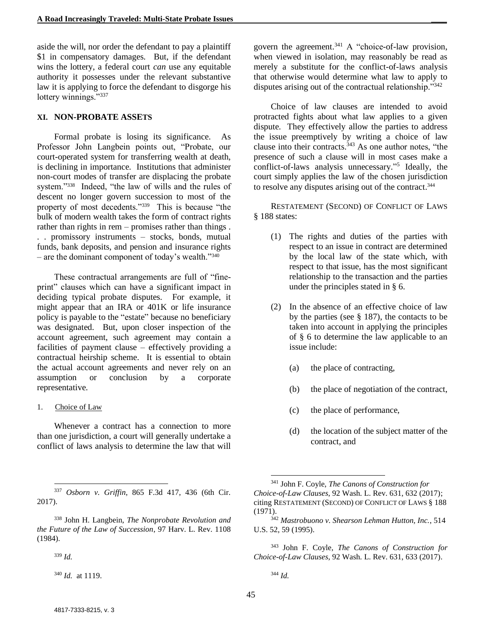aside the will, nor order the defendant to pay a plaintiff \$1 in compensatory damages. But, if the defendant wins the lottery, a federal court *can* use any equitable authority it possesses under the relevant substantive law it is applying to force the defendant to disgorge his lottery winnings."337

#### **XI. NON-PROBATE ASSETS**

Formal probate is losing its significance. As Professor John Langbein points out, "Probate, our court-operated system for transferring wealth at death, is declining in importance. Institutions that administer non-court modes of transfer are displacing the probate system."<sup>338</sup> Indeed, "the law of wills and the rules of descent no longer govern succession to most of the property of most decedents."<sup>339</sup> This is because "the bulk of modern wealth takes the form of contract rights rather than rights in rem – promises rather than things . . . promissory instruments – stocks, bonds, mutual funds, bank deposits, and pension and insurance rights – are the dominant component of today's wealth."<sup>340</sup>

These contractual arrangements are full of "fineprint" clauses which can have a significant impact in deciding typical probate disputes. For example, it might appear that an IRA or 401K or life insurance policy is payable to the "estate" because no beneficiary was designated. But, upon closer inspection of the account agreement, such agreement may contain a facilities of payment clause – effectively providing a contractual heirship scheme. It is essential to obtain the actual account agreements and never rely on an assumption or conclusion by a corporate representative.

1. Choice of Law

Whenever a contract has a connection to more than one jurisdiction, a court will generally undertake a conflict of laws analysis to determine the law that will

<sup>339</sup> *Id.*

<sup>340</sup> *Id.* at 1119.

govern the agreement. <sup>341</sup> A "choice-of-law provision, when viewed in isolation, may reasonably be read as merely a substitute for the conflict-of-laws analysis that otherwise would determine what law to apply to disputes arising out of the contractual relationship."<sup>342</sup>

Choice of law clauses are intended to avoid protracted fights about what law applies to a given dispute. They effectively allow the parties to address the issue preemptively by writing a choice of law clause into their contracts. <sup>343</sup> As one author notes, "the presence of such a clause will in most cases make a conflict-of-laws analysis unnecessary." 5 Ideally, the court simply applies the law of the chosen jurisdiction to resolve any disputes arising out of the contract. 344

RESTATEMENT (SECOND) OF CONFLICT OF LAWS § 188 states:

- (1) The rights and duties of the parties with respect to an issue in contract are determined by the local law of the state which, with respect to that issue, has the most significant relationship to the transaction and the parties under the principles stated in § 6.
- (2) In the absence of an effective choice of law by the parties (see § 187), the contacts to be taken into account in applying the principles of § 6 to determine the law applicable to an issue include:
	- (a) the place of contracting,
	- (b) the place of negotiation of the contract,
	- (c) the place of performance,
	- (d) the location of the subject matter of the contract, and

 $\overline{\phantom{a}}$ 

l <sup>337</sup> *Osborn v. Griffin*, 865 F.3d 417, 436 (6th Cir. 2017).

<sup>338</sup> John H. Langbein, *The Nonprobate Revolution and the Future of the Law of Succession*, 97 Harv. L. Rev. 1108 (1984).

<sup>341</sup> John F. Coyle, *The Canons of Construction for Choice-of-Law Clauses*, 92 Wash. L. Rev. 631, 632 (2017); citing RESTATEMENT (SECOND) OF CONFLICT OF LAWS § 188 (1971).

<sup>342</sup> *Mastrobuono v. Shearson Lehman Hutton, Inc.*, 514 U.S. 52, 59 (1995).

<sup>343</sup> John F. Coyle, *The Canons of Construction for Choice-of-Law Clauses*, 92 Wash. L. Rev. 631, 633 (2017).

<sup>344</sup> *Id.*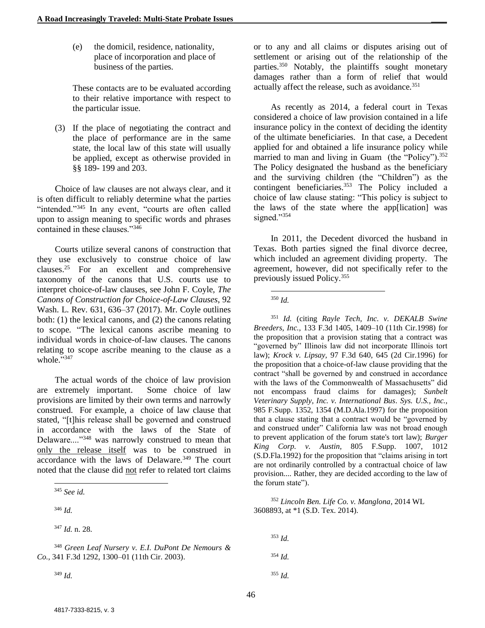(e) the domicil, residence, nationality, place of incorporation and place of business of the parties.

These contacts are to be evaluated according to their relative importance with respect to the particular issue.

(3) If the place of negotiating the contract and the place of performance are in the same state, the local law of this state will usually be applied, except as otherwise provided in §§ 189- 199 and 203.

Choice of law clauses are not always clear, and it is often difficult to reliably determine what the parties "intended."<sup>345</sup> In any event, "courts are often called upon to assign meaning to specific words and phrases contained in these clauses."<sup>346</sup>

Courts utilize several canons of construction that they use exclusively to construe choice of law clauses. <sup>25</sup> For an excellent and comprehensive taxonomy of the canons that U.S. courts use to interpret choice-of-law clauses, see John F. Coyle, *The Canons of Construction for Choice-of-Law Clauses*, 92 Wash. L. Rev. 631, 636–37 (2017). Mr. Coyle outlines both: (1) the lexical canons, and (2) the canons relating to scope. "The lexical canons ascribe meaning to individual words in choice-of-law clauses. The canons relating to scope ascribe meaning to the clause as a whole."347

The actual words of the choice of law provision are extremely important. Some choice of law provisions are limited by their own terms and narrowly construed. For example, a choice of law clause that stated, "[t]his release shall be governed and construed in accordance with the laws of the State of Delaware...."<sup>348</sup> was narrowly construed to mean that only the release itself was to be construed in accordance with the laws of Delaware.<sup>349</sup> The court noted that the clause did not refer to related tort claims

<sup>346</sup> *Id.*

l

<sup>349</sup> *Id.*

or to any and all claims or disputes arising out of settlement or arising out of the relationship of the parties.<sup>350</sup> Notably, the plaintiffs sought monetary damages rather than a form of relief that would actually affect the release, such as avoidance.<sup>351</sup>

As recently as 2014, a federal court in Texas considered a choice of law provision contained in a life insurance policy in the context of deciding the identity of the ultimate beneficiaries. In that case, a Decedent applied for and obtained a life insurance policy while married to man and living in Guam (the "Policy").<sup>352</sup> The Policy designated the husband as the beneficiary and the surviving children (the "Children") as the contingent beneficiaries. <sup>353</sup> The Policy included a choice of law clause stating: "This policy is subject to the laws of the state where the app[lication] was signed."354

In 2011, the Decedent divorced the husband in Texas. Both parties signed the final divorce decree, which included an agreement dividing property. The agreement, however, did not specifically refer to the previously issued Policy.<sup>355</sup>

 $\overline{\phantom{a}}$ <sup>350</sup> *Id.*

<sup>351</sup> *Id.* (citing *Rayle Tech, Inc. v. DEKALB Swine Breeders, Inc.,* 133 F.3d 1405, 1409–10 (11th Cir.1998) for the proposition that a provision stating that a contract was "governed by" Illinois law did not incorporate Illinois tort law); *Krock v. Lipsay,* 97 F.3d 640, 645 (2d Cir.1996) for the proposition that a choice-of-law clause providing that the contract "shall be governed by and construed in accordance with the laws of the Commonwealth of Massachusetts" did not encompass fraud claims for damages); *Sunbelt Veterinary Supply, Inc. v. International Bus. Sys. U.S., Inc.,* 985 F.Supp. 1352, 1354 (M.D.Ala.1997) for the proposition that a clause stating that a contract would be "governed by and construed under" California law was not broad enough to prevent application of the forum state's tort law); *Burger King Corp. v. Austin,* 805 F.Supp. 1007, 1012 (S.D.Fla.1992) for the proposition that "claims arising in tort are not ordinarily controlled by a contractual choice of law provision.... Rather, they are decided according to the law of the forum state").

<sup>352</sup> *Lincoln Ben. Life Co. v. Manglona*, 2014 WL 3608893, at \*1 (S.D. Tex. 2014).

<sup>353</sup> *Id.* <sup>354</sup> *Id.* <sup>355</sup> *Id.*

<sup>345</sup> *See id.*

<sup>347</sup> *Id.* n. 28.

<sup>348</sup> *Green Leaf Nursery v. E.I. DuPont De Nemours & Co.*, 341 F.3d 1292, 1300–01 (11th Cir. 2003).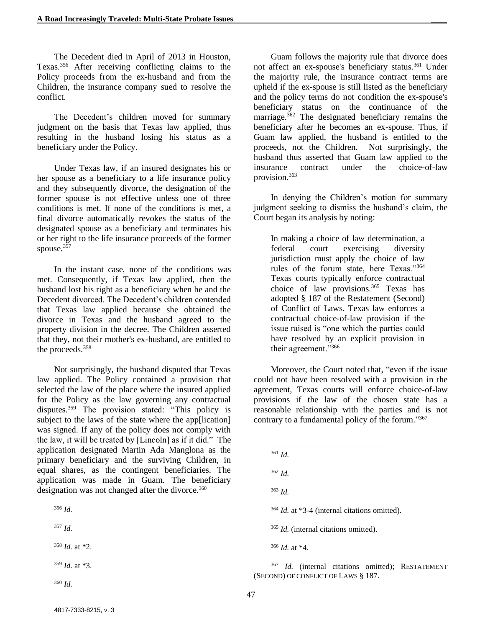The Decedent died in April of 2013 in Houston, Texas.<sup>356</sup> After receiving conflicting claims to the Policy proceeds from the ex-husband and from the Children, the insurance company sued to resolve the conflict.

The Decedent's children moved for summary judgment on the basis that Texas law applied, thus resulting in the husband losing his status as a beneficiary under the Policy.

Under Texas law, if an insured designates his or her spouse as a beneficiary to a life insurance policy and they subsequently divorce, the designation of the former spouse is not effective unless one of three conditions is met. If none of the conditions is met, a final divorce automatically revokes the status of the designated spouse as a beneficiary and terminates his or her right to the life insurance proceeds of the former spouse.<sup>357</sup>

In the instant case, none of the conditions was met. Consequently, if Texas law applied, then the husband lost his right as a beneficiary when he and the Decedent divorced. The Decedent's children contended that Texas law applied because she obtained the divorce in Texas and the husband agreed to the property division in the decree. The Children asserted that they, not their mother's ex-husband, are entitled to the proceeds.<sup>358</sup>

Not surprisingly, the husband disputed that Texas law applied. The Policy contained a provision that selected the law of the place where the insured applied for the Policy as the law governing any contractual disputes.<sup>359</sup> The provision stated: "This policy is subject to the laws of the state where the app[lication] was signed. If any of the policy does not comply with the law, it will be treated by [Lincoln] as if it did." The application designated Martin Ada Manglona as the primary beneficiary and the surviving Children, in equal shares, as the contingent beneficiaries. The application was made in Guam. The beneficiary designation was not changed after the divorce.<sup>360</sup>

<sup>356</sup> *Id.*

 $\overline{\phantom{a}}$ 

<sup>358</sup> *Id.* at \*2.

<sup>359</sup> *Id.* at \*3.

<sup>360</sup> *Id.*

Guam follows the majority rule that divorce does not affect an ex-spouse's beneficiary status.<sup>361</sup> Under the majority rule, the insurance contract terms are upheld if the ex-spouse is still listed as the beneficiary and the policy terms do not condition the ex-spouse's beneficiary status on the continuance of the marriage.<sup>362</sup> The designated beneficiary remains the beneficiary after he becomes an ex-spouse. Thus, if Guam law applied, the husband is entitled to the proceeds, not the Children. Not surprisingly, the husband thus asserted that Guam law applied to the insurance contract under the choice-of-law provision.<sup>363</sup>

In denying the Children's motion for summary judgment seeking to dismiss the husband's claim, the Court began its analysis by noting:

In making a choice of law determination, a federal court exercising diversity jurisdiction must apply the choice of law rules of the forum state, here Texas."<sup>364</sup> Texas courts typically enforce contractual choice of law provisions. <sup>365</sup> Texas has adopted § 187 of the Restatement (Second) of Conflict of Laws. Texas law enforces a contractual choice-of-law provision if the issue raised is "one which the parties could have resolved by an explicit provision in their agreement."<sup>366</sup>

Moreover, the Court noted that, "even if the issue could not have been resolved with a provision in the agreement, Texas courts will enforce choice-of-law provisions if the law of the chosen state has a reasonable relationship with the parties and is not contrary to a fundamental policy of the forum."367

- l <sup>361</sup> *Id.*
- <sup>362</sup> *Id.*
- <sup>363</sup> *Id.*
- <sup>364</sup> *Id.* at \*3-4 (internal citations omitted).
- <sup>365</sup> *Id.* (internal citations omitted).
- <sup>366</sup> *Id.* at \*4.

<sup>367</sup> *Id.* (internal citations omitted); RESTATEMENT (SECOND) OF CONFLICT OF LAWS § 187.

<sup>357</sup> *Id.*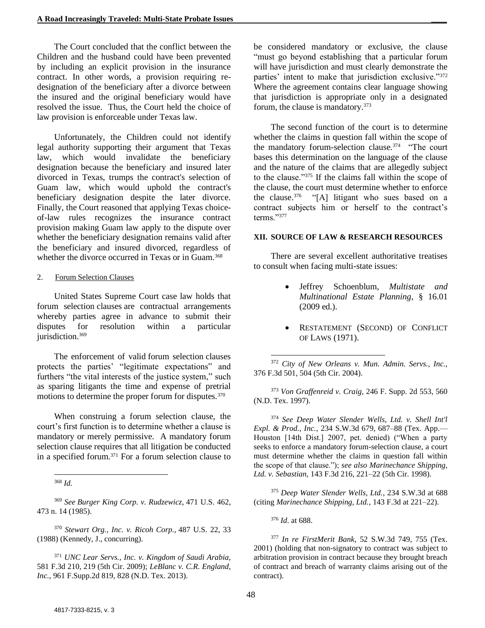The Court concluded that the conflict between the Children and the husband could have been prevented by including an explicit provision in the insurance contract. In other words, a provision requiring redesignation of the beneficiary after a divorce between the insured and the original beneficiary would have resolved the issue. Thus, the Court held the choice of law provision is enforceable under Texas law.

Unfortunately, the Children could not identify legal authority supporting their argument that Texas law, which would invalidate the beneficiary designation because the beneficiary and insured later divorced in Texas, trumps the contract's selection of Guam law, which would uphold the contract's beneficiary designation despite the later divorce. Finally, the Court reasoned that applying Texas choiceof-law rules recognizes the insurance contract provision making Guam law apply to the dispute over whether the beneficiary designation remains valid after the beneficiary and insured divorced, regardless of whether the divorce occurred in Texas or in Guam.<sup>368</sup>

#### 2. Forum Selection Clauses

United States Supreme Court case law holds that forum selection clauses are contractual arrangements whereby parties agree in advance to submit their disputes for resolution within a particular jurisdiction.<sup>369</sup>

The enforcement of valid forum selection clauses protects the parties' "legitimate expectations" and furthers "the vital interests of the justice system," such as sparing litigants the time and expense of pretrial motions to determine the proper forum for disputes.<sup>370</sup>

When construing a forum selection clause, the court's first function is to determine whether a clause is mandatory or merely permissive. A mandatory forum selection clause requires that all litigation be conducted in a specified forum.<sup>371</sup> For a forum selection clause to

l <sup>368</sup> *Id.*

<sup>369</sup> *See Burger King Corp. v. Rudzewicz,* 471 U.S. 462, 473 n. 14 (1985).

<sup>370</sup> *Stewart Org., Inc. v. Ricoh Corp.,* 487 U.S. 22, 33 (1988) (Kennedy, J., concurring).

<sup>371</sup> *UNC Lear Servs., Inc. v. Kingdom of Saudi Arabia,* 581 F.3d 210, 219 (5th Cir. 2009); *LeBlanc v. C.R. England, Inc.,* 961 F.Supp.2d 819, 828 (N.D. Tex. 2013).

be considered mandatory or exclusive, the clause "must go beyond establishing that a particular forum will have jurisdiction and must clearly demonstrate the parties' intent to make that jurisdiction exclusive."<sup>372</sup> Where the agreement contains clear language showing that jurisdiction is appropriate only in a designated forum, the clause is mandatory.<sup>373</sup>

The second function of the court is to determine whether the claims in question fall within the scope of the mandatory forum-selection clause.<sup>374</sup> "The court bases this determination on the language of the clause and the nature of the claims that are allegedly subject to the clause."<sup>375</sup> If the claims fall within the scope of the clause, the court must determine whether to enforce the clause.<sup>376</sup> "[A] litigant who sues based on a contract subjects him or herself to the contract's terms."<sup>377</sup>

#### **XII. SOURCE OF LAW & RESEARCH RESOURCES**

There are several excellent authoritative treatises to consult when facing multi-state issues:

- Jeffrey Schoenblum, *Multistate and Multinational Estate Planning*, § 16.01 (2009 ed.).
- RESTATEMENT (SECOND) OF CONFLICT OF LAWS (1971).

<sup>372</sup> *City of New Orleans v. Mun. Admin. Servs., Inc.,* 376 F.3d 501, 504 (5th Cir. 2004).

<sup>373</sup> *Von Graffenreid v. Craig,* 246 F. Supp. 2d 553, 560 (N.D. Tex. 1997).

<sup>374</sup> *See Deep Water Slender Wells, Ltd. v. Shell Int'l Expl. & Prod., Inc.*, 234 S.W.3d 679, 687–88 (Tex. App.— Houston [14th Dist.] 2007, pet. denied) ("When a party seeks to enforce a mandatory forum-selection clause, a court must determine whether the claims in question fall within the scope of that clause."); *see also Marinechance Shipping, Ltd. v. Sebastian,* 143 F.3d 216, 221–22 (5th Cir. 1998).

<sup>375</sup> *Deep Water Slender Wells, Ltd.*, 234 S.W.3d at 688 (citing *Marinechance Shipping, Ltd.*, 143 F.3d at 221–22).

<sup>376</sup> *Id*. at 688.

 $\overline{\phantom{a}}$ 

<sup>377</sup> *In re FirstMerit Bank*, 52 S.W.3d 749, 755 (Tex. 2001) (holding that non-signatory to contract was subject to arbitration provision in contract because they brought breach of contract and breach of warranty claims arising out of the contract).